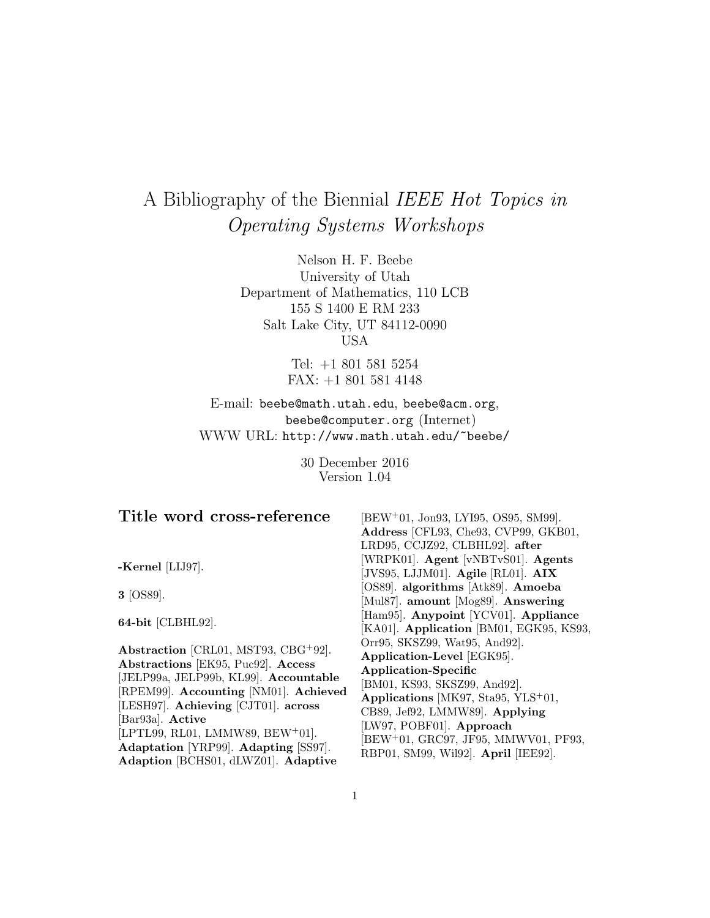# A Bibliography of the Biennial IEEE Hot Topics in Operating Systems Workshops

Nelson H. F. Beebe University of Utah Department of Mathematics, 110 LCB 155 S 1400 E RM 233 Salt Lake City, UT 84112-0090 USA

> Tel: +1 801 581 5254 FAX: +1 801 581 4148

E-mail: beebe@math.utah.edu, beebe@acm.org, beebe@computer.org (Internet) WWW URL: http://www.math.utah.edu/~beebe/

> 30 December 2016 Version 1.04

| Title word cross-reference                   | [BEW <sup>+</sup> 01, Jon93, LYI95, OS95, SM99].                             |
|----------------------------------------------|------------------------------------------------------------------------------|
|                                              | Address [CFL93, Che93, CVP99, GKB01,                                         |
|                                              | LRD95, CCJZ92, CLBHL92]. after                                               |
| -Kernel [LIJ97].                             | [WRPK01]. Agent [vNBTvS01]. Agents                                           |
|                                              | [JVS95, LJJM01]. Agile [RL01]. AIX                                           |
| $3$ [OS89].                                  | [OS89]. algorithms [Atk89]. Amoeba                                           |
|                                              | [Mul87]. amount [Mog89]. Answering                                           |
| 64-bit [CLBHL92].                            | [Ham95]. Anypoint [YCV01]. Appliance                                         |
|                                              | [KA01]. Application [BM01, EGK95, KS93,                                      |
| Abstraction [CRL01, MST93, CBG+92].          | Orr95, SKSZ99, Wat95, And92].                                                |
| Abstractions [EK95, Puc92]. Access           | Application-Level [EGK95].                                                   |
| [JELP99a, JELP99b, KL99]. Accountable        | Application-Specific                                                         |
| [RPEM99]. Accounting [NM01]. Achieved        | [BM01, KS93, SKSZ99, And92].                                                 |
| [LESH97]. Achieving [CJT01]. across          | Applications [MK97, Sta95, YLS <sup>+</sup> 01,                              |
| [Bar93a]. Active                             | CB89, Jef92, LMMW89. Applying                                                |
| [LPTL99, RL01, LMMW89, BEW <sup>+</sup> 01]. | [LW97, POBF01]. Approach<br>[BEW <sup>+</sup> 01, GRC97, JF95, MMWV01, PF93, |
| Adaptation [YRP99]. Adapting [SS97].         | RBP01, SM99, Wil92. April [IEE92].                                           |
| Adaption [BCHS01, dLWZ01]. Adaptive          |                                                                              |

1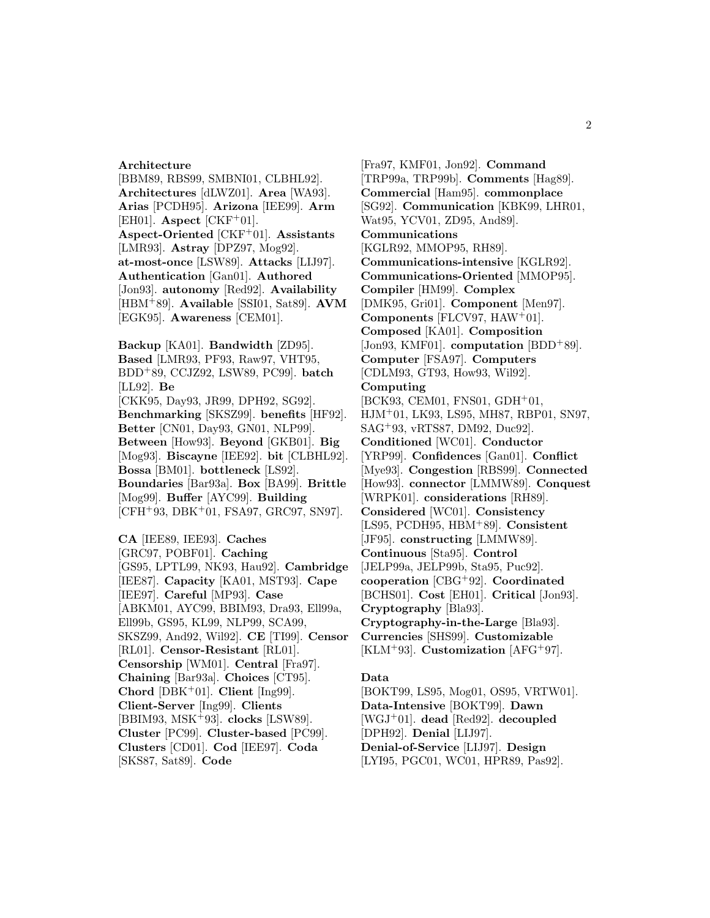#### **Architecture**

[BBM89, RBS99, SMBNI01, CLBHL92]. **Architectures** [dLWZ01]. **Area** [WA93]. **Arias** [PCDH95]. **Arizona** [IEE99]. **Arm** [EH01]. **Aspect** [CKF<sup>+</sup>01]. **Aspect-Oriented** [CKF<sup>+</sup>01]. **Assistants** [LMR93]. **Astray** [DPZ97, Mog92]. **at-most-once** [LSW89]. **Attacks** [LIJ97]. **Authentication** [Gan01]. **Authored** [Jon93]. **autonomy** [Red92]. **Availability** [HBM<sup>+</sup>89]. **Available** [SSI01, Sat89]. **AVM** [EGK95]. **Awareness** [CEM01].

**Backup** [KA01]. **Bandwidth** [ZD95]. **Based** [LMR93, PF93, Raw97, VHT95, BDD<sup>+</sup>89, CCJZ92, LSW89, PC99]. **batch** [LL92]. **Be** [CKK95, Day93, JR99, DPH92, SG92]. **Benchmarking** [SKSZ99]. **benefits** [HF92]. **Better** [CN01, Day93, GN01, NLP99]. **Between** [How93]. **Beyond** [GKB01]. **Big** [Mog93]. **Biscayne** [IEE92]. **bit** [CLBHL92]. **Bossa** [BM01]. **bottleneck** [LS92]. **Boundaries** [Bar93a]. **Box** [BA99]. **Brittle** [Mog99]. **Buffer** [AYC99]. **Building** [CFH<sup>+</sup>93, DBK<sup>+</sup>01, FSA97, GRC97, SN97].

**CA** [IEE89, IEE93]. **Caches** [GRC97, POBF01]. **Caching** [GS95, LPTL99, NK93, Hau92]. **Cambridge** [IEE87]. **Capacity** [KA01, MST93]. **Cape** [IEE97]. **Careful** [MP93]. **Case** [ABKM01, AYC99, BBIM93, Dra93, Ell99a, Ell99b, GS95, KL99, NLP99, SCA99, SKSZ99, And92, Wil92]. **CE** [TI99]. **Censor** [RL01]. **Censor-Resistant** [RL01]. **Censorship** [WM01]. **Central** [Fra97]. **Chaining** [Bar93a]. **Choices** [CT95]. **Chord** [DBK<sup>+</sup>01]. **Client** [Ing99]. **Client-Server** [Ing99]. **Clients** [BBIM93, MSK<sup>+</sup>93]. **clocks** [LSW89]. **Cluster** [PC99]. **Cluster-based** [PC99]. **Clusters** [CD01]. **Cod** [IEE97]. **Coda** [SKS87, Sat89]. **Code**

[Fra97, KMF01, Jon92]. **Command** [TRP99a, TRP99b]. **Comments** [Hag89]. **Commercial** [Ham95]. **commonplace** [SG92]. **Communication** [KBK99, LHR01, Wat95, YCV01, ZD95, And89]. **Communications** [KGLR92, MMOP95, RH89]. **Communications-intensive** [KGLR92]. **Communications-Oriented** [MMOP95]. **Compiler** [HM99]. **Complex** [DMK95, Gri01]. **Component** [Men97]. **Components** [FLCV97, HAW<sup>+</sup>01]. **Composed** [KA01]. **Composition** [Jon93, KMF01]. **computation** [BDD<sup>+</sup>89]. **Computer** [FSA97]. **Computers** [CDLM93, GT93, How93, Wil92]. **Computing**  $[BCK93, CEM01, FNS01, GDH<sup>+</sup>01,$ HJM<sup>+</sup>01, LK93, LS95, MH87, RBP01, SN97, SAG<sup>+</sup>93, vRTS87, DM92, Duc92]. **Conditioned** [WC01]. **Conductor** [YRP99]. **Confidences** [Gan01]. **Conflict** [Mye93]. **Congestion** [RBS99]. **Connected** [How93]. **connector** [LMMW89]. **Conquest** [WRPK01]. **considerations** [RH89]. **Considered** [WC01]. **Consistency** [LS95, PCDH95, HBM<sup>+</sup>89]. **Consistent** [JF95]. **constructing** [LMMW89]. **Continuous** [Sta95]. **Control** [JELP99a, JELP99b, Sta95, Puc92]. **cooperation** [CBG<sup>+</sup>92]. **Coordinated** [BCHS01]. **Cost** [EH01]. **Critical** [Jon93]. **Cryptography** [Bla93]. **Cryptography-in-the-Large** [Bla93]. **Currencies** [SHS99]. **Customizable** [KLM<sup>+</sup>93]. **Customization** [AFG<sup>+</sup>97].

#### **Data**

[BOKT99, LS95, Mog01, OS95, VRTW01]. **Data-Intensive** [BOKT99]. **Dawn** [WGJ<sup>+</sup>01]. **dead** [Red92]. **decoupled** [DPH92]. **Denial** [LIJ97]. **Denial-of-Service** [LIJ97]. **Design** [LYI95, PGC01, WC01, HPR89, Pas92].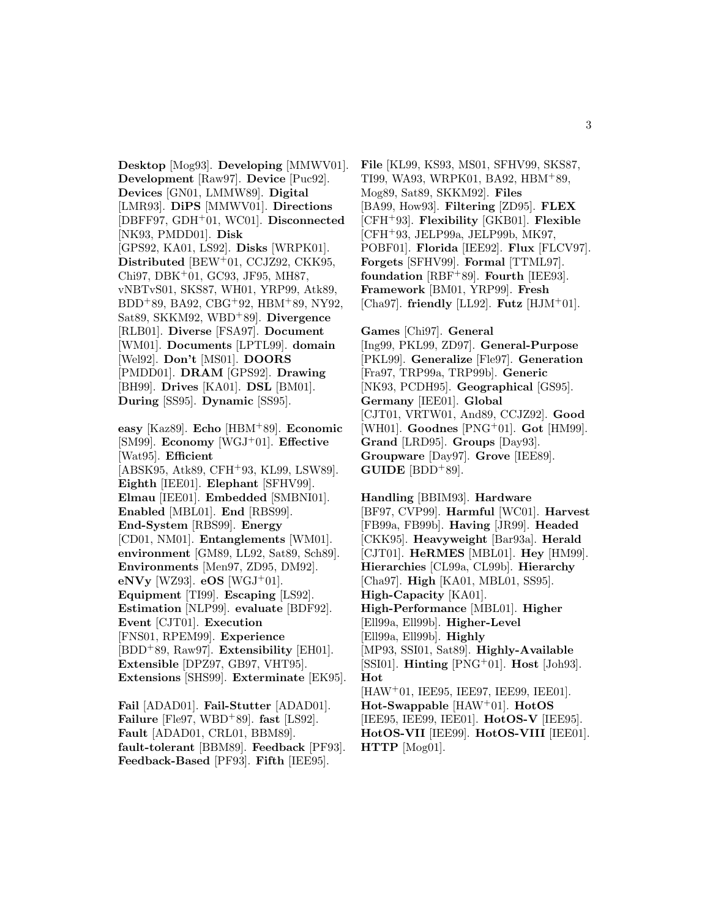**Desktop** [Mog93]. **Developing** [MMWV01]. **Development** [Raw97]. **Device** [Puc92]. **Devices** [GN01, LMMW89]. **Digital** [LMR93]. **DiPS** [MMWV01]. **Directions** [DBFF97, GDH<sup>+</sup>01, WC01]. **Disconnected** [NK93, PMDD01]. **Disk** [GPS92, KA01, LS92]. **Disks** [WRPK01]. **Distributed** [BEW<sup>+</sup>01, CCJZ92, CKK95, Chi97, DBK<sup>+</sup>01, GC93, JF95, MH87, vNBTvS01, SKS87, WH01, YRP99, Atk89, BDD<sup>+</sup>89, BA92, CBG<sup>+</sup>92, HBM<sup>+</sup>89, NY92, Sat89, SKKM92, WBD<sup>+</sup>89]. **Divergence** [RLB01]. **Diverse** [FSA97]. **Document** [WM01]. **Documents** [LPTL99]. **domain** [Wel92]. **Don't** [MS01]. **DOORS** [PMDD01]. **DRAM** [GPS92]. **Drawing** [BH99]. **Drives** [KA01]. **DSL** [BM01]. **During** [SS95]. **Dynamic** [SS95].

**easy** [Kaz89]. **Echo** [HBM<sup>+</sup>89]. **Economic** [SM99]. **Economy** [WGJ<sup>+</sup>01]. **Effective** [Wat95]. **Efficient** [ABSK95, Atk89, CFH<sup>+</sup>93, KL99, LSW89]. **Eighth** [IEE01]. **Elephant** [SFHV99]. **Elmau** [IEE01]. **Embedded** [SMBNI01]. **Enabled** [MBL01]. **End** [RBS99]. **End-System** [RBS99]. **Energy** [CD01, NM01]. **Entanglements** [WM01]. **environment** [GM89, LL92, Sat89, Sch89]. **Environments** [Men97, ZD95, DM92]. **eNVy** [WZ93]. **eOS** [WGJ<sup>+</sup>01]. **Equipment** [TI99]. **Escaping** [LS92]. **Estimation** [NLP99]. **evaluate** [BDF92]. **Event** [CJT01]. **Execution** [FNS01, RPEM99]. **Experience** [BDD<sup>+</sup>89, Raw97]. **Extensibility** [EH01]. **Extensible** [DPZ97, GB97, VHT95]. **Extensions** [SHS99]. **Exterminate** [EK95].

**Fail** [ADAD01]. **Fail-Stutter** [ADAD01]. **Failure** [Fle97, WBD<sup>+</sup>89]. **fast** [LS92]. **Fault** [ADAD01, CRL01, BBM89]. **fault-tolerant** [BBM89]. **Feedback** [PF93]. **Feedback-Based** [PF93]. **Fifth** [IEE95].

**File** [KL99, KS93, MS01, SFHV99, SKS87, TI99, WA93, WRPK01, BA92, HBM<sup>+</sup>89, Mog89, Sat89, SKKM92]. **Files** [BA99, How93]. **Filtering** [ZD95]. **FLEX** [CFH<sup>+</sup>93]. **Flexibility** [GKB01]. **Flexible** [CFH<sup>+</sup>93, JELP99a, JELP99b, MK97, POBF01]. **Florida** [IEE92]. **Flux** [FLCV97]. **Forgets** [SFHV99]. **Formal** [TTML97]. **foundation** [RBF<sup>+</sup>89]. **Fourth** [IEE93]. **Framework** [BM01, YRP99]. **Fresh** [Cha97]. **friendly** [LL92]. **Futz** [HJM<sup>+</sup>01].

**Games** [Chi97]. **General** [Ing99, PKL99, ZD97]. **General-Purpose** [PKL99]. **Generalize** [Fle97]. **Generation** [Fra97, TRP99a, TRP99b]. **Generic** [NK93, PCDH95]. **Geographical** [GS95]. **Germany** [IEE01]. **Global** [CJT01, VRTW01, And89, CCJZ92]. **Good** [WH01]. **Goodnes** [PNG<sup>+</sup>01]. **Got** [HM99]. **Grand** [LRD95]. **Groups** [Day93]. **Groupware** [Day97]. **Grove** [IEE89]. **GUIDE** [BDD+89].

**Handling** [BBIM93]. **Hardware** [BF97, CVP99]. **Harmful** [WC01]. **Harvest** [FB99a, FB99b]. **Having** [JR99]. **Headed** [CKK95]. **Heavyweight** [Bar93a]. **Herald** [CJT01]. **HeRMES** [MBL01]. **Hey** [HM99]. **Hierarchies** [CL99a, CL99b]. **Hierarchy** [Cha97]. **High** [KA01, MBL01, SS95]. **High-Capacity** [KA01]. **High-Performance** [MBL01]. **Higher** [Ell99a, Ell99b]. **Higher-Level** [Ell99a, Ell99b]. **Highly** [MP93, SSI01, Sat89]. **Highly-Available** [SSI01]. **Hinting** [PNG<sup>+</sup>01]. **Host** [Joh93]. **Hot** [HAW<sup>+</sup>01, IEE95, IEE97, IEE99, IEE01]. **Hot-Swappable** [HAW<sup>+</sup>01]. **HotOS** [IEE95, IEE99, IEE01]. **HotOS-V** [IEE95]. **HotOS-VII** [IEE99]. **HotOS-VIII** [IEE01]. **HTTP** [Mog01].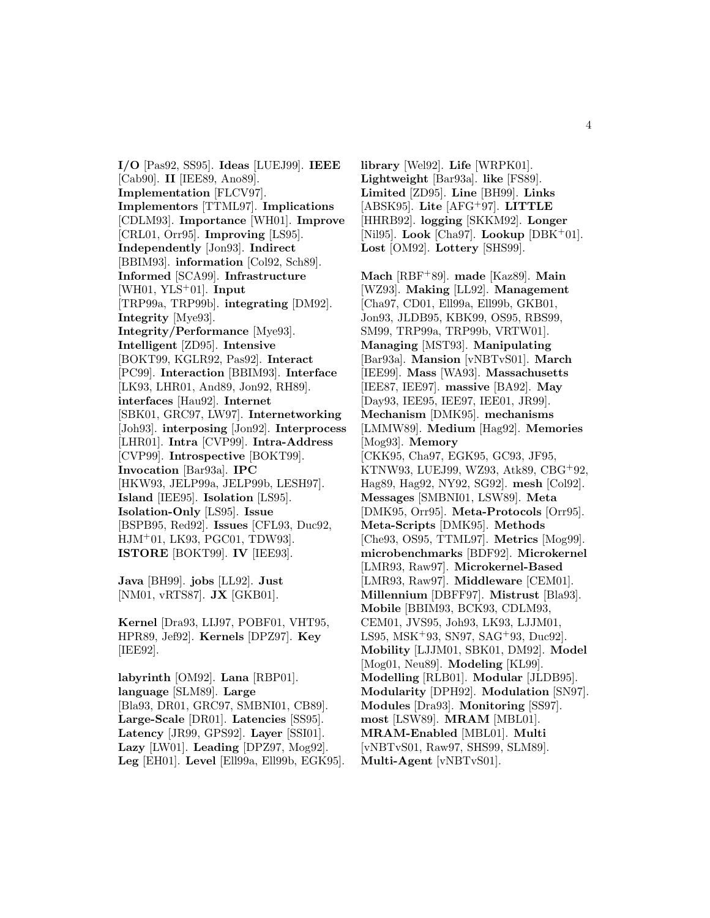**I/O** [Pas92, SS95]. **Ideas** [LUEJ99]. **IEEE** [Cab90]. **II** [IEE89, Ano89]. **Implementation** [FLCV97]. **Implementors** [TTML97]. **Implications** [CDLM93]. **Importance** [WH01]. **Improve** [CRL01, Orr95]. **Improving** [LS95]. **Independently** [Jon93]. **Indirect** [BBIM93]. **information** [Col92, Sch89]. **Informed** [SCA99]. **Infrastructure** [WH01, YLS<sup>+</sup>01]. **Input** [TRP99a, TRP99b]. **integrating** [DM92]. **Integrity** [Mye93]. **Integrity/Performance** [Mye93]. **Intelligent** [ZD95]. **Intensive** [BOKT99, KGLR92, Pas92]. **Interact** [PC99]. **Interaction** [BBIM93]. **Interface** [LK93, LHR01, And89, Jon92, RH89]. **interfaces** [Hau92]. **Internet** [SBK01, GRC97, LW97]. **Internetworking** [Joh93]. **interposing** [Jon92]. **Interprocess** [LHR01]. **Intra** [CVP99]. **Intra-Address** [CVP99]. **Introspective** [BOKT99]. **Invocation** [Bar93a]. **IPC** [HKW93, JELP99a, JELP99b, LESH97]. **Island** [IEE95]. **Isolation** [LS95]. **Isolation-Only** [LS95]. **Issue** [BSPB95, Red92]. **Issues** [CFL93, Duc92, HJM<sup>+</sup>01, LK93, PGC01, TDW93]. **ISTORE** [BOKT99]. **IV** [IEE93].

**Java** [BH99]. **jobs** [LL92]. **Just** [NM01, vRTS87]. **JX** [GKB01].

**Kernel** [Dra93, LIJ97, POBF01, VHT95, HPR89, Jef92]. **Kernels** [DPZ97]. **Key** [IEE92].

**labyrinth** [OM92]. **Lana** [RBP01]. **language** [SLM89]. **Large** [Bla93, DR01, GRC97, SMBNI01, CB89]. **Large-Scale** [DR01]. **Latencies** [SS95]. **Latency** [JR99, GPS92]. **Layer** [SSI01]. **Lazy** [LW01]. **Leading** [DPZ97, Mog92]. **Leg** [EH01]. **Level** [Ell99a, Ell99b, EGK95].

**library** [Wel92]. **Life** [WRPK01]. **Lightweight** [Bar93a]. **like** [FS89]. **Limited** [ZD95]. **Line** [BH99]. **Links** [ABSK95]. **Lite** [AFG<sup>+</sup>97]. **LITTLE** [HHRB92]. **logging** [SKKM92]. **Longer** [Nil95]. **Look** [Cha97]. **Lookup** [DBK<sup>+</sup>01]. **Lost** [OM92]. **Lottery** [SHS99].

**Mach** [RBF<sup>+</sup>89]. **made** [Kaz89]. **Main** [WZ93]. **Making** [LL92]. **Management** [Cha97, CD01, Ell99a, Ell99b, GKB01, Jon93, JLDB95, KBK99, OS95, RBS99, SM99, TRP99a, TRP99b, VRTW01]. **Managing** [MST93]. **Manipulating** [Bar93a]. **Mansion** [vNBTvS01]. **March** [IEE99]. **Mass** [WA93]. **Massachusetts** [IEE87, IEE97]. **massive** [BA92]. **May** [Day93, IEE95, IEE97, IEE01, JR99]. **Mechanism** [DMK95]. **mechanisms** [LMMW89]. **Medium** [Hag92]. **Memories** [Mog93]. **Memory** [CKK95, Cha97, EGK95, GC93, JF95, KTNW93, LUEJ99, WZ93, Atk89, CBG<sup>+</sup>92, Hag89, Hag92, NY92, SG92]. **mesh** [Col92]. **Messages** [SMBNI01, LSW89]. **Meta** [DMK95, Orr95]. **Meta-Protocols** [Orr95]. **Meta-Scripts** [DMK95]. **Methods** [Che93, OS95, TTML97]. **Metrics** [Mog99]. **microbenchmarks** [BDF92]. **Microkernel** [LMR93, Raw97]. **Microkernel-Based** [LMR93, Raw97]. **Middleware** [CEM01]. **Millennium** [DBFF97]. **Mistrust** [Bla93]. **Mobile** [BBIM93, BCK93, CDLM93, CEM01, JVS95, Joh93, LK93, LJJM01, LS95, MSK<sup>+</sup>93, SN97, SAG<sup>+</sup>93, Duc92]. **Mobility** [LJJM01, SBK01, DM92]. **Model** [Mog01, Neu89]. **Modeling** [KL99]. **Modelling** [RLB01]. **Modular** [JLDB95]. **Modularity** [DPH92]. **Modulation** [SN97]. **Modules** [Dra93]. **Monitoring** [SS97]. **most** [LSW89]. **MRAM** [MBL01]. **MRAM-Enabled** [MBL01]. **Multi** [vNBTvS01, Raw97, SHS99, SLM89]. **Multi-Agent** [vNBTvS01].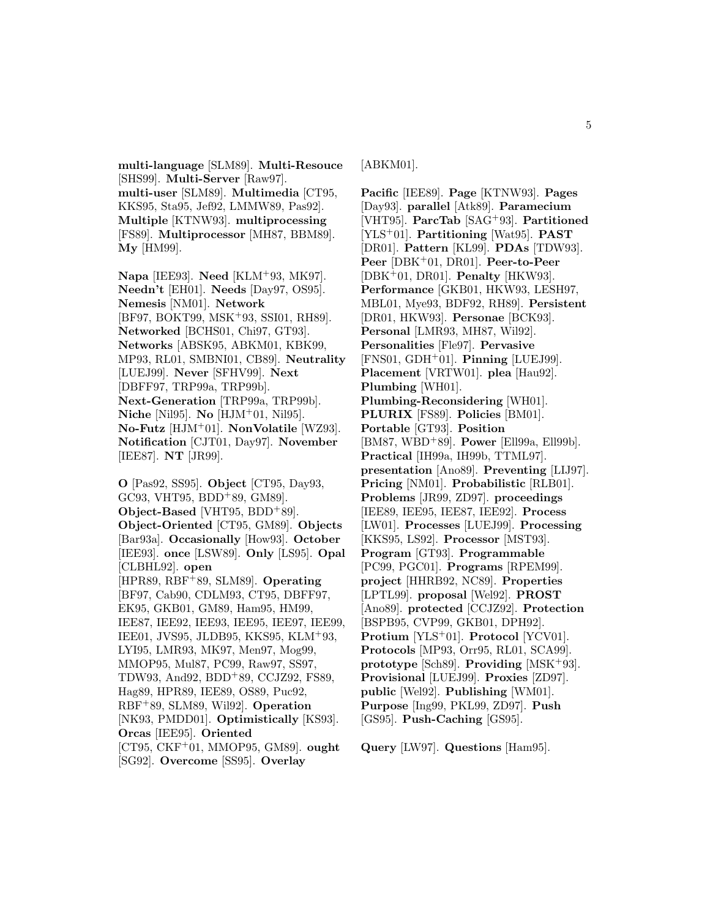**multi-language** [SLM89]. **Multi-Resouce** [SHS99]. **Multi-Server** [Raw97]. **multi-user** [SLM89]. **Multimedia** [CT95, KKS95, Sta95, Jef92, LMMW89, Pas92]. **Multiple** [KTNW93]. **multiprocessing** [FS89]. **Multiprocessor** [MH87, BBM89]. **My** [HM99].

**Napa** [IEE93]. **Need** [KLM<sup>+</sup>93, MK97]. **Needn't** [EH01]. **Needs** [Day97, OS95]. **Nemesis** [NM01]. **Network** [BF97, BOKT99, MSK<sup>+</sup>93, SSI01, RH89]. **Networked** [BCHS01, Chi97, GT93]. **Networks** [ABSK95, ABKM01, KBK99, MP93, RL01, SMBNI01, CB89]. **Neutrality** [LUEJ99]. **Never** [SFHV99]. **Next** [DBFF97, TRP99a, TRP99b]. **Next-Generation** [TRP99a, TRP99b]. **Niche** [Nil95]. **No** [HJM<sup>+</sup>01, Nil95]. **No-Futz** [HJM<sup>+</sup>01]. **NonVolatile** [WZ93]. **Notification** [CJT01, Day97]. **November** [IEE87]. **NT** [JR99].

**O** [Pas92, SS95]. **Object** [CT95, Day93, GC93, VHT95, BDD<sup>+</sup>89, GM89]. **Object-Based** [VHT95, BDD<sup>+</sup>89]. **Object-Oriented** [CT95, GM89]. **Objects** [Bar93a]. **Occasionally** [How93]. **October** [IEE93]. **once** [LSW89]. **Only** [LS95]. **Opal** [CLBHL92]. **open** [HPR89, RBF<sup>+</sup>89, SLM89]. **Operating** [BF97, Cab90, CDLM93, CT95, DBFF97, EK95, GKB01, GM89, Ham95, HM99, IEE87, IEE92, IEE93, IEE95, IEE97, IEE99, IEE01, JVS95, JLDB95, KKS95, KLM<sup>+</sup>93, LYI95, LMR93, MK97, Men97, Mog99, MMOP95, Mul87, PC99, Raw97, SS97, TDW93, And92, BDD<sup>+</sup>89, CCJZ92, FS89, Hag89, HPR89, IEE89, OS89, Puc92, RBF<sup>+</sup>89, SLM89, Wil92]. **Operation** [NK93, PMDD01]. **Optimistically** [KS93]. **Orcas** [IEE95]. **Oriented** [CT95, CKF<sup>+</sup>01, MMOP95, GM89]. **ought** [SG92]. **Overcome** [SS95]. **Overlay**

[ABKM01].

**Pacific** [IEE89]. **Page** [KTNW93]. **Pages** [Day93]. **parallel** [Atk89]. **Paramecium** [VHT95]. **ParcTab** [SAG<sup>+</sup>93]. **Partitioned** [YLS<sup>+</sup>01]. **Partitioning** [Wat95]. **PAST** [DR01]. **Pattern** [KL99]. **PDAs** [TDW93]. **Peer** [DBK<sup>+</sup>01, DR01]. **Peer-to-Peer** [DBK<sup>+</sup>01, DR01]. **Penalty** [HKW93]. **Performance** [GKB01, HKW93, LESH97, MBL01, Mye93, BDF92, RH89]. **Persistent** [DR01, HKW93]. **Personae** [BCK93]. **Personal** [LMR93, MH87, Wil92]. **Personalities** [Fle97]. **Pervasive** [FNS01, GDH<sup>+</sup>01]. **Pinning** [LUEJ99]. **Placement** [VRTW01]. **plea** [Hau92]. **Plumbing** [WH01]. **Plumbing-Reconsidering** [WH01]. **PLURIX** [FS89]. **Policies** [BM01]. **Portable** [GT93]. **Position** [BM87, WBD<sup>+</sup>89]. **Power** [Ell99a, Ell99b]. **Practical** [IH99a, IH99b, TTML97]. **presentation** [Ano89]. **Preventing** [LIJ97]. **Pricing** [NM01]. **Probabilistic** [RLB01]. **Problems** [JR99, ZD97]. **proceedings** [IEE89, IEE95, IEE87, IEE92]. **Process** [LW01]. **Processes** [LUEJ99]. **Processing** [KKS95, LS92]. **Processor** [MST93]. **Program** [GT93]. **Programmable** [PC99, PGC01]. **Programs** [RPEM99]. **project** [HHRB92, NC89]. **Properties** [LPTL99]. **proposal** [Wel92]. **PROST** [Ano89]. **protected** [CCJZ92]. **Protection** [BSPB95, CVP99, GKB01, DPH92]. **Protium** [YLS<sup>+</sup>01]. **Protocol** [YCV01]. **Protocols** [MP93, Orr95, RL01, SCA99]. **prototype** [Sch89]. **Providing** [MSK<sup>+</sup>93]. **Provisional** [LUEJ99]. **Proxies** [ZD97]. **public** [Wel92]. **Publishing** [WM01]. **Purpose** [Ing99, PKL99, ZD97]. **Push** [GS95]. **Push-Caching** [GS95].

**Query** [LW97]. **Questions** [Ham95].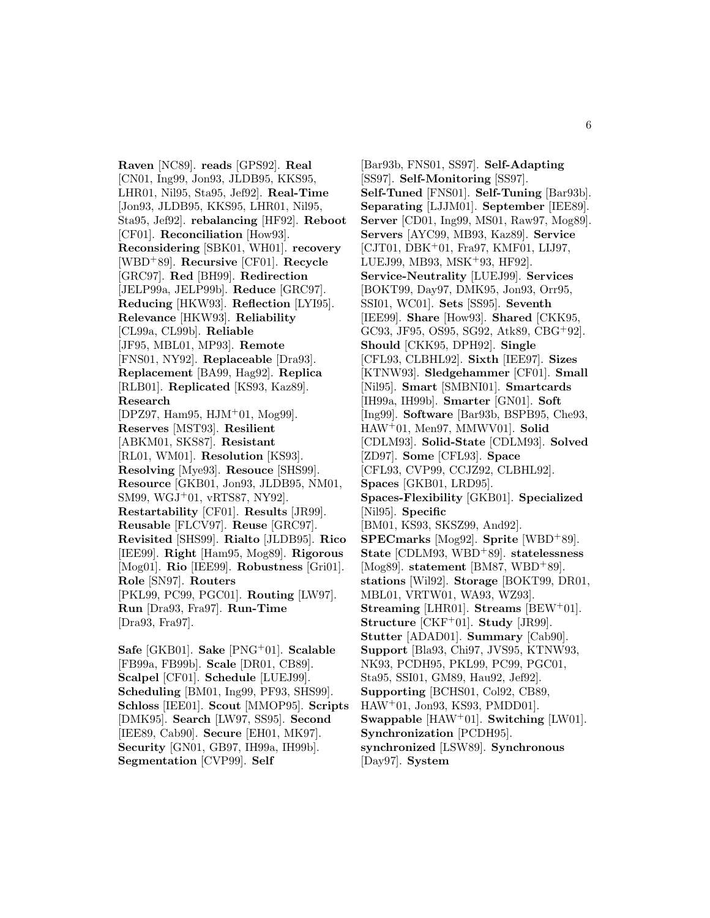**Raven** [NC89]. **reads** [GPS92]. **Real** [CN01, Ing99, Jon93, JLDB95, KKS95, LHR01, Nil95, Sta95, Jef92]. **Real-Time** [Jon93, JLDB95, KKS95, LHR01, Nil95, Sta95, Jef92]. **rebalancing** [HF92]. **Reboot** [CF01]. **Reconciliation** [How93]. **Reconsidering** [SBK01, WH01]. **recovery** [WBD<sup>+</sup>89]. **Recursive** [CF01]. **Recycle** [GRC97]. **Red** [BH99]. **Redirection** [JELP99a, JELP99b]. **Reduce** [GRC97]. **Reducing** [HKW93]. **Reflection** [LYI95]. **Relevance** [HKW93]. **Reliability** [CL99a, CL99b]. **Reliable** [JF95, MBL01, MP93]. **Remote** [FNS01, NY92]. **Replaceable** [Dra93]. **Replacement** [BA99, Hag92]. **Replica** [RLB01]. **Replicated** [KS93, Kaz89]. **Research** [DPZ97, Ham95, HJM<sup>+</sup>01, Mog99]. **Reserves** [MST93]. **Resilient** [ABKM01, SKS87]. **Resistant** [RL01, WM01]. **Resolution** [KS93]. **Resolving** [Mye93]. **Resouce** [SHS99]. **Resource** [GKB01, Jon93, JLDB95, NM01, SM99, WGJ<sup>+</sup>01, vRTS87, NY92]. **Restartability** [CF01]. **Results** [JR99]. **Reusable** [FLCV97]. **Reuse** [GRC97]. **Revisited** [SHS99]. **Rialto** [JLDB95]. **Rico** [IEE99]. **Right** [Ham95, Mog89]. **Rigorous** [Mog01]. **Rio** [IEE99]. **Robustness** [Gri01]. **Role** [SN97]. **Routers** [PKL99, PC99, PGC01]. **Routing** [LW97]. **Run** [Dra93, Fra97]. **Run-Time** [Dra93, Fra97]. **Safe** [GKB01]. **Sake** [PNG<sup>+</sup>01]. **Scalable**

[FB99a, FB99b]. **Scale** [DR01, CB89]. **Scalpel** [CF01]. **Schedule** [LUEJ99]. **Scheduling** [BM01, Ing99, PF93, SHS99]. **Schloss** [IEE01]. **Scout** [MMOP95]. **Scripts** [DMK95]. **Search** [LW97, SS95]. **Second** [IEE89, Cab90]. **Secure** [EH01, MK97]. **Security** [GN01, GB97, IH99a, IH99b]. **Segmentation** [CVP99]. **Self**

[Bar93b, FNS01, SS97]. **Self-Adapting** [SS97]. **Self-Monitoring** [SS97]. **Self-Tuned** [FNS01]. **Self-Tuning** [Bar93b]. **Separating** [LJJM01]. **September** [IEE89]. **Server** [CD01, Ing99, MS01, Raw97, Mog89]. **Servers** [AYC99, MB93, Kaz89]. **Service** [CJT01, DBK<sup>+</sup>01, Fra97, KMF01, LIJ97, LUEJ99, MB93, MSK<sup>+</sup>93, HF92]. **Service-Neutrality** [LUEJ99]. **Services** [BOKT99, Day97, DMK95, Jon93, Orr95, SSI01, WC01]. **Sets** [SS95]. **Seventh** [IEE99]. **Share** [How93]. **Shared** [CKK95, GC93, JF95, OS95, SG92, Atk89, CBG<sup>+</sup>92]. **Should** [CKK95, DPH92]. **Single** [CFL93, CLBHL92]. **Sixth** [IEE97]. **Sizes** [KTNW93]. **Sledgehammer** [CF01]. **Small** [Nil95]. **Smart** [SMBNI01]. **Smartcards** [IH99a, IH99b]. **Smarter** [GN01]. **Soft** [Ing99]. **Software** [Bar93b, BSPB95, Che93, HAW<sup>+</sup>01, Men97, MMWV01]. **Solid** [CDLM93]. **Solid-State** [CDLM93]. **Solved** [ZD97]. **Some** [CFL93]. **Space** [CFL93, CVP99, CCJZ92, CLBHL92]. **Spaces** [GKB01, LRD95]. **Spaces-Flexibility** [GKB01]. **Specialized** [Nil95]. **Specific** [BM01, KS93, SKSZ99, And92]. **SPECmarks** [Mog92]. **Sprite** [WBD<sup>+</sup>89]. **State** [CDLM93, WBD<sup>+</sup>89]. **statelessness** [Mog89]. **statement** [BM87, WBD<sup>+</sup>89]. **stations** [Wil92]. **Storage** [BOKT99, DR01, MBL01, VRTW01, WA93, WZ93]. **Streaming** [LHR01]. **Streams** [BEW<sup>+</sup>01]. **Structure** [CKF<sup>+</sup>01]. **Study** [JR99]. **Stutter** [ADAD01]. **Summary** [Cab90]. **Support** [Bla93, Chi97, JVS95, KTNW93, NK93, PCDH95, PKL99, PC99, PGC01, Sta95, SSI01, GM89, Hau92, Jef92]. **Supporting** [BCHS01, Col92, CB89, HAW<sup>+</sup>01, Jon93, KS93, PMDD01]. **Swappable** [HAW<sup>+</sup>01]. **Switching** [LW01]. **Synchronization** [PCDH95]. **synchronized** [LSW89]. **Synchronous** [Day97]. **System**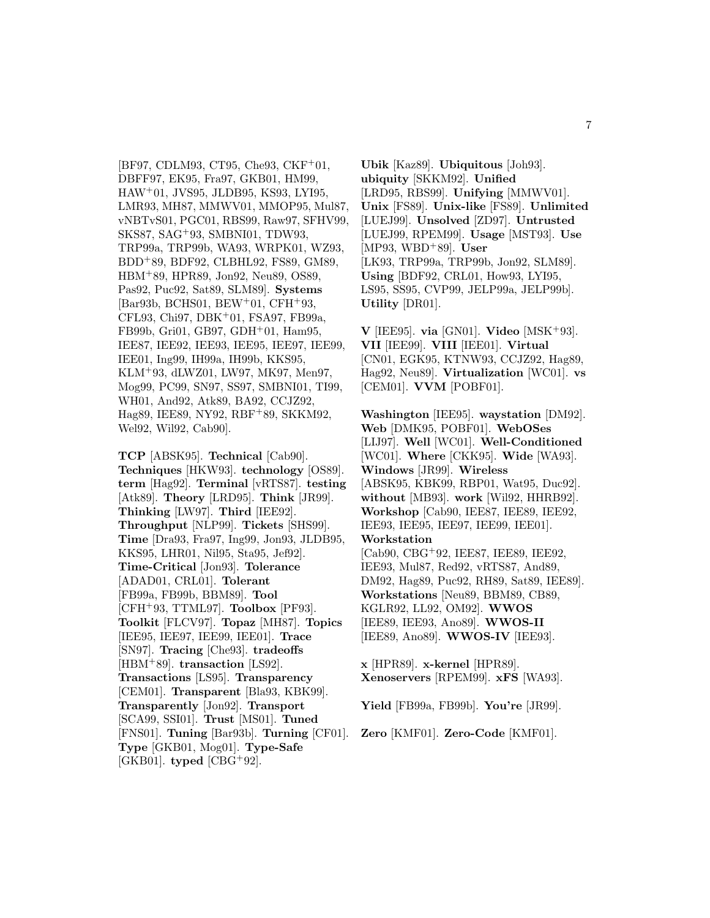[BF97, CDLM93, CT95, Che93, CKF<sup>+</sup>01, DBFF97, EK95, Fra97, GKB01, HM99, HAW<sup>+</sup>01, JVS95, JLDB95, KS93, LYI95, LMR93, MH87, MMWV01, MMOP95, Mul87, vNBTvS01, PGC01, RBS99, Raw97, SFHV99, SKS87, SAG<sup>+</sup>93, SMBNI01, TDW93, TRP99a, TRP99b, WA93, WRPK01, WZ93, BDD<sup>+</sup>89, BDF92, CLBHL92, FS89, GM89, HBM<sup>+</sup>89, HPR89, Jon92, Neu89, OS89, Pas92, Puc92, Sat89, SLM89]. **Systems** [Bar93b, BCHS01, BEW<sup>+</sup>01, CFH<sup>+</sup>93, CFL93, Chi97, DBK<sup>+</sup>01, FSA97, FB99a, FB99b, Gri01, GB97, GDH<sup>+</sup>01, Ham95, IEE87, IEE92, IEE93, IEE95, IEE97, IEE99, IEE01, Ing99, IH99a, IH99b, KKS95, KLM<sup>+</sup>93, dLWZ01, LW97, MK97, Men97, Mog99, PC99, SN97, SS97, SMBNI01, TI99, WH01, And92, Atk89, BA92, CCJZ92, Hag89, IEE89, NY92, RBF+89, SKKM92, Wel92, Wil92, Cab90].

**TCP** [ABSK95]. **Technical** [Cab90]. **Techniques** [HKW93]. **technology** [OS89]. **term** [Hag92]. **Terminal** [vRTS87]. **testing** [Atk89]. **Theory** [LRD95]. **Think** [JR99]. **Thinking** [LW97]. **Third** [IEE92]. **Throughput** [NLP99]. **Tickets** [SHS99]. **Time** [Dra93, Fra97, Ing99, Jon93, JLDB95, KKS95, LHR01, Nil95, Sta95, Jef92]. **Time-Critical** [Jon93]. **Tolerance** [ADAD01, CRL01]. **Tolerant** [FB99a, FB99b, BBM89]. **Tool** [CFH<sup>+</sup>93, TTML97]. **Toolbox** [PF93]. **Toolkit** [FLCV97]. **Topaz** [MH87]. **Topics** [IEE95, IEE97, IEE99, IEE01]. **Trace** [SN97]. **Tracing** [Che93]. **tradeoffs** [HBM<sup>+</sup>89]. **transaction** [LS92]. **Transactions** [LS95]. **Transparency** [CEM01]. **Transparent** [Bla93, KBK99]. **Transparently** [Jon92]. **Transport** [SCA99, SSI01]. **Trust** [MS01]. **Tuned** [FNS01]. **Tuning** [Bar93b]. **Turning** [CF01]. **Zero** [KMF01]. **Zero-Code** [KMF01].**Type** [GKB01, Mog01]. **Type-Safe** [GKB01]. **typed** [CBG<sup>+</sup>92].

**Ubik** [Kaz89]. **Ubiquitous** [Joh93]. **ubiquity** [SKKM92]. **Unified** [LRD95, RBS99]. **Unifying** [MMWV01]. **Unix** [FS89]. **Unix-like** [FS89]. **Unlimited** [LUEJ99]. **Unsolved** [ZD97]. **Untrusted** [LUEJ99, RPEM99]. **Usage** [MST93]. **Use** [MP93, WBD<sup>+</sup>89]. **User** [LK93, TRP99a, TRP99b, Jon92, SLM89]. **Using** [BDF92, CRL01, How93, LYI95, LS95, SS95, CVP99, JELP99a, JELP99b]. **Utility** [DR01].

**V** [IEE95]. **via** [GN01]. **Video** [MSK<sup>+</sup>93]. **VII** [IEE99]. **VIII** [IEE01]. **Virtual** [CN01, EGK95, KTNW93, CCJZ92, Hag89, Hag92, Neu89]. **Virtualization** [WC01]. **vs** [CEM01]. **VVM** [POBF01].

**Washington** [IEE95]. **waystation** [DM92]. **Web** [DMK95, POBF01]. **WebOSes** [LIJ97]. **Well** [WC01]. **Well-Conditioned** [WC01]. **Where** [CKK95]. **Wide** [WA93]. **Windows** [JR99]. **Wireless** [ABSK95, KBK99, RBP01, Wat95, Duc92]. **without** [MB93]. **work** [Wil92, HHRB92]. **Workshop** [Cab90, IEE87, IEE89, IEE92, IEE93, IEE95, IEE97, IEE99, IEE01]. **Workstation** [Cab90, CBG<sup>+</sup>92, IEE87, IEE89, IEE92, IEE93, Mul87, Red92, vRTS87, And89, DM92, Hag89, Puc92, RH89, Sat89, IEE89]. **Workstations** [Neu89, BBM89, CB89, KGLR92, LL92, OM92]. **WWOS** [IEE89, IEE93, Ano89]. **WWOS-II** [IEE89, Ano89]. **WWOS-IV** [IEE93].

**x** [HPR89]. **x-kernel** [HPR89]. **Xenoservers** [RPEM99]. **xFS** [WA93].

**Yield** [FB99a, FB99b]. **You're** [JR99].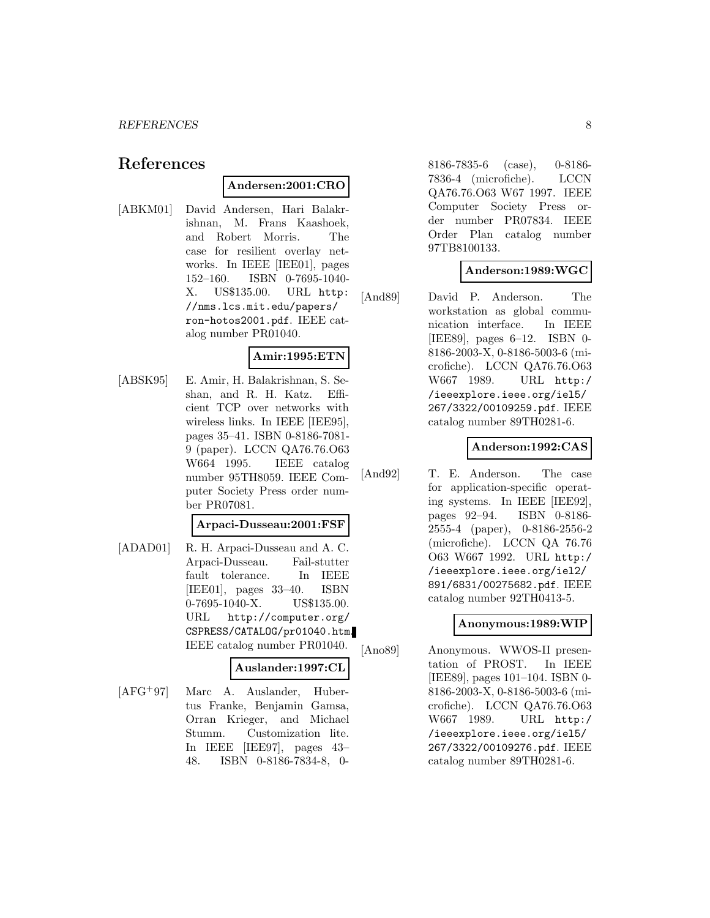# **References**

### **Andersen:2001:CRO**

[ABKM01] David Andersen, Hari Balakrishnan, M. Frans Kaashoek, and Robert Morris. The case for resilient overlay networks. In IEEE [IEE01], pages 152–160. ISBN 0-7695-1040- X. US\$135.00. URL http: //nms.lcs.mit.edu/papers/ ron-hotos2001.pdf. IEEE catalog number PR01040.

# **Amir:1995:ETN**

[ABSK95] E. Amir, H. Balakrishnan, S. Seshan, and R. H. Katz. Efficient TCP over networks with wireless links. In IEEE [IEE95], pages 35–41. ISBN 0-8186-7081- 9 (paper). LCCN QA76.76.O63 W664 1995. IEEE catalog number 95TH8059. IEEE Computer Society Press order number PR07081.

### **Arpaci-Dusseau:2001:FSF**

[ADAD01] R. H. Arpaci-Dusseau and A. C. Arpaci-Dusseau. Fail-stutter fault tolerance. In IEEE [IEE01], pages 33–40. ISBN 0-7695-1040-X. US\$135.00. URL http://computer.org/ CSPRESS/CATALOG/pr01040.htm. IEEE catalog number PR01040.

#### **Auslander:1997:CL**

[AFG<sup>+</sup>97] Marc A. Auslander, Hubertus Franke, Benjamin Gamsa, Orran Krieger, and Michael Stumm. Customization lite. In IEEE [IEE97], pages 43– 48. ISBN 0-8186-7834-8, 08186-7835-6 (case), 0-8186- 7836-4 (microfiche). LCCN QA76.76.O63 W67 1997. IEEE Computer Society Press order number PR07834. IEEE Order Plan catalog number 97TB8100133.

### **Anderson:1989:WGC**

[And89] David P. Anderson. The workstation as global communication interface. In IEEE [IEE89], pages 6–12. ISBN 0- 8186-2003-X, 0-8186-5003-6 (microfiche). LCCN QA76.76.O63 W667 1989. URL http:/ /ieeexplore.ieee.org/iel5/ 267/3322/00109259.pdf. IEEE catalog number 89TH0281-6.

#### **Anderson:1992:CAS**

[And92] T. E. Anderson. The case for application-specific operating systems. In IEEE [IEE92], pages 92–94. ISBN 0-8186- 2555-4 (paper), 0-8186-2556-2 (microfiche). LCCN QA 76.76 O63 W667 1992. URL http:/ /ieeexplore.ieee.org/iel2/ 891/6831/00275682.pdf. IEEE catalog number 92TH0413-5.

#### **Anonymous:1989:WIP**

[Ano89] Anonymous. WWOS-II presentation of PROST. In IEEE [IEE89], pages 101–104. ISBN 0- 8186-2003-X, 0-8186-5003-6 (microfiche). LCCN QA76.76.O63 W667 1989. URL http:/ /ieeexplore.ieee.org/iel5/ 267/3322/00109276.pdf. IEEE catalog number 89TH0281-6.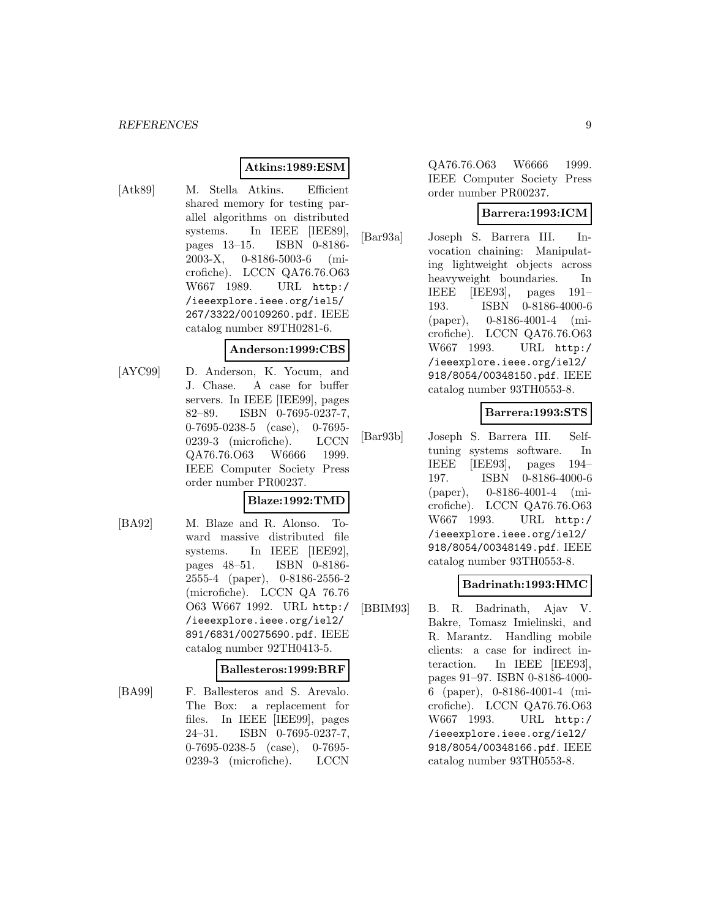# **Atkins:1989:ESM**

[Atk89] M. Stella Atkins. Efficient shared memory for testing parallel algorithms on distributed systems. In IEEE [IEE89], pages 13–15. ISBN 0-8186- 2003-X, 0-8186-5003-6 (microfiche). LCCN QA76.76.O63 W667 1989. URL http:/ /ieeexplore.ieee.org/iel5/ 267/3322/00109260.pdf. IEEE catalog number 89TH0281-6.

#### **Anderson:1999:CBS**

[AYC99] D. Anderson, K. Yocum, and J. Chase. A case for buffer servers. In IEEE [IEE99], pages 82–89. ISBN 0-7695-0237-7, 0-7695-0238-5 (case), 0-7695- 0239-3 (microfiche). LCCN QA76.76.O63 W6666 1999. IEEE Computer Society Press order number PR00237.

#### **Blaze:1992:TMD**

[BA92] M. Blaze and R. Alonso. Toward massive distributed file systems. In IEEE [IEE92], pages 48–51. ISBN 0-8186- 2555-4 (paper), 0-8186-2556-2 (microfiche). LCCN QA 76.76 O63 W667 1992. URL http:/ /ieeexplore.ieee.org/iel2/ 891/6831/00275690.pdf. IEEE catalog number 92TH0413-5.

#### **Ballesteros:1999:BRF**

[BA99] F. Ballesteros and S. Arevalo. The Box: a replacement for files. In IEEE [IEE99], pages 24–31. ISBN 0-7695-0237-7, 0-7695-0238-5 (case), 0-7695- 0239-3 (microfiche). LCCN

QA76.76.O63 W6666 1999. IEEE Computer Society Press order number PR00237.

# **Barrera:1993:ICM**

[Bar93a] Joseph S. Barrera III. Invocation chaining: Manipulating lightweight objects across heavyweight boundaries. In IEEE [IEE93], pages 191– 193. ISBN 0-8186-4000-6 (paper), 0-8186-4001-4 (microfiche). LCCN QA76.76.O63 W667 1993. URL http:/ /ieeexplore.ieee.org/iel2/ 918/8054/00348150.pdf. IEEE catalog number 93TH0553-8.

# **Barrera:1993:STS**

[Bar93b] Joseph S. Barrera III. Selftuning systems software. In IEEE [IEE93], pages 194– 197. ISBN 0-8186-4000-6 (paper), 0-8186-4001-4 (microfiche). LCCN QA76.76.O63 W667 1993. URL http:/ /ieeexplore.ieee.org/iel2/ 918/8054/00348149.pdf. IEEE catalog number 93TH0553-8.

# **Badrinath:1993:HMC**

[BBIM93] B. R. Badrinath, Ajav V. Bakre, Tomasz Imielinski, and R. Marantz. Handling mobile clients: a case for indirect interaction. In IEEE [IEE93], pages 91–97. ISBN 0-8186-4000- 6 (paper), 0-8186-4001-4 (microfiche). LCCN QA76.76.O63 W667 1993. URL http:/ /ieeexplore.ieee.org/iel2/ 918/8054/00348166.pdf. IEEE catalog number 93TH0553-8.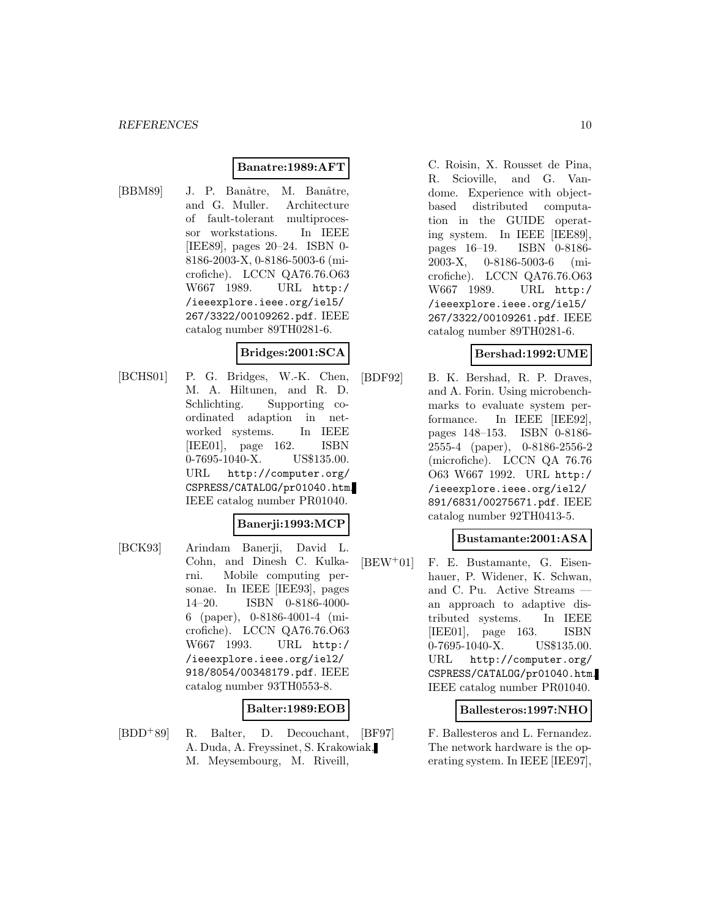#### **Banatre:1989:AFT**

[BBM89] J. P. Banâtre, M. Banâtre, and G. Muller. Architecture of fault-tolerant multiprocessor workstations. In IEEE [IEE89], pages 20–24. ISBN 0- 8186-2003-X, 0-8186-5003-6 (microfiche). LCCN QA76.76.O63 W667 1989. URL http:/ /ieeexplore.ieee.org/iel5/ 267/3322/00109262.pdf. IEEE catalog number 89TH0281-6.

#### **Bridges:2001:SCA**

[BCHS01] P. G. Bridges, W.-K. Chen, M. A. Hiltunen, and R. D. Schlichting. Supporting coordinated adaption in networked systems. In IEEE [IEE01], page 162. ISBN 0-7695-1040-X. US\$135.00. URL http://computer.org/ CSPRESS/CATALOG/pr01040.htm. IEEE catalog number PR01040.

#### **Banerji:1993:MCP**

[BCK93] Arindam Banerji, David L. Cohn, and Dinesh C. Kulkarni. Mobile computing personae. In IEEE [IEE93], pages 14–20. ISBN 0-8186-4000- 6 (paper), 0-8186-4001-4 (microfiche). LCCN QA76.76.O63 W667 1993. URL http:/ /ieeexplore.ieee.org/iel2/ 918/8054/00348179.pdf. IEEE catalog number 93TH0553-8.

# **Balter:1989:EOB**

[BDD<sup>+</sup>89] R. Balter, D. Decouchant, A. Duda, A. Freyssinet, S. Krakowiak, M. Meysembourg, M. Riveill,

C. Roisin, X. Rousset de Pina, R. Scioville, and G. Vandome. Experience with objectbased distributed computation in the GUIDE operating system. In IEEE [IEE89], pages 16–19. ISBN 0-8186- 2003-X, 0-8186-5003-6 (microfiche). LCCN QA76.76.O63 W667 1989. URL http:/ /ieeexplore.ieee.org/iel5/ 267/3322/00109261.pdf. IEEE catalog number 89TH0281-6.

### **Bershad:1992:UME**

[BDF92] B. K. Bershad, R. P. Draves, and A. Forin. Using microbenchmarks to evaluate system performance. In IEEE [IEE92], pages 148–153. ISBN 0-8186- 2555-4 (paper), 0-8186-2556-2 (microfiche). LCCN QA 76.76 O63 W667 1992. URL http:/ /ieeexplore.ieee.org/iel2/ 891/6831/00275671.pdf. IEEE catalog number 92TH0413-5.

# **Bustamante:2001:ASA**

[BEW<sup>+</sup>01] F. E. Bustamante, G. Eisenhauer, P. Widener, K. Schwan, and C. Pu. Active Streams an approach to adaptive distributed systems. In IEEE [IEE01], page 163. ISBN 0-7695-1040-X. US\$135.00. URL http://computer.org/ CSPRESS/CATALOG/pr01040.htm. IEEE catalog number PR01040.

### **Ballesteros:1997:NHO**

[BF97] F. Ballesteros and L. Fernandez. The network hardware is the operating system. In IEEE [IEE97],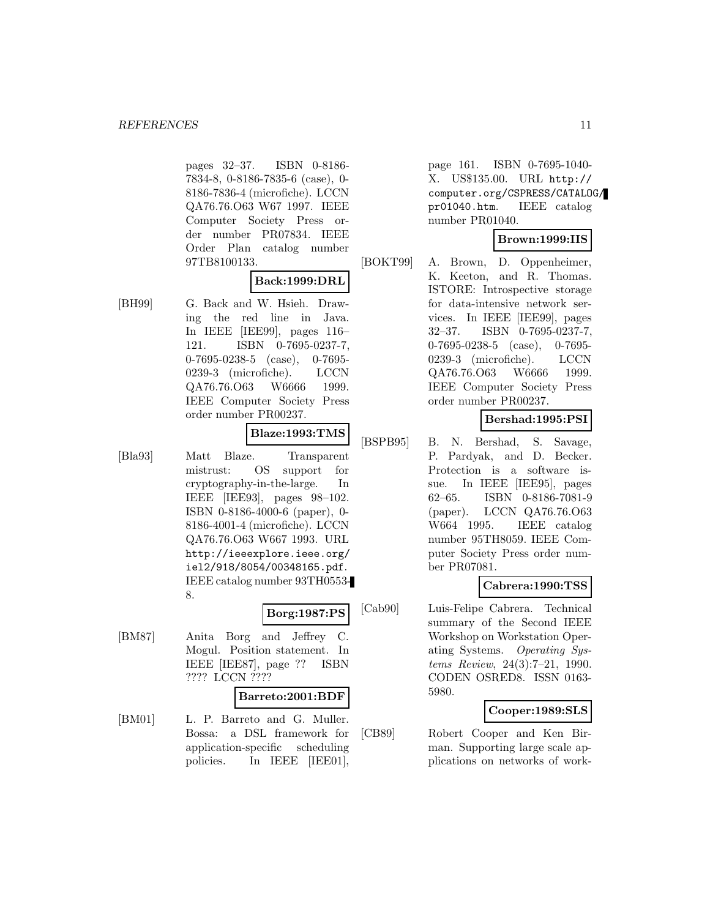pages 32–37. ISBN 0-8186- 7834-8, 0-8186-7835-6 (case), 0- 8186-7836-4 (microfiche). LCCN QA76.76.O63 W67 1997. IEEE Computer Society Press order number PR07834. IEEE Order Plan catalog number 97TB8100133.

# **Back:1999:DRL**

[BH99] G. Back and W. Hsieh. Drawing the red line in Java. In IEEE [IEE99], pages 116– 121. ISBN 0-7695-0237-7, 0-7695-0238-5 (case), 0-7695- 0239-3 (microfiche). LCCN QA76.76.O63 W6666 1999. IEEE Computer Society Press order number PR00237.

# **Blaze:1993:TMS**

[Bla93] Matt Blaze. Transparent mistrust: OS support for cryptography-in-the-large. In IEEE [IEE93], pages 98–102. ISBN 0-8186-4000-6 (paper), 0- 8186-4001-4 (microfiche). LCCN QA76.76.O63 W667 1993. URL http://ieeexplore.ieee.org/ iel2/918/8054/00348165.pdf. IEEE catalog number 93TH0553- 8.

# **Borg:1987:PS**

[BM87] Anita Borg and Jeffrey C. Mogul. Position statement. In IEEE [IEE87], page ?? ISBN ???? LCCN ????

#### **Barreto:2001:BDF**

[BM01] L. P. Barreto and G. Muller. Bossa: a DSL framework for application-specific scheduling policies. In IEEE [IEE01],

page 161. ISBN 0-7695-1040- X. US\$135.00. URL http:// computer.org/CSPRESS/CATALOG/ pr01040.htm. IEEE catalog number PR01040.

# **Brown:1999:IIS**

[BOKT99] A. Brown, D. Oppenheimer, K. Keeton, and R. Thomas. ISTORE: Introspective storage for data-intensive network services. In IEEE [IEE99], pages 32–37. ISBN 0-7695-0237-7, 0-7695-0238-5 (case), 0-7695- 0239-3 (microfiche). LCCN QA76.76.O63 W6666 1999. IEEE Computer Society Press order number PR00237.

# **Bershad:1995:PSI**

[BSPB95] B. N. Bershad, S. Savage, P. Pardyak, and D. Becker. Protection is a software issue. In IEEE [IEE95], pages 62–65. ISBN 0-8186-7081-9 (paper). LCCN QA76.76.O63 W664 1995. IEEE catalog number 95TH8059. IEEE Computer Society Press order number PR07081.

# **Cabrera:1990:TSS**

[Cab90] Luis-Felipe Cabrera. Technical summary of the Second IEEE Workshop on Workstation Operating Systems. Operating Systems Review, 24(3):7–21, 1990. CODEN OSRED8. ISSN 0163- 5980.

# **Cooper:1989:SLS**

[CB89] Robert Cooper and Ken Birman. Supporting large scale applications on networks of work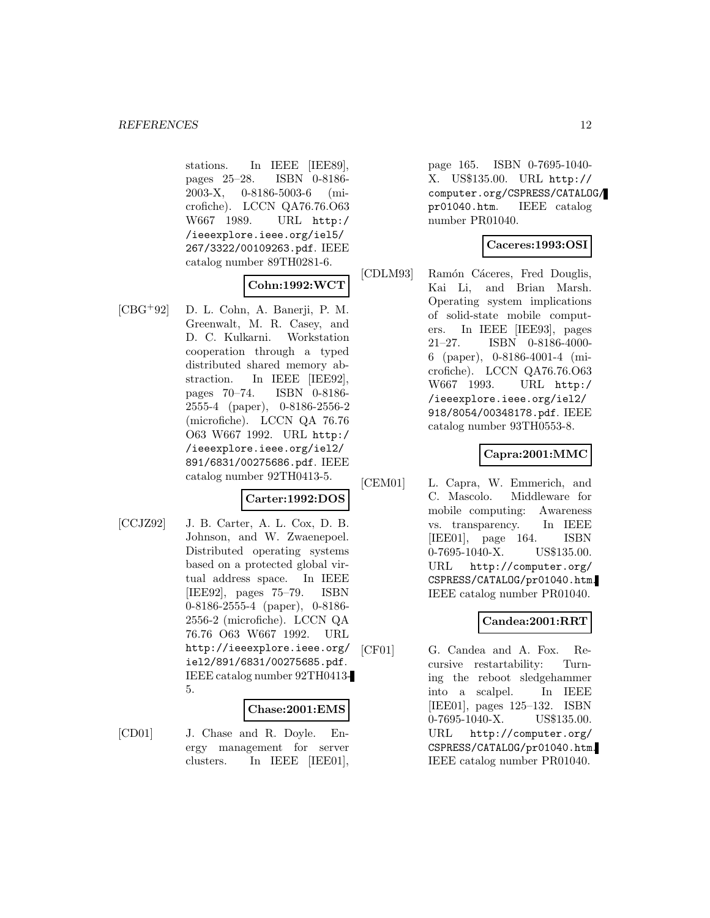stations. In IEEE [IEE89], pages 25–28. ISBN 0-8186- 2003-X, 0-8186-5003-6 (microfiche). LCCN QA76.76.O63 W667 1989. URL http:/ /ieeexplore.ieee.org/iel5/ 267/3322/00109263.pdf. IEEE catalog number 89TH0281-6.

# **Cohn:1992:WCT**

[CBG<sup>+</sup>92] D. L. Cohn, A. Banerji, P. M. Greenwalt, M. R. Casey, and D. C. Kulkarni. Workstation cooperation through a typed distributed shared memory abstraction. In IEEE [IEE92], pages 70–74. ISBN 0-8186- 2555-4 (paper), 0-8186-2556-2 (microfiche). LCCN QA 76.76 O63 W667 1992. URL http:/ /ieeexplore.ieee.org/iel2/ 891/6831/00275686.pdf. IEEE catalog number 92TH0413-5.

# **Carter:1992:DOS**

[CCJZ92] J. B. Carter, A. L. Cox, D. B. Johnson, and W. Zwaenepoel. Distributed operating systems based on a protected global virtual address space. In IEEE [IEE92], pages 75–79. ISBN 0-8186-2555-4 (paper), 0-8186- 2556-2 (microfiche). LCCN QA 76.76 O63 W667 1992. URL http://ieeexplore.ieee.org/ iel2/891/6831/00275685.pdf. IEEE catalog number 92TH0413- 5.

#### **Chase:2001:EMS**

[CD01] J. Chase and R. Doyle. Energy management for server clusters. In IEEE [IEE01],

page 165. ISBN 0-7695-1040- X. US\$135.00. URL http:// computer.org/CSPRESS/CATALOG/ pr01040.htm. IEEE catalog number PR01040.

### **Caceres:1993:OSI**

[CDLM93] Ramón Cáceres, Fred Douglis, Kai Li, and Brian Marsh. Operating system implications of solid-state mobile computers. In IEEE [IEE93], pages 21–27. ISBN 0-8186-4000- 6 (paper), 0-8186-4001-4 (microfiche). LCCN QA76.76.O63 W667 1993. URL http:/ /ieeexplore.ieee.org/iel2/ 918/8054/00348178.pdf. IEEE catalog number 93TH0553-8.

# **Capra:2001:MMC**

[CEM01] L. Capra, W. Emmerich, and C. Mascolo. Middleware for mobile computing: Awareness vs. transparency. In IEEE [IEE01], page 164. ISBN 0-7695-1040-X. US\$135.00. URL http://computer.org/ CSPRESS/CATALOG/pr01040.htm. IEEE catalog number PR01040.

#### **Candea:2001:RRT**

[CF01] G. Candea and A. Fox. Recursive restartability: Turning the reboot sledgehammer into a scalpel. In IEEE [IEE01], pages 125–132. ISBN 0-7695-1040-X. US\$135.00. URL http://computer.org/ CSPRESS/CATALOG/pr01040.htm. IEEE catalog number PR01040.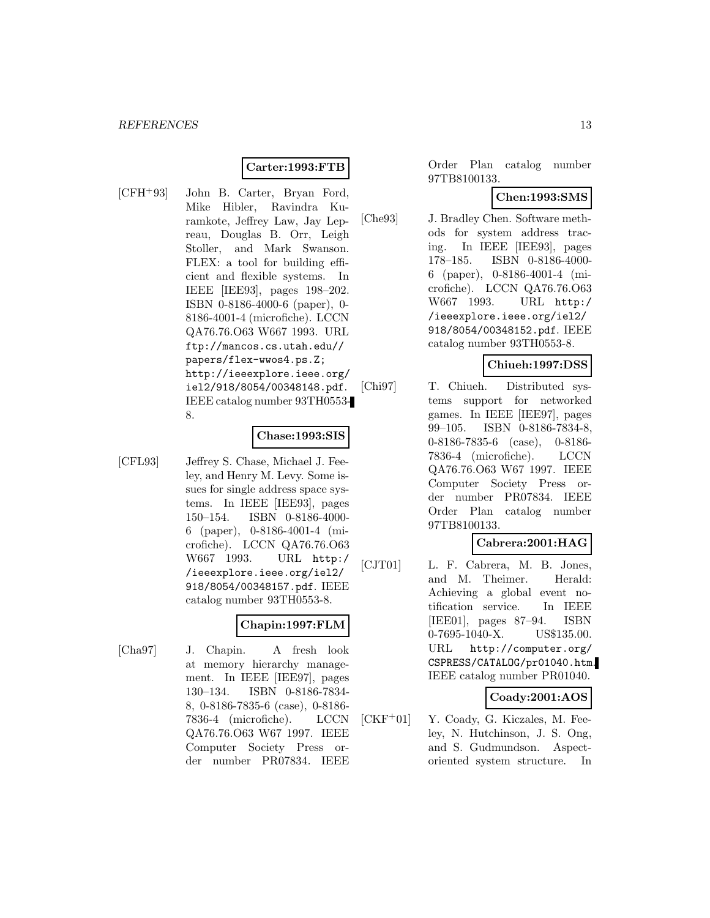# **Carter:1993:FTB**

[CFH<sup>+</sup>93] John B. Carter, Bryan Ford, Mike Hibler, Ravindra Kuramkote, Jeffrey Law, Jay Lepreau, Douglas B. Orr, Leigh Stoller, and Mark Swanson. FLEX: a tool for building efficient and flexible systems. In IEEE [IEE93], pages 198–202. ISBN 0-8186-4000-6 (paper), 0- 8186-4001-4 (microfiche). LCCN QA76.76.O63 W667 1993. URL ftp://mancos.cs.utah.edu// papers/flex-wwos4.ps.Z; http://ieeexplore.ieee.org/ iel2/918/8054/00348148.pdf. IEEE catalog number 93TH0553- 8.

#### **Chase:1993:SIS**

[CFL93] Jeffrey S. Chase, Michael J. Feeley, and Henry M. Levy. Some issues for single address space systems. In IEEE [IEE93], pages 150–154. ISBN 0-8186-4000- 6 (paper), 0-8186-4001-4 (microfiche). LCCN QA76.76.O63 W667 1993. URL http:/ /ieeexplore.ieee.org/iel2/ 918/8054/00348157.pdf. IEEE catalog number 93TH0553-8.

# **Chapin:1997:FLM**

[Cha97] J. Chapin. A fresh look at memory hierarchy management. In IEEE [IEE97], pages 130–134. ISBN 0-8186-7834- 8, 0-8186-7835-6 (case), 0-8186- 7836-4 (microfiche). LCCN QA76.76.O63 W67 1997. IEEE Computer Society Press order number PR07834. IEEE

Order Plan catalog number 97TB8100133.

### **Chen:1993:SMS**

[Che93] J. Bradley Chen. Software methods for system address tracing. In IEEE [IEE93], pages 178–185. ISBN 0-8186-4000- 6 (paper), 0-8186-4001-4 (microfiche). LCCN QA76.76.O63 W667 1993. URL http:/ /ieeexplore.ieee.org/iel2/ 918/8054/00348152.pdf. IEEE catalog number 93TH0553-8.

### **Chiueh:1997:DSS**

[Chi97] T. Chiueh. Distributed systems support for networked games. In IEEE [IEE97], pages 99–105. ISBN 0-8186-7834-8, 0-8186-7835-6 (case), 0-8186- 7836-4 (microfiche). LCCN QA76.76.O63 W67 1997. IEEE Computer Society Press order number PR07834. IEEE Order Plan catalog number 97TB8100133.

### **Cabrera:2001:HAG**

[CJT01] L. F. Cabrera, M. B. Jones, and M. Theimer. Herald: Achieving a global event notification service. In IEEE [IEE01], pages 87–94. ISBN 0-7695-1040-X. US\$135.00. URL http://computer.org/ CSPRESS/CATALOG/pr01040.htm. IEEE catalog number PR01040.

#### **Coady:2001:AOS**

[CKF<sup>+</sup>01] Y. Coady, G. Kiczales, M. Feeley, N. Hutchinson, J. S. Ong, and S. Gudmundson. Aspectoriented system structure. In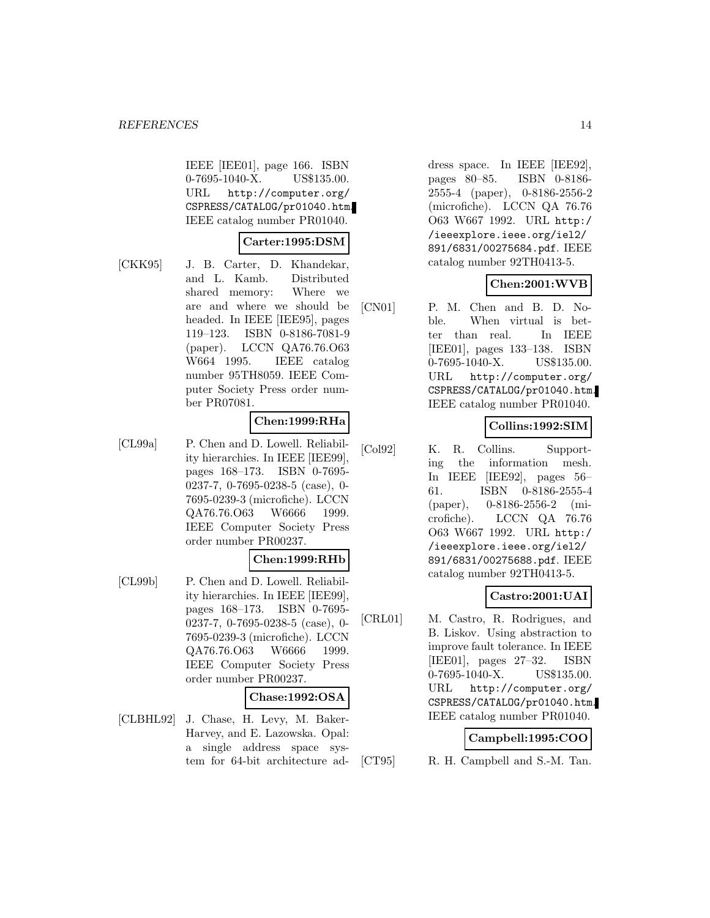IEEE [IEE01], page 166. ISBN 0-7695-1040-X. US\$135.00. URL http://computer.org/ CSPRESS/CATALOG/pr01040.htm. IEEE catalog number PR01040.

### **Carter:1995:DSM**

[CKK95] J. B. Carter, D. Khandekar, and L. Kamb. Distributed shared memory: Where we are and where we should be headed. In IEEE [IEE95], pages 119–123. ISBN 0-8186-7081-9 (paper). LCCN QA76.76.O63 W664 1995. IEEE catalog number 95TH8059. IEEE Computer Society Press order number PR07081.

### **Chen:1999:RHa**

[CL99a] P. Chen and D. Lowell. Reliability hierarchies. In IEEE [IEE99], pages 168–173. ISBN 0-7695- 0237-7, 0-7695-0238-5 (case), 0- 7695-0239-3 (microfiche). LCCN QA76.76.O63 W6666 1999. IEEE Computer Society Press order number PR00237.

#### **Chen:1999:RHb**

[CL99b] P. Chen and D. Lowell. Reliability hierarchies. In IEEE [IEE99], pages 168–173. ISBN 0-7695- 0237-7, 0-7695-0238-5 (case), 0- 7695-0239-3 (microfiche). LCCN QA76.76.O63 W6666 1999. IEEE Computer Society Press order number PR00237.

#### **Chase:1992:OSA**

[CLBHL92] J. Chase, H. Levy, M. Baker-Harvey, and E. Lazowska. Opal: a single address space system for 64-bit architecture address space. In IEEE [IEE92], pages 80–85. ISBN 0-8186- 2555-4 (paper), 0-8186-2556-2 (microfiche). LCCN QA 76.76 O63 W667 1992. URL http:/ /ieeexplore.ieee.org/iel2/ 891/6831/00275684.pdf. IEEE catalog number 92TH0413-5.

### **Chen:2001:WVB**

[CN01] P. M. Chen and B. D. Noble. When virtual is better than real. In IEEE [IEE01], pages 133–138. ISBN 0-7695-1040-X. US\$135.00. URL http://computer.org/ CSPRESS/CATALOG/pr01040.htm. IEEE catalog number PR01040.

# **Collins:1992:SIM**

[Col92] K. R. Collins. Supporting the information mesh. In IEEE [IEE92], pages 56– 61. ISBN 0-8186-2555-4 (paper), 0-8186-2556-2 (microfiche). LCCN QA 76.76 O63 W667 1992. URL http:/ /ieeexplore.ieee.org/iel2/ 891/6831/00275688.pdf. IEEE catalog number 92TH0413-5.

# **Castro:2001:UAI**

[CRL01] M. Castro, R. Rodrigues, and B. Liskov. Using abstraction to improve fault tolerance. In IEEE [IEE01], pages 27–32. ISBN 0-7695-1040-X. US\$135.00. URL http://computer.org/ CSPRESS/CATALOG/pr01040.htm. IEEE catalog number PR01040.

#### **Campbell:1995:COO**

[CT95] R. H. Campbell and S.-M. Tan.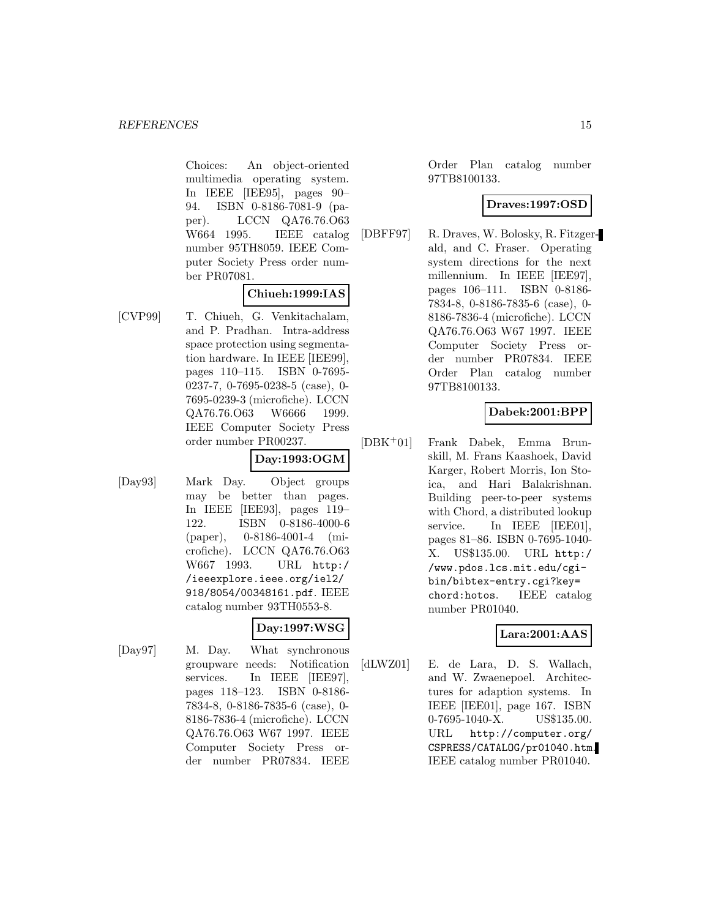Choices: An object-oriented multimedia operating system. In IEEE [IEE95], pages 90– 94. ISBN 0-8186-7081-9 (paper). LCCN QA76.76.O63 W664 1995. IEEE catalog number 95TH8059. IEEE Computer Society Press order number PR07081.

# **Chiueh:1999:IAS**

[CVP99] T. Chiueh, G. Venkitachalam, and P. Pradhan. Intra-address space protection using segmentation hardware. In IEEE [IEE99], pages 110–115. ISBN 0-7695- 0237-7, 0-7695-0238-5 (case), 0- 7695-0239-3 (microfiche). LCCN QA76.76.O63 W6666 1999. IEEE Computer Society Press order number PR00237.

# **Day:1993:OGM**

[Day93] Mark Day. Object groups may be better than pages. In IEEE [IEE93], pages 119– 122. ISBN 0-8186-4000-6 (paper), 0-8186-4001-4 (microfiche). LCCN QA76.76.O63 W667 1993. URL http:/ /ieeexplore.ieee.org/iel2/ 918/8054/00348161.pdf. IEEE catalog number 93TH0553-8.

# **Day:1997:WSG**

[Day97] M. Day. What synchronous groupware needs: Notification services. In IEEE [IEE97], pages 118–123. ISBN 0-8186- 7834-8, 0-8186-7835-6 (case), 0- 8186-7836-4 (microfiche). LCCN QA76.76.O63 W67 1997. IEEE Computer Society Press order number PR07834. IEEE

Order Plan catalog number 97TB8100133.

# **Draves:1997:OSD**

[DBFF97] R. Draves, W. Bolosky, R. Fitzgerald, and C. Fraser. Operating system directions for the next millennium. In IEEE [IEE97], pages 106–111. ISBN 0-8186- 7834-8, 0-8186-7835-6 (case), 0- 8186-7836-4 (microfiche). LCCN QA76.76.O63 W67 1997. IEEE Computer Society Press order number PR07834. IEEE Order Plan catalog number 97TB8100133.

# **Dabek:2001:BPP**

[DBK<sup>+</sup>01] Frank Dabek, Emma Brunskill, M. Frans Kaashoek, David Karger, Robert Morris, Ion Stoica, and Hari Balakrishnan. Building peer-to-peer systems with Chord, a distributed lookup service. In IEEE [IEE01], pages 81–86. ISBN 0-7695-1040- X. US\$135.00. URL http:/ /www.pdos.lcs.mit.edu/cgibin/bibtex-entry.cgi?key= chord:hotos. IEEE catalog number PR01040.

# **Lara:2001:AAS**

[dLWZ01] E. de Lara, D. S. Wallach, and W. Zwaenepoel. Architectures for adaption systems. In IEEE [IEE01], page 167. ISBN 0-7695-1040-X. US\$135.00. URL http://computer.org/ CSPRESS/CATALOG/pr01040.htm. IEEE catalog number PR01040.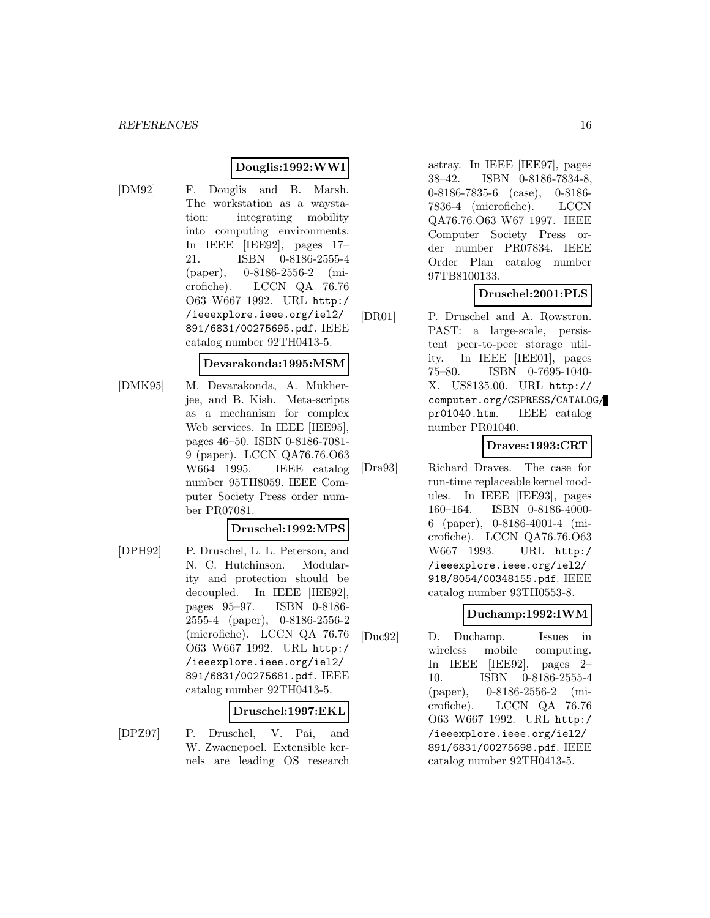### **Douglis:1992:WWI**

[DM92] F. Douglis and B. Marsh. The workstation as a waystation: integrating mobility into computing environments. In IEEE [IEE92], pages 17– 21. ISBN 0-8186-2555-4 (paper), 0-8186-2556-2 (microfiche). LCCN QA 76.76 O63 W667 1992. URL http:/ /ieeexplore.ieee.org/iel2/ 891/6831/00275695.pdf. IEEE catalog number 92TH0413-5.

# **Devarakonda:1995:MSM**

[DMK95] M. Devarakonda, A. Mukherjee, and B. Kish. Meta-scripts as a mechanism for complex Web services. In IEEE [IEE95], pages 46–50. ISBN 0-8186-7081- 9 (paper). LCCN QA76.76.O63 W664 1995. IEEE catalog number 95TH8059. IEEE Computer Society Press order number PR07081.

#### **Druschel:1992:MPS**

[DPH92] P. Druschel, L. L. Peterson, and N. C. Hutchinson. Modularity and protection should be decoupled. In IEEE [IEE92], pages 95–97. ISBN 0-8186- 2555-4 (paper), 0-8186-2556-2 (microfiche). LCCN QA 76.76 O63 W667 1992. URL http:/ /ieeexplore.ieee.org/iel2/ 891/6831/00275681.pdf. IEEE catalog number 92TH0413-5.

#### **Druschel:1997:EKL**

[DPZ97] P. Druschel, V. Pai, and W. Zwaenepoel. Extensible kernels are leading OS research astray. In IEEE [IEE97], pages 38–42. ISBN 0-8186-7834-8, 0-8186-7835-6 (case), 0-8186- 7836-4 (microfiche). LCCN QA76.76.O63 W67 1997. IEEE Computer Society Press order number PR07834. IEEE Order Plan catalog number 97TB8100133.

# **Druschel:2001:PLS**

[DR01] P. Druschel and A. Rowstron. PAST: a large-scale, persistent peer-to-peer storage utility. In IEEE [IEE01], pages 75–80. ISBN 0-7695-1040- X. US\$135.00. URL http:// computer.org/CSPRESS/CATALOG/ pr01040.htm. IEEE catalog number PR01040.

# **Draves:1993:CRT**

[Dra93] Richard Draves. The case for run-time replaceable kernel modules. In IEEE [IEE93], pages 160–164. ISBN 0-8186-4000- 6 (paper), 0-8186-4001-4 (microfiche). LCCN QA76.76.O63 W667 1993. URL http:/ /ieeexplore.ieee.org/iel2/ 918/8054/00348155.pdf. IEEE catalog number 93TH0553-8.

# **Duchamp:1992:IWM**

[Duc92] D. Duchamp. Issues in wireless mobile computing. In IEEE [IEE92], pages 2– 10. ISBN 0-8186-2555-4 (paper), 0-8186-2556-2 (microfiche). LCCN QA 76.76 O63 W667 1992. URL http:/ /ieeexplore.ieee.org/iel2/ 891/6831/00275698.pdf. IEEE catalog number 92TH0413-5.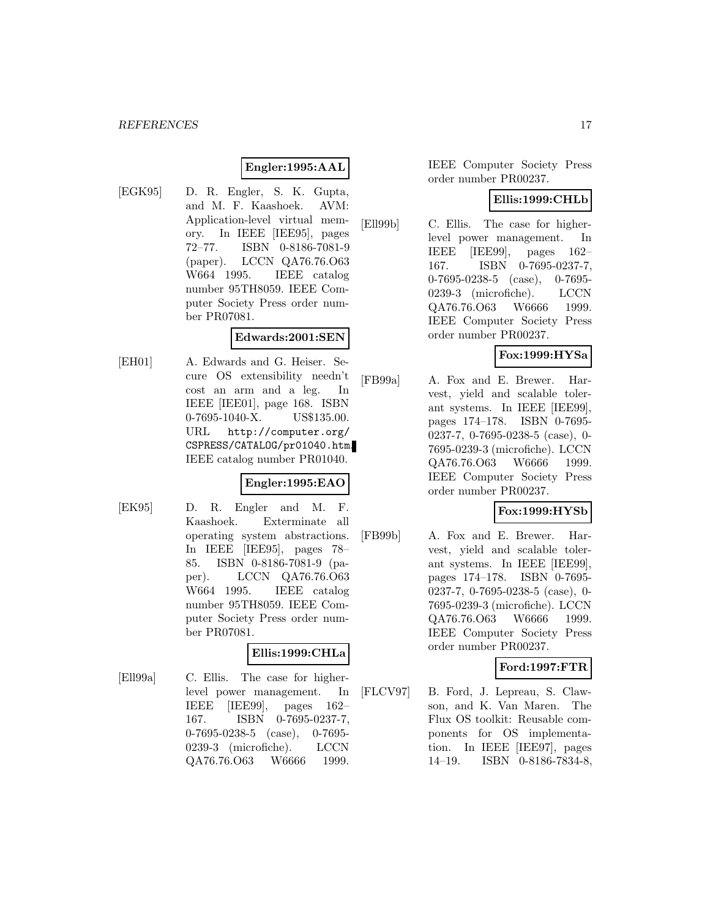# **Engler:1995:AAL**

[EGK95] D. R. Engler, S. K. Gupta, and M. F. Kaashoek. AVM: Application-level virtual memory. In IEEE [IEE95], pages 72–77. ISBN 0-8186-7081-9 (paper). LCCN QA76.76.O63 W664 1995. IEEE catalog number 95TH8059. IEEE Computer Society Press order number PR07081.

### **Edwards:2001:SEN**

[EH01] A. Edwards and G. Heiser. Secure OS extensibility needn't cost an arm and a leg. In IEEE [IEE01], page 168. ISBN 0-7695-1040-X. US\$135.00. URL http://computer.org/ CSPRESS/CATALOG/pr01040.htm. IEEE catalog number PR01040.

# **Engler:1995:EAO**

[EK95] D. R. Engler and M. F. Kaashoek. Exterminate all operating system abstractions. In IEEE [IEE95], pages 78– 85. ISBN 0-8186-7081-9 (paper). LCCN QA76.76.O63 W664 1995. IEEE catalog number 95TH8059. IEEE Computer Society Press order number PR07081.

#### **Ellis:1999:CHLa**

[Ell99a] C. Ellis. The case for higherlevel power management. In IEEE [IEE99], pages 162– 167. ISBN 0-7695-0237-7, 0-7695-0238-5 (case), 0-7695- 0239-3 (microfiche). LCCN QA76.76.O63 W6666 1999.

IEEE Computer Society Press order number PR00237.

#### **Ellis:1999:CHLb**

[Ell99b] C. Ellis. The case for higherlevel power management. In IEEE [IEE99], pages 162– 167. ISBN 0-7695-0237-7, 0-7695-0238-5 (case), 0-7695- 0239-3 (microfiche). LCCN QA76.76.O63 W6666 1999. IEEE Computer Society Press order number PR00237.

# **Fox:1999:HYSa**

[FB99a] A. Fox and E. Brewer. Harvest, yield and scalable tolerant systems. In IEEE [IEE99], pages 174–178. ISBN 0-7695- 0237-7, 0-7695-0238-5 (case), 0- 7695-0239-3 (microfiche). LCCN QA76.76.O63 W6666 1999. IEEE Computer Society Press order number PR00237.

# **Fox:1999:HYSb**

[FB99b] A. Fox and E. Brewer. Harvest, yield and scalable tolerant systems. In IEEE [IEE99], pages 174–178. ISBN 0-7695- 0237-7, 0-7695-0238-5 (case), 0- 7695-0239-3 (microfiche). LCCN QA76.76.O63 W6666 1999. IEEE Computer Society Press order number PR00237.

# **Ford:1997:FTR**

[FLCV97] B. Ford, J. Lepreau, S. Clawson, and K. Van Maren. The Flux OS toolkit: Reusable components for OS implementation. In IEEE [IEE97], pages 14–19. ISBN 0-8186-7834-8,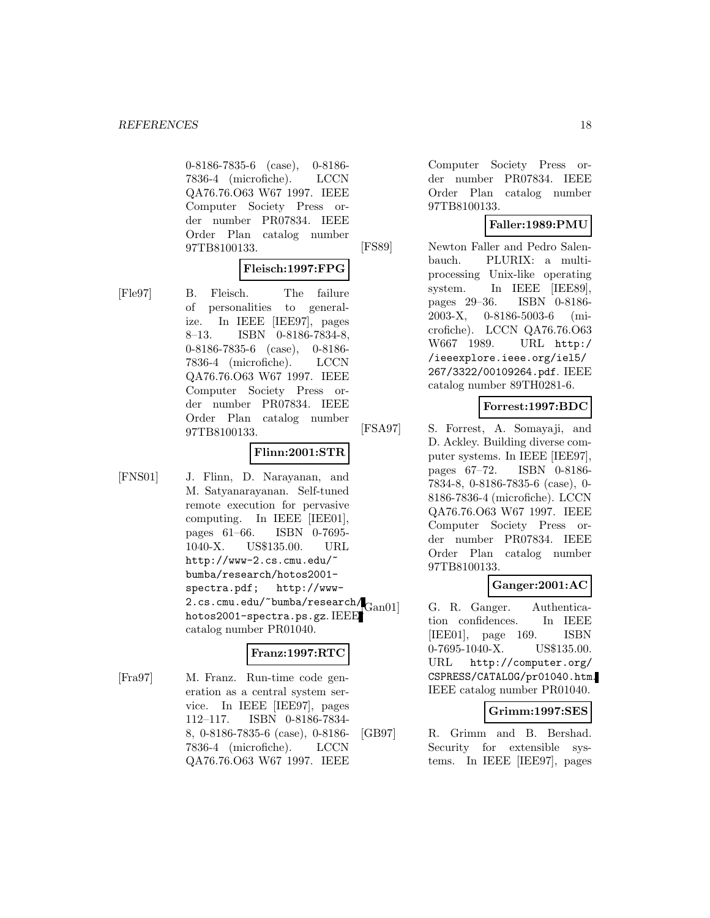0-8186-7835-6 (case), 0-8186- 7836-4 (microfiche). LCCN QA76.76.O63 W67 1997. IEEE Computer Society Press order number PR07834. IEEE Order Plan catalog number 97TB8100133.

### **Fleisch:1997:FPG**

[Fle97] B. Fleisch. The failure of personalities to generalize. In IEEE [IEE97], pages 8–13. ISBN 0-8186-7834-8, 0-8186-7835-6 (case), 0-8186- 7836-4 (microfiche). LCCN QA76.76.O63 W67 1997. IEEE Computer Society Press order number PR07834. IEEE Order Plan catalog number 97TB8100133.

### **Flinn:2001:STR**

[FNS01] J. Flinn, D. Narayanan, and M. Satyanarayanan. Self-tuned remote execution for pervasive computing. In IEEE [IEE01], pages 61–66. ISBN 0-7695- 1040-X. US\$135.00. URL http://www-2.cs.cmu.edu/~ bumba/research/hotos2001 spectra.pdf; http://www-2.cs.cmu.edu/~bumba/research/Gan01 hotos2001-spectra.ps.gz. IEEE catalog number PR01040.

# **Franz:1997:RTC**

[Fra97] M. Franz. Run-time code generation as a central system service. In IEEE [IEE97], pages 112–117. ISBN 0-8186-7834- 8, 0-8186-7835-6 (case), 0-8186- 7836-4 (microfiche). LCCN QA76.76.O63 W67 1997. IEEE

Computer Society Press order number PR07834. IEEE Order Plan catalog number 97TB8100133.

# **Faller:1989:PMU**

[FS89] Newton Faller and Pedro Salenbauch. PLURIX: a multiprocessing Unix-like operating system. In IEEE [IEE89], pages 29–36. ISBN 0-8186- 2003-X, 0-8186-5003-6 (microfiche). LCCN QA76.76.O63 W667 1989. URL http:/ /ieeexplore.ieee.org/iel5/ 267/3322/00109264.pdf. IEEE catalog number 89TH0281-6.

# **Forrest:1997:BDC**

[FSA97] S. Forrest, A. Somayaji, and D. Ackley. Building diverse computer systems. In IEEE [IEE97], pages 67–72. ISBN 0-8186- 7834-8, 0-8186-7835-6 (case), 0- 8186-7836-4 (microfiche). LCCN QA76.76.O63 W67 1997. IEEE Computer Society Press order number PR07834. IEEE Order Plan catalog number 97TB8100133.

# **Ganger:2001:AC**

G. R. Ganger. Authentication confidences. In IEEE [IEE01], page 169. ISBN 0-7695-1040-X. US\$135.00. URL http://computer.org/ CSPRESS/CATALOG/pr01040.htm. IEEE catalog number PR01040.

# **Grimm:1997:SES**

[GB97] R. Grimm and B. Bershad. Security for extensible systems. In IEEE [IEE97], pages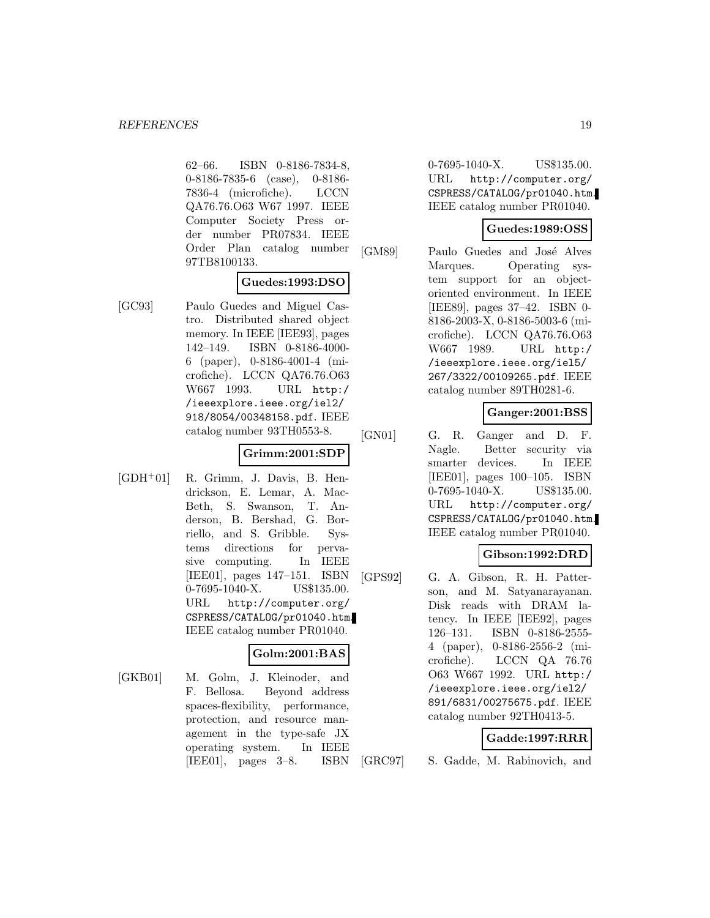62–66. ISBN 0-8186-7834-8, 0-8186-7835-6 (case), 0-8186- 7836-4 (microfiche). LCCN QA76.76.O63 W67 1997. IEEE Computer Society Press order number PR07834. IEEE Order Plan catalog number 97TB8100133.

# **Guedes:1993:DSO**

[GC93] Paulo Guedes and Miguel Castro. Distributed shared object memory. In IEEE [IEE93], pages 142–149. ISBN 0-8186-4000- 6 (paper), 0-8186-4001-4 (microfiche). LCCN QA76.76.O63 W667 1993. URL http:/ /ieeexplore.ieee.org/iel2/ 918/8054/00348158.pdf. IEEE catalog number 93TH0553-8.

# **Grimm:2001:SDP**

[GDH<sup>+</sup>01] R. Grimm, J. Davis, B. Hendrickson, E. Lemar, A. Mac-Beth, S. Swanson, T. Anderson, B. Bershad, G. Borriello, and S. Gribble. Systems directions for pervasive computing. In IEEE [IEE01], pages 147–151. ISBN 0-7695-1040-X. US\$135.00. URL http://computer.org/ CSPRESS/CATALOG/pr01040.htm. IEEE catalog number PR01040.

# **Golm:2001:BAS**

[GKB01] M. Golm, J. Kleinoder, and F. Bellosa. Beyond address spaces-flexibility, performance, protection, and resource management in the type-safe JX operating system. In IEEE [IEE01], pages 3–8. ISBN

0-7695-1040-X. US\$135.00. URL http://computer.org/ CSPRESS/CATALOG/pr01040.htm. IEEE catalog number PR01040.

# **Guedes:1989:OSS**

[GM89] Paulo Guedes and José Alves Marques. Operating system support for an objectoriented environment. In IEEE [IEE89], pages 37–42. ISBN 0- 8186-2003-X, 0-8186-5003-6 (microfiche). LCCN QA76.76.O63 W667 1989. URL http:/ /ieeexplore.ieee.org/iel5/ 267/3322/00109265.pdf. IEEE catalog number 89TH0281-6.

# **Ganger:2001:BSS**

[GN01] G. R. Ganger and D. F. Nagle. Better security via smarter devices. In IEEE [IEE01], pages 100–105. ISBN 0-7695-1040-X. US\$135.00. URL http://computer.org/ CSPRESS/CATALOG/pr01040.htm. IEEE catalog number PR01040.

# **Gibson:1992:DRD**

[GPS92] G. A. Gibson, R. H. Patterson, and M. Satyanarayanan. Disk reads with DRAM latency. In IEEE [IEE92], pages 126–131. ISBN 0-8186-2555- 4 (paper), 0-8186-2556-2 (microfiche). LCCN QA 76.76 O63 W667 1992. URL http:/ /ieeexplore.ieee.org/iel2/ 891/6831/00275675.pdf. IEEE catalog number 92TH0413-5.

# **Gadde:1997:RRR**

[GRC97] S. Gadde, M. Rabinovich, and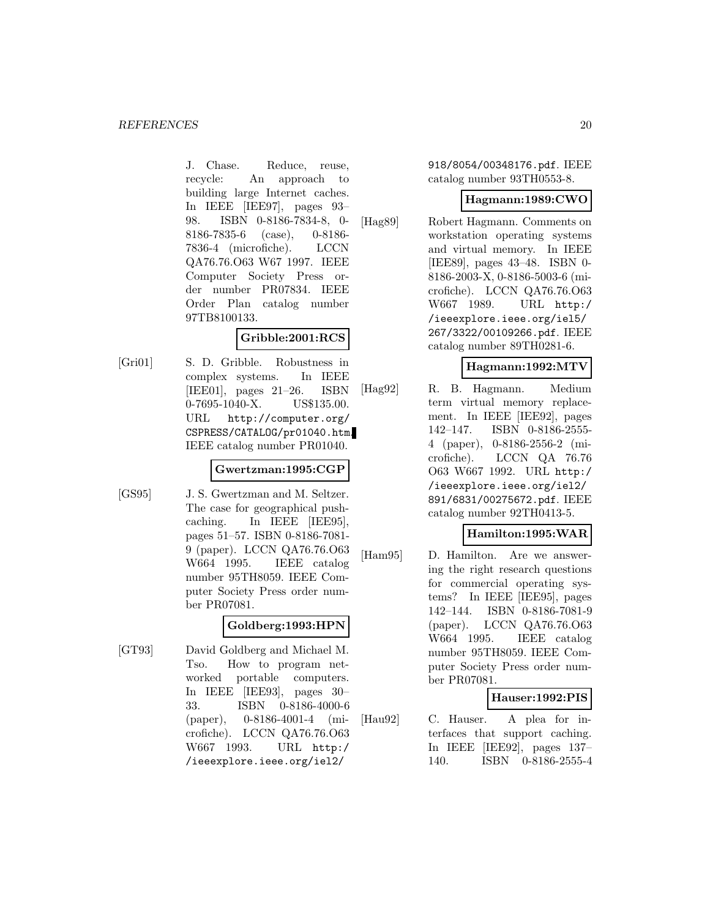J. Chase. Reduce, reuse, recycle: An approach to building large Internet caches. In IEEE [IEE97], pages 93– 98. ISBN 0-8186-7834-8, 0- 8186-7835-6 (case), 0-8186- 7836-4 (microfiche). LCCN QA76.76.O63 W67 1997. IEEE Computer Society Press order number PR07834. IEEE Order Plan catalog number 97TB8100133.

# **Gribble:2001:RCS**

[Gri01] S. D. Gribble. Robustness in complex systems. In IEEE [IEE01], pages 21–26. ISBN 0-7695-1040-X. US\$135.00. URL http://computer.org/ CSPRESS/CATALOG/pr01040.htm. IEEE catalog number PR01040.

#### **Gwertzman:1995:CGP**

[GS95] J. S. Gwertzman and M. Seltzer. The case for geographical pushcaching. In IEEE [IEE95], pages 51–57. ISBN 0-8186-7081- 9 (paper). LCCN QA76.76.O63 W664 1995. IEEE catalog number 95TH8059. IEEE Computer Society Press order number PR07081.

# **Goldberg:1993:HPN**

[GT93] David Goldberg and Michael M. Tso. How to program networked portable computers. In IEEE [IEE93], pages 30– 33. ISBN 0-8186-4000-6 (paper), 0-8186-4001-4 (microfiche). LCCN QA76.76.O63 W667 1993. URL http:/ /ieeexplore.ieee.org/iel2/

918/8054/00348176.pdf. IEEE catalog number 93TH0553-8.

### **Hagmann:1989:CWO**

[Hag89] Robert Hagmann. Comments on workstation operating systems and virtual memory. In IEEE [IEE89], pages 43–48. ISBN 0- 8186-2003-X, 0-8186-5003-6 (microfiche). LCCN QA76.76.O63 W667 1989. URL http:/ /ieeexplore.ieee.org/iel5/ 267/3322/00109266.pdf. IEEE catalog number 89TH0281-6.

# **Hagmann:1992:MTV**

[Hag92] R. B. Hagmann. Medium term virtual memory replacement. In IEEE [IEE92], pages 142–147. ISBN 0-8186-2555- 4 (paper), 0-8186-2556-2 (microfiche). LCCN QA 76.76 O63 W667 1992. URL http:/ /ieeexplore.ieee.org/iel2/ 891/6831/00275672.pdf. IEEE catalog number 92TH0413-5.

# **Hamilton:1995:WAR**

[Ham95] D. Hamilton. Are we answering the right research questions for commercial operating systems? In IEEE [IEE95], pages 142–144. ISBN 0-8186-7081-9 (paper). LCCN QA76.76.O63 W664 1995. IEEE catalog number 95TH8059. IEEE Computer Society Press order number PR07081.

# **Hauser:1992:PIS**

[Hau92] C. Hauser. A plea for interfaces that support caching. In IEEE [IEE92], pages 137– 140. ISBN 0-8186-2555-4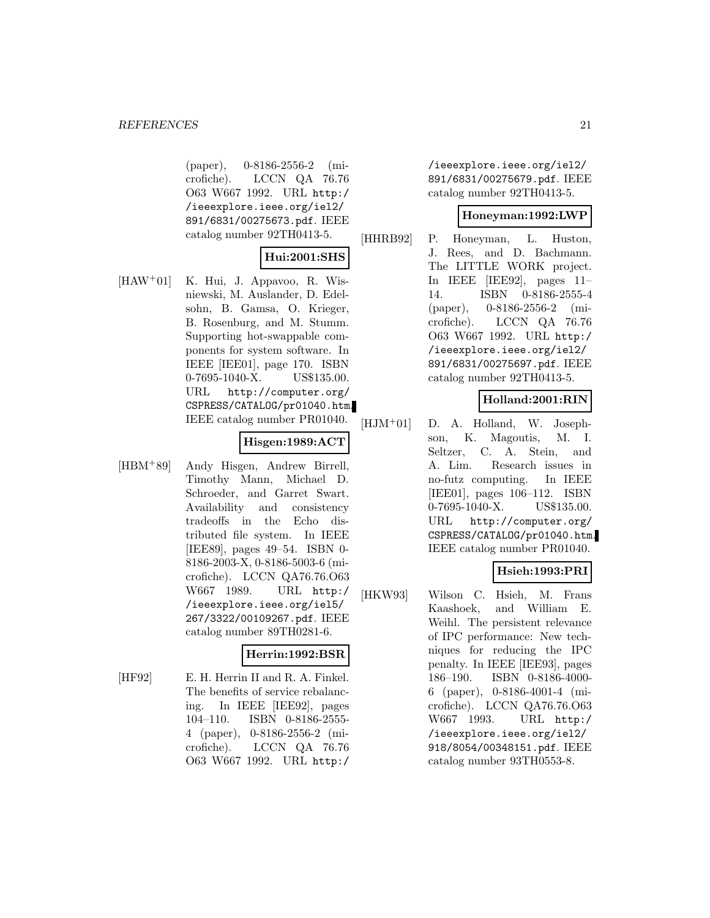(paper), 0-8186-2556-2 (microfiche). LCCN QA 76.76 O63 W667 1992. URL http:/ /ieeexplore.ieee.org/iel2/ 891/6831/00275673.pdf. IEEE catalog number 92TH0413-5.

# **Hui:2001:SHS**

[HAW<sup>+</sup>01] K. Hui, J. Appavoo, R. Wisniewski, M. Auslander, D. Edelsohn, B. Gamsa, O. Krieger, B. Rosenburg, and M. Stumm. Supporting hot-swappable components for system software. In IEEE [IEE01], page 170. ISBN 0-7695-1040-X. US\$135.00. URL http://computer.org/ CSPRESS/CATALOG/pr01040.htm. IEEE catalog number PR01040.

### **Hisgen:1989:ACT**

[HBM<sup>+</sup>89] Andy Hisgen, Andrew Birrell, Timothy Mann, Michael D. Schroeder, and Garret Swart. Availability and consistency tradeoffs in the Echo distributed file system. In IEEE [IEE89], pages 49–54. ISBN 0- 8186-2003-X, 0-8186-5003-6 (microfiche). LCCN QA76.76.O63 W667 1989. URL http:/ /ieeexplore.ieee.org/iel5/ 267/3322/00109267.pdf. IEEE catalog number 89TH0281-6.

#### **Herrin:1992:BSR**

[HF92] E. H. Herrin II and R. A. Finkel. The benefits of service rebalancing. In IEEE [IEE92], pages 104–110. ISBN 0-8186-2555- 4 (paper), 0-8186-2556-2 (microfiche). LCCN QA 76.76 O63 W667 1992. URL http:/

/ieeexplore.ieee.org/iel2/ 891/6831/00275679.pdf. IEEE catalog number 92TH0413-5.

# **Honeyman:1992:LWP**

[HHRB92] P. Honeyman, L. Huston, J. Rees, and D. Bachmann. The LITTLE WORK project. In IEEE [IEE92], pages 11– 14. ISBN 0-8186-2555-4 (paper), 0-8186-2556-2 (microfiche). LCCN QA 76.76 O63 W667 1992. URL http:/ /ieeexplore.ieee.org/iel2/ 891/6831/00275697.pdf. IEEE catalog number 92TH0413-5.

# **Holland:2001:RIN**

[HJM<sup>+</sup>01] D. A. Holland, W. Josephson, K. Magoutis, M. I. Seltzer, C. A. Stein, and A. Lim. Research issues in no-futz computing. In IEEE [IEE01], pages 106–112. ISBN 0-7695-1040-X. US\$135.00. URL http://computer.org/ CSPRESS/CATALOG/pr01040.htm. IEEE catalog number PR01040.

# **Hsieh:1993:PRI**

[HKW93] Wilson C. Hsieh, M. Frans Kaashoek, and William E. Weihl. The persistent relevance of IPC performance: New techniques for reducing the IPC penalty. In IEEE [IEE93], pages 186–190. ISBN 0-8186-4000- 6 (paper), 0-8186-4001-4 (microfiche). LCCN QA76.76.O63 W667 1993. URL http:/ /ieeexplore.ieee.org/iel2/ 918/8054/00348151.pdf. IEEE catalog number 93TH0553-8.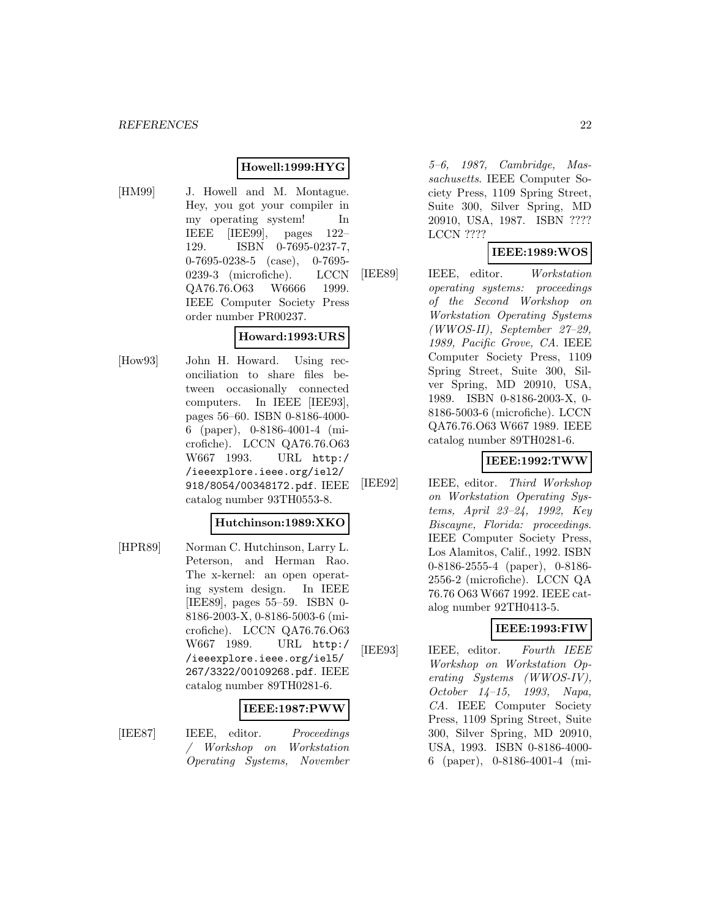# **Howell:1999:HYG**

[HM99] J. Howell and M. Montague. Hey, you got your compiler in my operating system! In IEEE [IEE99], pages 122– 129. ISBN 0-7695-0237-7, 0-7695-0238-5 (case), 0-7695- 0239-3 (microfiche). LCCN QA76.76.O63 W6666 1999. IEEE Computer Society Press order number PR00237.

# **Howard:1993:URS**

[How93] John H. Howard. Using reconciliation to share files between occasionally connected computers. In IEEE [IEE93], pages 56–60. ISBN 0-8186-4000- 6 (paper), 0-8186-4001-4 (microfiche). LCCN QA76.76.O63 W667 1993. URL http:/ /ieeexplore.ieee.org/iel2/ 918/8054/00348172.pdf. IEEE catalog number 93TH0553-8.

#### **Hutchinson:1989:XKO**

[HPR89] Norman C. Hutchinson, Larry L. Peterson, and Herman Rao. The x-kernel: an open operating system design. In IEEE [IEE89], pages 55–59. ISBN 0- 8186-2003-X, 0-8186-5003-6 (microfiche). LCCN QA76.76.O63 W667 1989. URL http:/ /ieeexplore.ieee.org/iel5/ 267/3322/00109268.pdf. IEEE catalog number 89TH0281-6.

# **IEEE:1987:PWW**

[IEE87] IEEE, editor. Proceedings / Workshop on Workstation Operating Systems, November

5–6, 1987, Cambridge, Massachusetts. IEEE Computer Society Press, 1109 Spring Street, Suite 300, Silver Spring, MD 20910, USA, 1987. ISBN ???? LCCN ????

# **IEEE:1989:WOS**

[IEE89] IEEE, editor. Workstation operating systems: proceedings of the Second Workshop on Workstation Operating Systems (WWOS-II), September 27–29, 1989, Pacific Grove, CA. IEEE Computer Society Press, 1109 Spring Street, Suite 300, Silver Spring, MD 20910, USA, 1989. ISBN 0-8186-2003-X, 0- 8186-5003-6 (microfiche). LCCN QA76.76.O63 W667 1989. IEEE catalog number 89TH0281-6.

# **IEEE:1992:TWW**

[IEE92] IEEE, editor. Third Workshop on Workstation Operating Systems, April 23–24, 1992, Key Biscayne, Florida: proceedings. IEEE Computer Society Press, Los Alamitos, Calif., 1992. ISBN 0-8186-2555-4 (paper), 0-8186- 2556-2 (microfiche). LCCN QA 76.76 O63 W667 1992. IEEE catalog number 92TH0413-5.

# **IEEE:1993:FIW**

[IEE93] IEEE, editor. Fourth IEEE Workshop on Workstation Operating Systems (WWOS-IV), October 14–15, 1993, Napa, CA. IEEE Computer Society Press, 1109 Spring Street, Suite 300, Silver Spring, MD 20910, USA, 1993. ISBN 0-8186-4000- 6 (paper), 0-8186-4001-4 (mi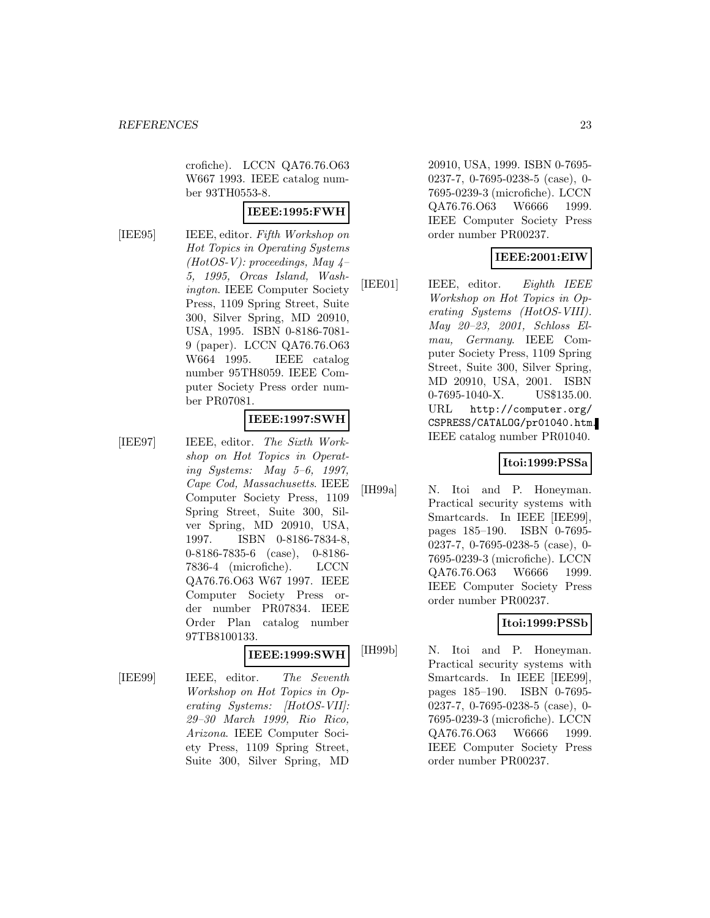crofiche). LCCN QA76.76.O63 W667 1993. IEEE catalog number 93TH0553-8.

### **IEEE:1995:FWH**

[IEE95] IEEE, editor. Fifth Workshop on Hot Topics in Operating Systems (HotOS-V): proceedings, May  $4-$ 5, 1995, Orcas Island, Washington. IEEE Computer Society Press, 1109 Spring Street, Suite 300, Silver Spring, MD 20910, USA, 1995. ISBN 0-8186-7081- 9 (paper). LCCN QA76.76.O63 W664 1995. IEEE catalog number 95TH8059. IEEE Computer Society Press order number PR07081.

# **IEEE:1997:SWH**

[IEE97] IEEE, editor. The Sixth Workshop on Hot Topics in Operating Systems: May 5–6, 1997, Cape Cod, Massachusetts. IEEE Computer Society Press, 1109 Spring Street, Suite 300, Silver Spring, MD 20910, USA, 1997. ISBN 0-8186-7834-8, 0-8186-7835-6 (case), 0-8186- 7836-4 (microfiche). LCCN QA76.76.O63 W67 1997. IEEE Computer Society Press order number PR07834. IEEE Order Plan catalog number 97TB8100133.

# **IEEE:1999:SWH**

[IEE99] IEEE, editor. The Seventh Workshop on Hot Topics in Operating Systems: [HotOS-VII]: 29–30 March 1999, Rio Rico, Arizona. IEEE Computer Society Press, 1109 Spring Street, Suite 300, Silver Spring, MD

20910, USA, 1999. ISBN 0-7695- 0237-7, 0-7695-0238-5 (case), 0- 7695-0239-3 (microfiche). LCCN QA76.76.O63 W6666 1999. IEEE Computer Society Press order number PR00237.

# **IEEE:2001:EIW**

[IEE01] IEEE, editor. Eighth IEEE Workshop on Hot Topics in Operating Systems (HotOS-VIII). May 20–23, 2001, Schloss Elmau, Germany. IEEE Computer Society Press, 1109 Spring Street, Suite 300, Silver Spring, MD 20910, USA, 2001. ISBN 0-7695-1040-X. US\$135.00. URL http://computer.org/ CSPRESS/CATALOG/pr01040.htm. IEEE catalog number PR01040.

# **Itoi:1999:PSSa**

[IH99a] N. Itoi and P. Honeyman. Practical security systems with Smartcards. In IEEE [IEE99], pages 185–190. ISBN 0-7695- 0237-7, 0-7695-0238-5 (case), 0- 7695-0239-3 (microfiche). LCCN QA76.76.O63 W6666 1999. IEEE Computer Society Press order number PR00237.

# **Itoi:1999:PSSb**

[IH99b] N. Itoi and P. Honeyman. Practical security systems with Smartcards. In IEEE [IEE99], pages 185–190. ISBN 0-7695- 0237-7, 0-7695-0238-5 (case), 0- 7695-0239-3 (microfiche). LCCN QA76.76.O63 W6666 1999. IEEE Computer Society Press order number PR00237.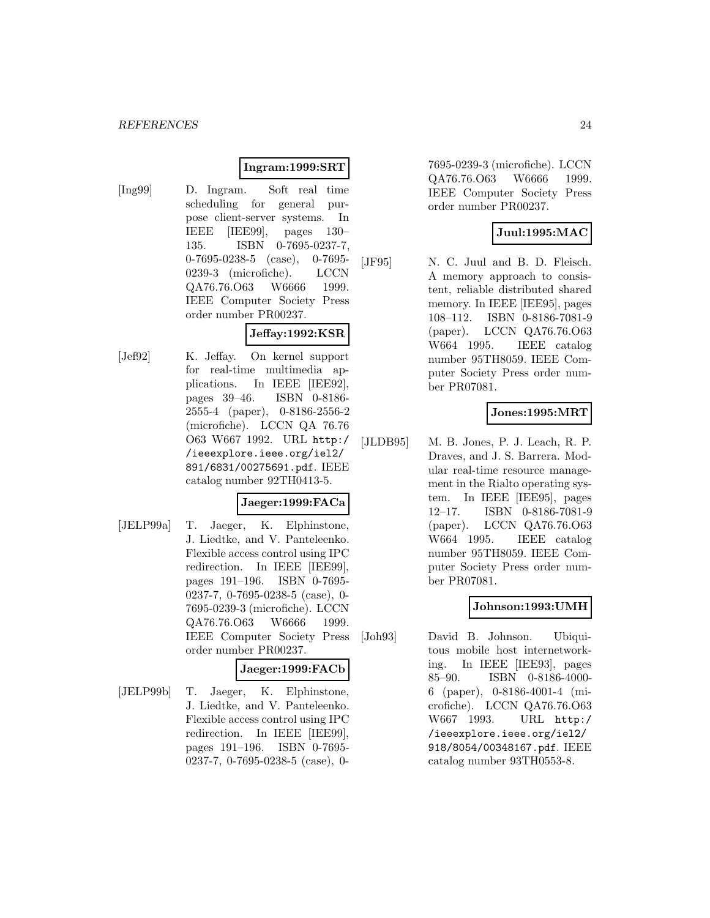# **Ingram:1999:SRT**

[Ing99] D. Ingram. Soft real time scheduling for general purpose client-server systems. In IEEE [IEE99], pages 130– 135. ISBN 0-7695-0237-7, 0-7695-0238-5 (case), 0-7695- 0239-3 (microfiche). LCCN QA76.76.O63 W6666 1999. IEEE Computer Society Press order number PR00237.

### **Jeffay:1992:KSR**

[Jef92] K. Jeffay. On kernel support for real-time multimedia applications. In IEEE [IEE92], pages 39–46. ISBN 0-8186- 2555-4 (paper), 0-8186-2556-2 (microfiche). LCCN QA 76.76 O63 W667 1992. URL http:/ /ieeexplore.ieee.org/iel2/ 891/6831/00275691.pdf. IEEE catalog number 92TH0413-5.

### **Jaeger:1999:FACa**

[JELP99a] T. Jaeger, K. Elphinstone, J. Liedtke, and V. Panteleenko. Flexible access control using IPC redirection. In IEEE [IEE99], pages 191–196. ISBN 0-7695- 0237-7, 0-7695-0238-5 (case), 0- 7695-0239-3 (microfiche). LCCN QA76.76.O63 W6666 1999. IEEE Computer Society Press order number PR00237.

#### **Jaeger:1999:FACb**

[JELP99b] T. Jaeger, K. Elphinstone, J. Liedtke, and V. Panteleenko. Flexible access control using IPC redirection. In IEEE [IEE99], pages 191–196. ISBN 0-7695- 0237-7, 0-7695-0238-5 (case), 0-

7695-0239-3 (microfiche). LCCN QA76.76.O63 W6666 1999. IEEE Computer Society Press order number PR00237.

# **Juul:1995:MAC**

[JF95] N. C. Juul and B. D. Fleisch. A memory approach to consistent, reliable distributed shared memory. In IEEE [IEE95], pages 108–112. ISBN 0-8186-7081-9 (paper). LCCN QA76.76.O63 W664 1995. IEEE catalog number 95TH8059. IEEE Computer Society Press order number PR07081.

### **Jones:1995:MRT**

[JLDB95] M. B. Jones, P. J. Leach, R. P. Draves, and J. S. Barrera. Modular real-time resource management in the Rialto operating system. In IEEE [IEE95], pages 12–17. ISBN 0-8186-7081-9 (paper). LCCN QA76.76.O63 W664 1995. IEEE catalog number 95TH8059. IEEE Computer Society Press order number PR07081.

# **Johnson:1993:UMH**

[Joh93] David B. Johnson. Ubiquitous mobile host internetworking. In IEEE [IEE93], pages 85–90. ISBN 0-8186-4000- 6 (paper), 0-8186-4001-4 (microfiche). LCCN QA76.76.O63 W667 1993. URL http:/ /ieeexplore.ieee.org/iel2/ 918/8054/00348167.pdf. IEEE catalog number 93TH0553-8.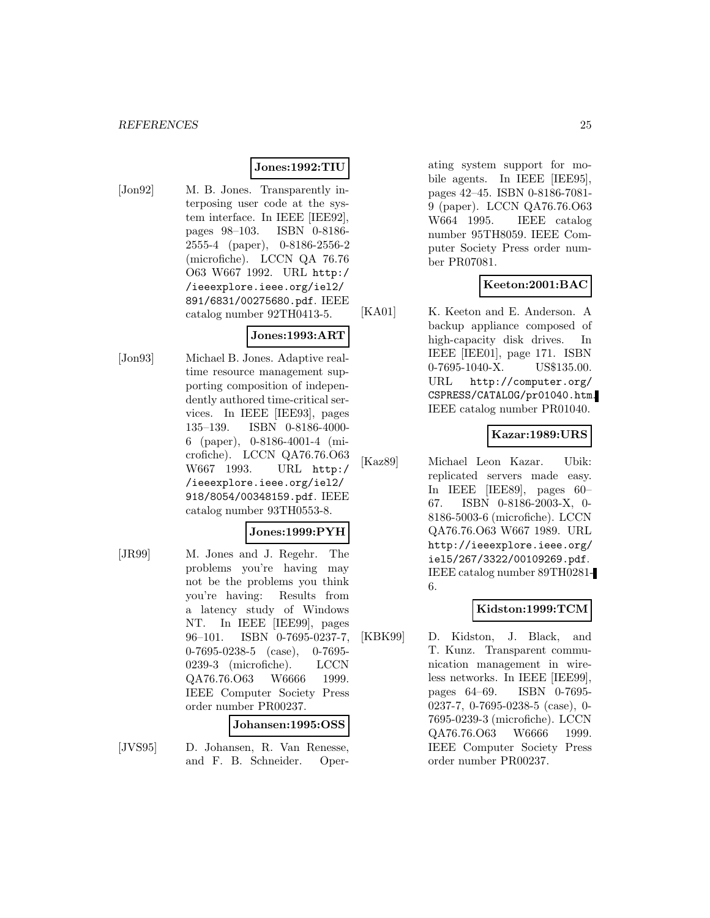#### **Jones:1992:TIU**

[Jon92] M. B. Jones. Transparently interposing user code at the system interface. In IEEE [IEE92], pages 98–103. ISBN 0-8186- 2555-4 (paper), 0-8186-2556-2 (microfiche). LCCN QA 76.76 O63 W667 1992. URL http:/ /ieeexplore.ieee.org/iel2/ 891/6831/00275680.pdf. IEEE catalog number 92TH0413-5.

# **Jones:1993:ART**

[Jon93] Michael B. Jones. Adaptive realtime resource management supporting composition of independently authored time-critical services. In IEEE [IEE93], pages 135–139. ISBN 0-8186-4000- 6 (paper), 0-8186-4001-4 (microfiche). LCCN QA76.76.O63 W667 1993. URL http:/ /ieeexplore.ieee.org/iel2/ 918/8054/00348159.pdf. IEEE catalog number 93TH0553-8.

#### **Jones:1999:PYH**

[JR99] M. Jones and J. Regehr. The problems you're having may not be the problems you think you're having: Results from a latency study of Windows NT. In IEEE [IEE99], pages 96–101. ISBN 0-7695-0237-7, 0-7695-0238-5 (case), 0-7695- 0239-3 (microfiche). LCCN QA76.76.O63 W6666 1999. IEEE Computer Society Press order number PR00237.

#### **Johansen:1995:OSS**

[JVS95] D. Johansen, R. Van Renesse, and F. B. Schneider. Operating system support for mobile agents. In IEEE [IEE95], pages 42–45. ISBN 0-8186-7081- 9 (paper). LCCN QA76.76.O63 W664 1995. IEEE catalog number 95TH8059. IEEE Computer Society Press order number PR07081.

# **Keeton:2001:BAC**

[KA01] K. Keeton and E. Anderson. A backup appliance composed of high-capacity disk drives. In IEEE [IEE01], page 171. ISBN 0-7695-1040-X. US\$135.00. URL http://computer.org/ CSPRESS/CATALOG/pr01040.htm. IEEE catalog number PR01040.

# **Kazar:1989:URS**

[Kaz89] Michael Leon Kazar. Ubik: replicated servers made easy. In IEEE [IEE89], pages 60– 67. ISBN 0-8186-2003-X, 0- 8186-5003-6 (microfiche). LCCN QA76.76.O63 W667 1989. URL http://ieeexplore.ieee.org/ iel5/267/3322/00109269.pdf. IEEE catalog number 89TH0281- 6.

# **Kidston:1999:TCM**

[KBK99] D. Kidston, J. Black, and T. Kunz. Transparent communication management in wireless networks. In IEEE [IEE99], pages 64–69. ISBN 0-7695- 0237-7, 0-7695-0238-5 (case), 0- 7695-0239-3 (microfiche). LCCN QA76.76.O63 W6666 1999. IEEE Computer Society Press order number PR00237.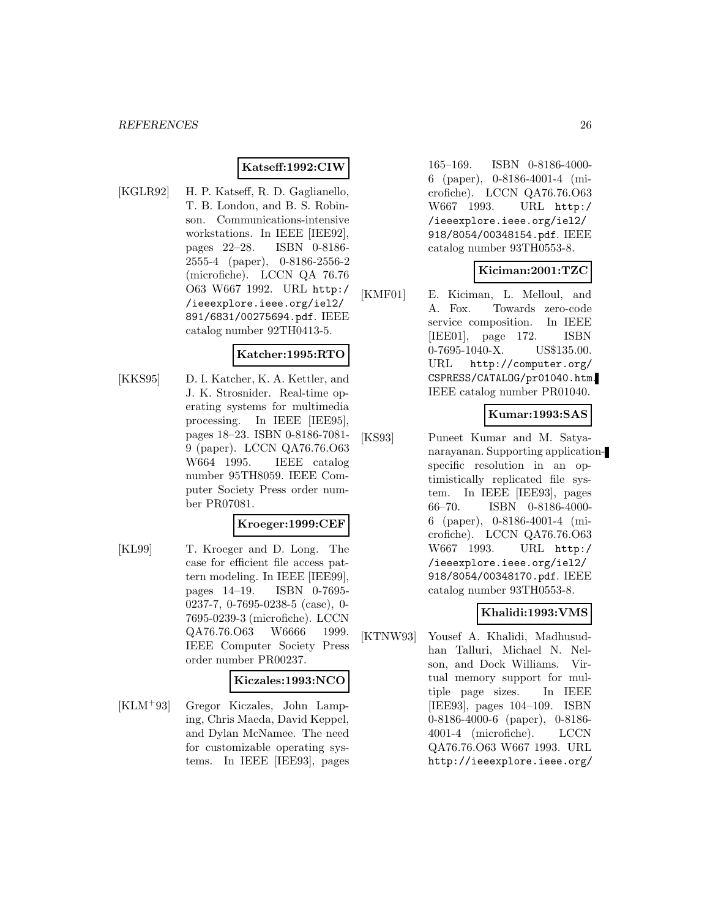# **Katseff:1992:CIW**

[KGLR92] H. P. Katseff, R. D. Gaglianello, T. B. London, and B. S. Robinson. Communications-intensive workstations. In IEEE [IEE92], pages 22–28. ISBN 0-8186- 2555-4 (paper), 0-8186-2556-2 (microfiche). LCCN QA 76.76 O63 W667 1992. URL http:/ /ieeexplore.ieee.org/iel2/ 891/6831/00275694.pdf. IEEE catalog number 92TH0413-5.

### **Katcher:1995:RTO**

[KKS95] D. I. Katcher, K. A. Kettler, and J. K. Strosnider. Real-time operating systems for multimedia processing. In IEEE [IEE95], pages 18–23. ISBN 0-8186-7081- 9 (paper). LCCN QA76.76.O63 W664 1995. IEEE catalog number 95TH8059. IEEE Computer Society Press order number PR07081.

#### **Kroeger:1999:CEF**

[KL99] T. Kroeger and D. Long. The case for efficient file access pattern modeling. In IEEE [IEE99], pages 14–19. ISBN 0-7695- 0237-7, 0-7695-0238-5 (case), 0- 7695-0239-3 (microfiche). LCCN QA76.76.O63 W6666 1999. IEEE Computer Society Press order number PR00237.

#### **Kiczales:1993:NCO**

[KLM<sup>+</sup>93] Gregor Kiczales, John Lamping, Chris Maeda, David Keppel, and Dylan McNamee. The need for customizable operating systems. In IEEE [IEE93], pages

165–169. ISBN 0-8186-4000- 6 (paper), 0-8186-4001-4 (microfiche). LCCN QA76.76.O63 W667 1993. URL http:/ /ieeexplore.ieee.org/iel2/ 918/8054/00348154.pdf. IEEE catalog number 93TH0553-8.

# **Kiciman:2001:TZC**

[KMF01] E. Kiciman, L. Melloul, and A. Fox. Towards zero-code service composition. In IEEE [IEE01], page 172. ISBN 0-7695-1040-X. US\$135.00. URL http://computer.org/ CSPRESS/CATALOG/pr01040.htm. IEEE catalog number PR01040.

# **Kumar:1993:SAS**

[KS93] Puneet Kumar and M. Satyanarayanan. Supporting applicationspecific resolution in an optimistically replicated file system. In IEEE [IEE93], pages 66–70. ISBN 0-8186-4000- 6 (paper), 0-8186-4001-4 (microfiche). LCCN QA76.76.O63 W667 1993. URL http:/ /ieeexplore.ieee.org/iel2/ 918/8054/00348170.pdf. IEEE catalog number 93TH0553-8.

# **Khalidi:1993:VMS**

[KTNW93] Yousef A. Khalidi, Madhusudhan Talluri, Michael N. Nelson, and Dock Williams. Virtual memory support for multiple page sizes. In IEEE [IEE93], pages 104–109. ISBN 0-8186-4000-6 (paper), 0-8186- 4001-4 (microfiche). LCCN QA76.76.O63 W667 1993. URL http://ieeexplore.ieee.org/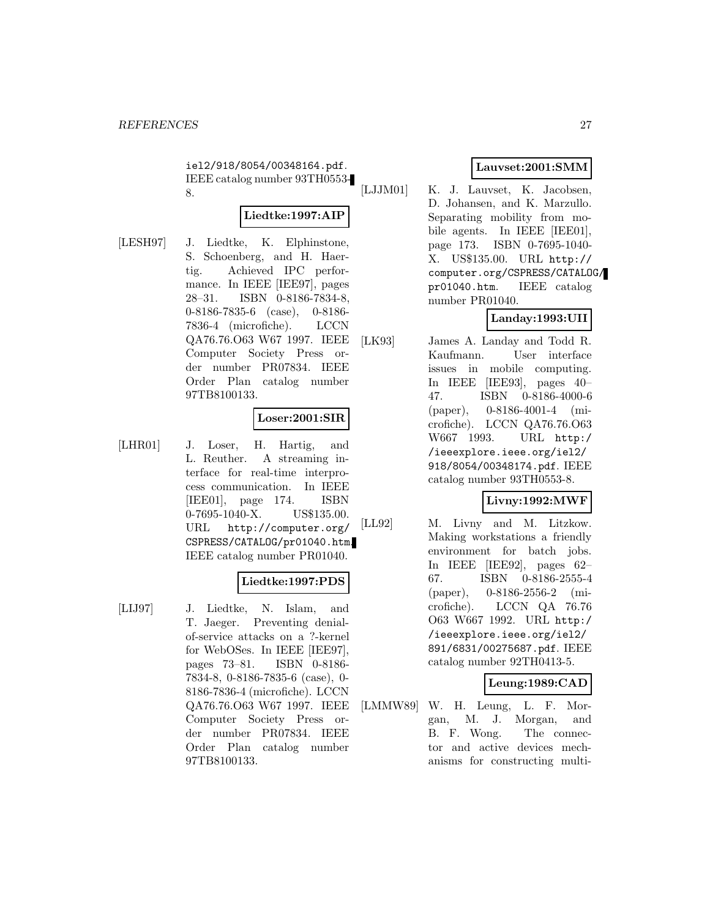iel2/918/8054/00348164.pdf. IEEE catalog number 93TH0553- 8.

# **Liedtke:1997:AIP**

[LESH97] J. Liedtke, K. Elphinstone, S. Schoenberg, and H. Haertig. Achieved IPC performance. In IEEE [IEE97], pages 28–31. ISBN 0-8186-7834-8, 0-8186-7835-6 (case), 0-8186- 7836-4 (microfiche). LCCN QA76.76.O63 W67 1997. IEEE Computer Society Press order number PR07834. IEEE Order Plan catalog number 97TB8100133.

# **Loser:2001:SIR**

[LHR01] J. Loser, H. Hartig, and L. Reuther. A streaming interface for real-time interprocess communication. In IEEE [IEE01], page 174. ISBN 0-7695-1040-X. US\$135.00. URL http://computer.org/ CSPRESS/CATALOG/pr01040.htm. IEEE catalog number PR01040.

# **Liedtke:1997:PDS**

[LIJ97] J. Liedtke, N. Islam, and T. Jaeger. Preventing denialof-service attacks on a ?-kernel for WebOSes. In IEEE [IEE97], pages 73–81. ISBN 0-8186- 7834-8, 0-8186-7835-6 (case), 0- 8186-7836-4 (microfiche). LCCN QA76.76.O63 W67 1997. IEEE Computer Society Press order number PR07834. IEEE Order Plan catalog number 97TB8100133.

# **Lauvset:2001:SMM**

[LJJM01] K. J. Lauvset, K. Jacobsen, D. Johansen, and K. Marzullo. Separating mobility from mobile agents. In IEEE [IEE01], page 173. ISBN 0-7695-1040- X. US\$135.00. URL http:// computer.org/CSPRESS/CATALOG/ pr01040.htm. IEEE catalog number PR01040.

# **Landay:1993:UII**

[LK93] James A. Landay and Todd R. Kaufmann. User interface issues in mobile computing. In IEEE [IEE93], pages 40– 47. ISBN 0-8186-4000-6 (paper), 0-8186-4001-4 (microfiche). LCCN QA76.76.O63 W667 1993. URL http:/ /ieeexplore.ieee.org/iel2/ 918/8054/00348174.pdf. IEEE catalog number 93TH0553-8.

# **Livny:1992:MWF**

[LL92] M. Livny and M. Litzkow. Making workstations a friendly environment for batch jobs. In IEEE [IEE92], pages 62– 67. ISBN 0-8186-2555-4 (paper), 0-8186-2556-2 (microfiche). LCCN QA 76.76 O63 W667 1992. URL http:/ /ieeexplore.ieee.org/iel2/ 891/6831/00275687.pdf. IEEE catalog number 92TH0413-5.

# **Leung:1989:CAD**

[LMMW89] W. H. Leung, L. F. Morgan, M. J. Morgan, and B. F. Wong. The connector and active devices mechanisms for constructing multi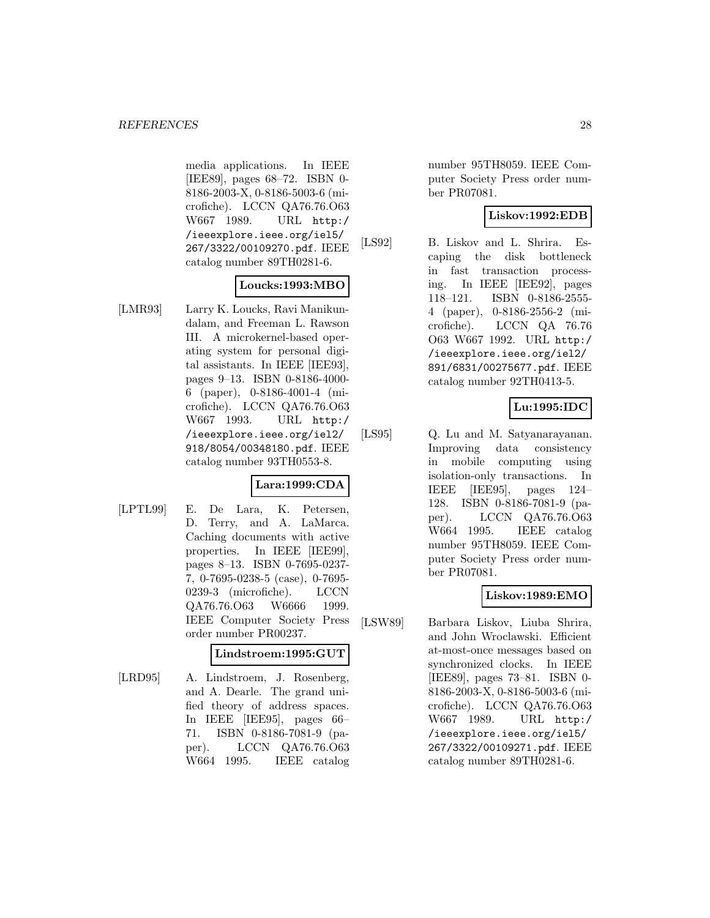media applications. In IEEE [IEE89], pages 68–72. ISBN 0- 8186-2003-X, 0-8186-5003-6 (microfiche). LCCN QA76.76.O63 W667 1989. URL http:/ /ieeexplore.ieee.org/iel5/ 267/3322/00109270.pdf. IEEE catalog number 89TH0281-6.

#### **Loucks:1993:MBO**

[LMR93] Larry K. Loucks, Ravi Manikundalam, and Freeman L. Rawson III. A microkernel-based operating system for personal digital assistants. In IEEE [IEE93], pages 9–13. ISBN 0-8186-4000- 6 (paper), 0-8186-4001-4 (microfiche). LCCN QA76.76.O63 W667 1993. URL http:/ /ieeexplore.ieee.org/iel2/ 918/8054/00348180.pdf. IEEE catalog number 93TH0553-8.

# **Lara:1999:CDA**

[LPTL99] E. De Lara, K. Petersen, D. Terry, and A. LaMarca. Caching documents with active properties. In IEEE [IEE99], pages 8–13. ISBN 0-7695-0237- 7, 0-7695-0238-5 (case), 0-7695- 0239-3 (microfiche). LCCN QA76.76.O63 W6666 1999. IEEE Computer Society Press order number PR00237.

# **Lindstroem:1995:GUT**

[LRD95] A. Lindstroem, J. Rosenberg, and A. Dearle. The grand unified theory of address spaces. In IEEE [IEE95], pages 66– 71. ISBN 0-8186-7081-9 (paper). LCCN QA76.76.O63 W664 1995. IEEE catalog

number 95TH8059. IEEE Computer Society Press order number PR07081.

# **Liskov:1992:EDB**

[LS92] B. Liskov and L. Shrira. Escaping the disk bottleneck in fast transaction processing. In IEEE [IEE92], pages 118–121. ISBN 0-8186-2555- 4 (paper), 0-8186-2556-2 (microfiche). LCCN QA 76.76 O63 W667 1992. URL http:/ /ieeexplore.ieee.org/iel2/ 891/6831/00275677.pdf. IEEE catalog number 92TH0413-5.

# **Lu:1995:IDC**

[LS95] Q. Lu and M. Satyanarayanan. Improving data consistency in mobile computing using isolation-only transactions. In IEEE [IEE95], pages 124– 128. ISBN 0-8186-7081-9 (paper). LCCN QA76.76.O63 W664 1995. IEEE catalog number 95TH8059. IEEE Computer Society Press order number PR07081.

# **Liskov:1989:EMO**

[LSW89] Barbara Liskov, Liuba Shrira, and John Wroclawski. Efficient at-most-once messages based on synchronized clocks. In IEEE [IEE89], pages 73–81. ISBN 0- 8186-2003-X, 0-8186-5003-6 (microfiche). LCCN QA76.76.O63 W667 1989. URL http:/ /ieeexplore.ieee.org/iel5/ 267/3322/00109271.pdf. IEEE catalog number 89TH0281-6.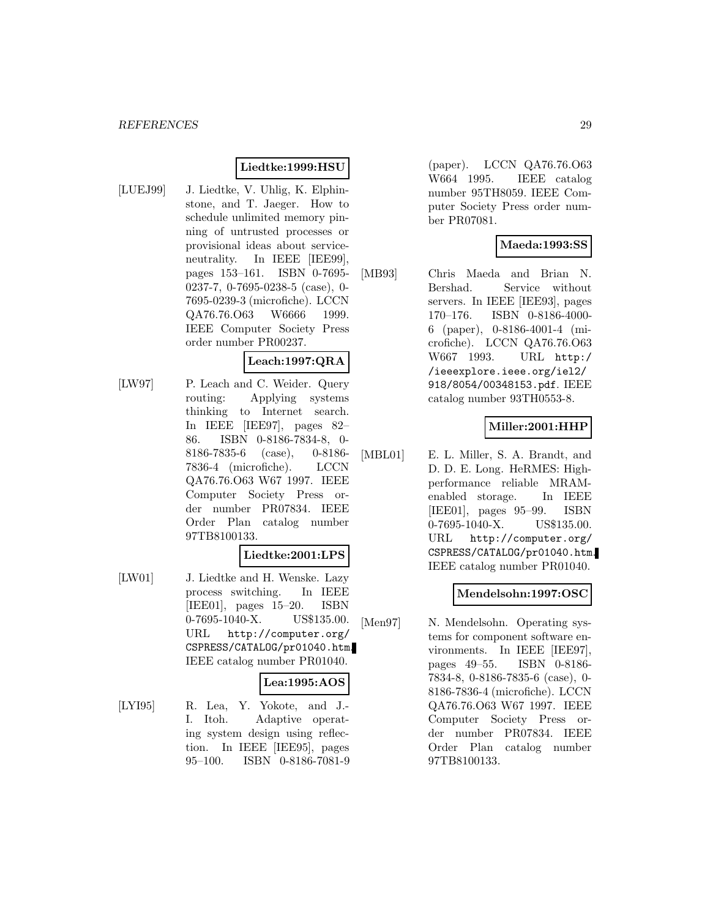# **Liedtke:1999:HSU**

[LUEJ99] J. Liedtke, V. Uhlig, K. Elphinstone, and T. Jaeger. How to schedule unlimited memory pinning of untrusted processes or provisional ideas about serviceneutrality. In IEEE [IEE99], pages 153–161. ISBN 0-7695- 0237-7, 0-7695-0238-5 (case), 0- 7695-0239-3 (microfiche). LCCN QA76.76.O63 W6666 1999. IEEE Computer Society Press order number PR00237.

# **Leach:1997:QRA**

[LW97] P. Leach and C. Weider. Query routing: Applying systems thinking to Internet search. In IEEE [IEE97], pages 82– 86. ISBN 0-8186-7834-8, 0- 8186-7835-6 (case), 0-8186- 7836-4 (microfiche). LCCN QA76.76.O63 W67 1997. IEEE Computer Society Press order number PR07834. IEEE Order Plan catalog number 97TB8100133.

# **Liedtke:2001:LPS**

[LW01] J. Liedtke and H. Wenske. Lazy process switching. In IEEE [IEE01], pages 15–20. ISBN 0-7695-1040-X. US\$135.00. URL http://computer.org/ CSPRESS/CATALOG/pr01040.htm. IEEE catalog number PR01040.

# **Lea:1995:AOS**

[LYI95] R. Lea, Y. Yokote, and J.- I. Itoh. Adaptive operating system design using reflection. In IEEE [IEE95], pages 95–100. ISBN 0-8186-7081-9 (paper). LCCN QA76.76.O63 W664 1995. IEEE catalog number 95TH8059. IEEE Computer Society Press order number PR07081.

# **Maeda:1993:SS**

[MB93] Chris Maeda and Brian N. Bershad. Service without servers. In IEEE [IEE93], pages 170–176. ISBN 0-8186-4000- 6 (paper), 0-8186-4001-4 (microfiche). LCCN QA76.76.O63 W667 1993. URL http:/ /ieeexplore.ieee.org/iel2/ 918/8054/00348153.pdf. IEEE catalog number 93TH0553-8.

# **Miller:2001:HHP**

[MBL01] E. L. Miller, S. A. Brandt, and D. D. E. Long. HeRMES: Highperformance reliable MRAMenabled storage. In IEEE [IEE01], pages 95–99. ISBN 0-7695-1040-X. US\$135.00. URL http://computer.org/ CSPRESS/CATALOG/pr01040.htm. IEEE catalog number PR01040.

# **Mendelsohn:1997:OSC**

[Men97] N. Mendelsohn. Operating systems for component software environments. In IEEE [IEE97], pages 49–55. ISBN 0-8186- 7834-8, 0-8186-7835-6 (case), 0- 8186-7836-4 (microfiche). LCCN QA76.76.O63 W67 1997. IEEE Computer Society Press order number PR07834. IEEE Order Plan catalog number 97TB8100133.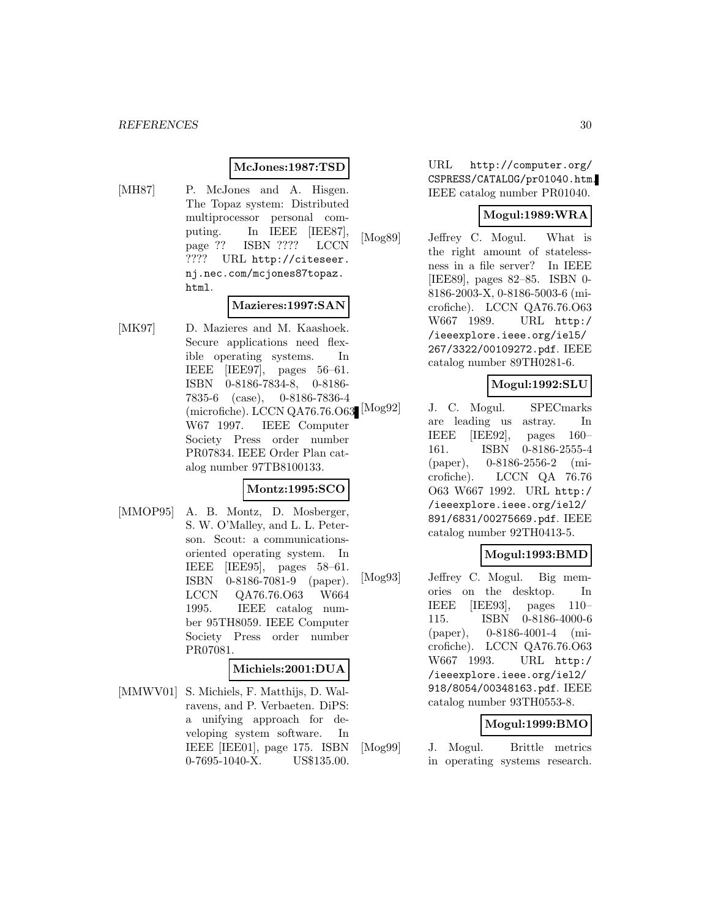#### **McJones:1987:TSD**

[MH87] P. McJones and A. Hisgen. The Topaz system: Distributed multiprocessor personal computing. In IEEE [IEE87], page ?? ISBN ???? LCCN ???? URL http://citeseer. nj.nec.com/mcjones87topaz. html.

# **Mazieres:1997:SAN**

[MK97] D. Mazieres and M. Kaashoek. Secure applications need flexible operating systems. In IEEE [IEE97], pages 56–61. ISBN 0-8186-7834-8, 0-8186- 7835-6 (case), 0-8186-7836-4 (microfiche). LCCN QA76.76.063 $\left[{\rm{Mog92}}\right]$ W67 1997. IEEE Computer Society Press order number PR07834. IEEE Order Plan catalog number 97TB8100133.

# **Montz:1995:SCO**

[MMOP95] A. B. Montz, D. Mosberger, S. W. O'Malley, and L. L. Peterson. Scout: a communicationsoriented operating system. In IEEE [IEE95], pages 58–61. ISBN 0-8186-7081-9 (paper). LCCN QA76.76.O63 W664 1995. IEEE catalog number 95TH8059. IEEE Computer Society Press order number PR07081.

#### **Michiels:2001:DUA**

[MMWV01] S. Michiels, F. Matthijs, D. Walravens, and P. Verbaeten. DiPS: a unifying approach for developing system software. In IEEE [IEE01], page 175. ISBN 0-7695-1040-X. US\$135.00.

URL http://computer.org/ CSPRESS/CATALOG/pr01040.htm. IEEE catalog number PR01040.

#### **Mogul:1989:WRA**

[Mog89] Jeffrey C. Mogul. What is the right amount of statelessness in a file server? In IEEE [IEE89], pages 82–85. ISBN 0- 8186-2003-X, 0-8186-5003-6 (microfiche). LCCN QA76.76.O63 W667 1989. URL http:/ /ieeexplore.ieee.org/iel5/ 267/3322/00109272.pdf. IEEE catalog number 89TH0281-6.

# **Mogul:1992:SLU**

J. C. Mogul. SPECmarks are leading us astray. In IEEE [IEE92], pages 160– 161. ISBN 0-8186-2555-4 (paper), 0-8186-2556-2 (microfiche). LCCN QA 76.76 O63 W667 1992. URL http:/ /ieeexplore.ieee.org/iel2/ 891/6831/00275669.pdf. IEEE catalog number 92TH0413-5.

# **Mogul:1993:BMD**

[Mog93] Jeffrey C. Mogul. Big memories on the desktop. In IEEE [IEE93], pages 110– 115. ISBN 0-8186-4000-6 (paper), 0-8186-4001-4 (microfiche). LCCN QA76.76.O63 W667 1993. URL http:/ /ieeexplore.ieee.org/iel2/ 918/8054/00348163.pdf. IEEE catalog number 93TH0553-8.

#### **Mogul:1999:BMO**

[Mog99] J. Mogul. Brittle metrics in operating systems research.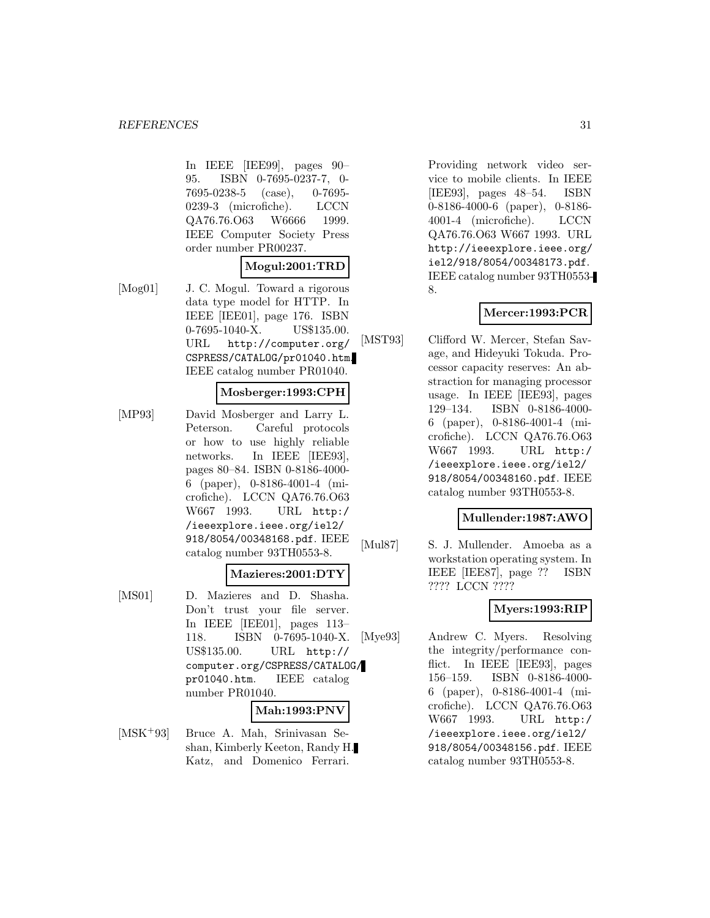In IEEE [IEE99], pages 90– 95. ISBN 0-7695-0237-7, 0- 7695-0238-5 (case), 0-7695- 0239-3 (microfiche). LCCN QA76.76.O63 W6666 1999. IEEE Computer Society Press order number PR00237.

### **Mogul:2001:TRD**

[Mog01] J. C. Mogul. Toward a rigorous data type model for HTTP. In IEEE [IEE01], page 176. ISBN 0-7695-1040-X. US\$135.00. URL http://computer.org/ CSPRESS/CATALOG/pr01040.htm. IEEE catalog number PR01040.

#### **Mosberger:1993:CPH**

[MP93] David Mosberger and Larry L. Peterson. Careful protocols or how to use highly reliable networks. In IEEE [IEE93], pages 80–84. ISBN 0-8186-4000- 6 (paper), 0-8186-4001-4 (microfiche). LCCN QA76.76.O63 W667 1993. URL http:/ /ieeexplore.ieee.org/iel2/ 918/8054/00348168.pdf. IEEE catalog number 93TH0553-8.

#### **Mazieres:2001:DTY**

[MS01] D. Mazieres and D. Shasha. Don't trust your file server. In IEEE [IEE01], pages 113– 118. ISBN 0-7695-1040-X. US\$135.00. URL http:// computer.org/CSPRESS/CATALOG/ pr01040.htm. IEEE catalog number PR01040.

#### **Mah:1993:PNV**

[MSK<sup>+</sup>93] Bruce A. Mah, Srinivasan Seshan, Kimberly Keeton, Randy H. Katz, and Domenico Ferrari.

Providing network video service to mobile clients. In IEEE [IEE93], pages 48–54. ISBN 0-8186-4000-6 (paper), 0-8186- 4001-4 (microfiche). LCCN QA76.76.O63 W667 1993. URL http://ieeexplore.ieee.org/ iel2/918/8054/00348173.pdf. IEEE catalog number 93TH0553- 8.

# **Mercer:1993:PCR**

[MST93] Clifford W. Mercer, Stefan Savage, and Hideyuki Tokuda. Processor capacity reserves: An abstraction for managing processor usage. In IEEE [IEE93], pages 129–134. ISBN 0-8186-4000- 6 (paper), 0-8186-4001-4 (microfiche). LCCN QA76.76.O63 W667 1993. URL http:/ /ieeexplore.ieee.org/iel2/ 918/8054/00348160.pdf. IEEE catalog number 93TH0553-8.

### **Mullender:1987:AWO**

[Mul87] S. J. Mullender. Amoeba as a workstation operating system. In IEEE [IEE87], page ?? ISBN ???? LCCN ????

# **Myers:1993:RIP**

[Mye93] Andrew C. Myers. Resolving the integrity/performance conflict. In IEEE [IEE93], pages 156–159. ISBN 0-8186-4000- 6 (paper), 0-8186-4001-4 (microfiche). LCCN QA76.76.O63 W667 1993. URL http:/ /ieeexplore.ieee.org/iel2/ 918/8054/00348156.pdf. IEEE catalog number 93TH0553-8.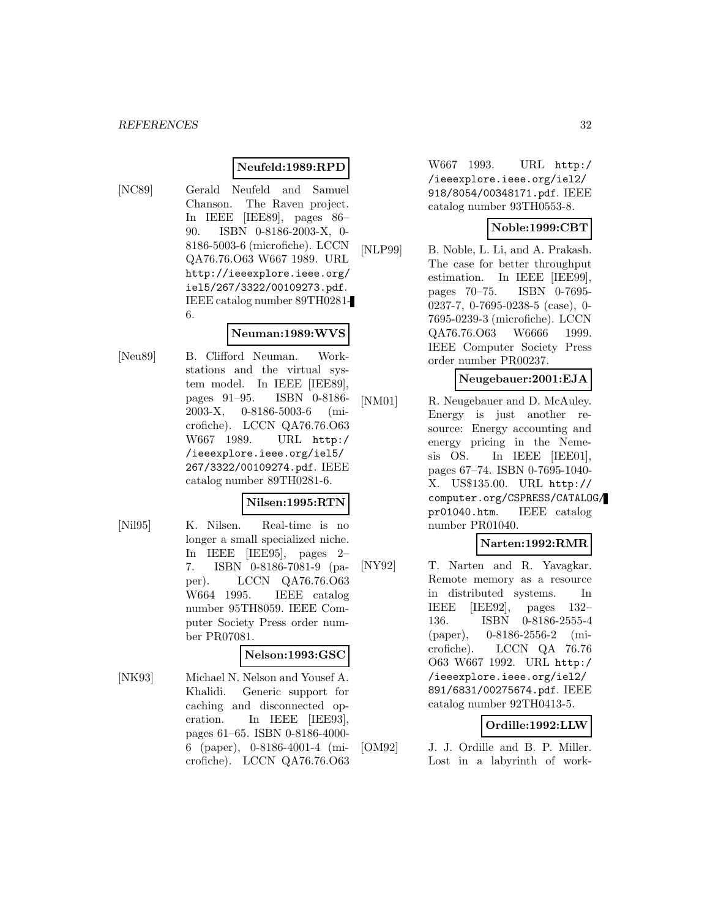### **Neufeld:1989:RPD**

[NC89] Gerald Neufeld and Samuel Chanson. The Raven project. In IEEE [IEE89], pages 86– 90. ISBN 0-8186-2003-X, 0- 8186-5003-6 (microfiche). LCCN QA76.76.O63 W667 1989. URL http://ieeexplore.ieee.org/ iel5/267/3322/00109273.pdf. IEEE catalog number 89TH0281- 6.

#### **Neuman:1989:WVS**

[Neu89] B. Clifford Neuman. Workstations and the virtual system model. In IEEE [IEE89], pages 91–95. ISBN 0-8186- 2003-X, 0-8186-5003-6 (microfiche). LCCN QA76.76.O63 W667 1989. URL http:/ /ieeexplore.ieee.org/iel5/ 267/3322/00109274.pdf. IEEE catalog number 89TH0281-6.

#### **Nilsen:1995:RTN**

- 
- [Nil95] K. Nilsen. Real-time is no longer a small specialized niche. In IEEE [IEE95], pages 2– 7. ISBN 0-8186-7081-9 (paper). LCCN QA76.76.O63 W664 1995. IEEE catalog number 95TH8059. IEEE Computer Society Press order number PR07081.

#### **Nelson:1993:GSC**

[NK93] Michael N. Nelson and Yousef A. Khalidi. Generic support for caching and disconnected operation. In IEEE [IEE93], pages 61–65. ISBN 0-8186-4000- 6 (paper), 0-8186-4001-4 (microfiche). LCCN QA76.76.O63 W667 1993. URL http:/ /ieeexplore.ieee.org/iel2/ 918/8054/00348171.pdf. IEEE catalog number 93TH0553-8.

# **Noble:1999:CBT**

[NLP99] B. Noble, L. Li, and A. Prakash. The case for better throughput estimation. In IEEE [IEE99], pages 70–75. ISBN 0-7695- 0237-7, 0-7695-0238-5 (case), 0- 7695-0239-3 (microfiche). LCCN QA76.76.O63 W6666 1999. IEEE Computer Society Press order number PR00237.

# **Neugebauer:2001:EJA**

[NM01] R. Neugebauer and D. McAuley. Energy is just another resource: Energy accounting and energy pricing in the Nemesis OS. In IEEE [IEE01], pages 67–74. ISBN 0-7695-1040- X. US\$135.00. URL http:// computer.org/CSPRESS/CATALOG/ pr01040.htm. IEEE catalog number PR01040.

#### **Narten:1992:RMR**

[NY92] T. Narten and R. Yavagkar. Remote memory as a resource in distributed systems. In IEEE [IEE92], pages 132– 136. ISBN 0-8186-2555-4 (paper), 0-8186-2556-2 (microfiche). LCCN QA 76.76 O63 W667 1992. URL http:/ /ieeexplore.ieee.org/iel2/ 891/6831/00275674.pdf. IEEE catalog number 92TH0413-5.

# **Ordille:1992:LLW**

[OM92] J. J. Ordille and B. P. Miller. Lost in a labyrinth of work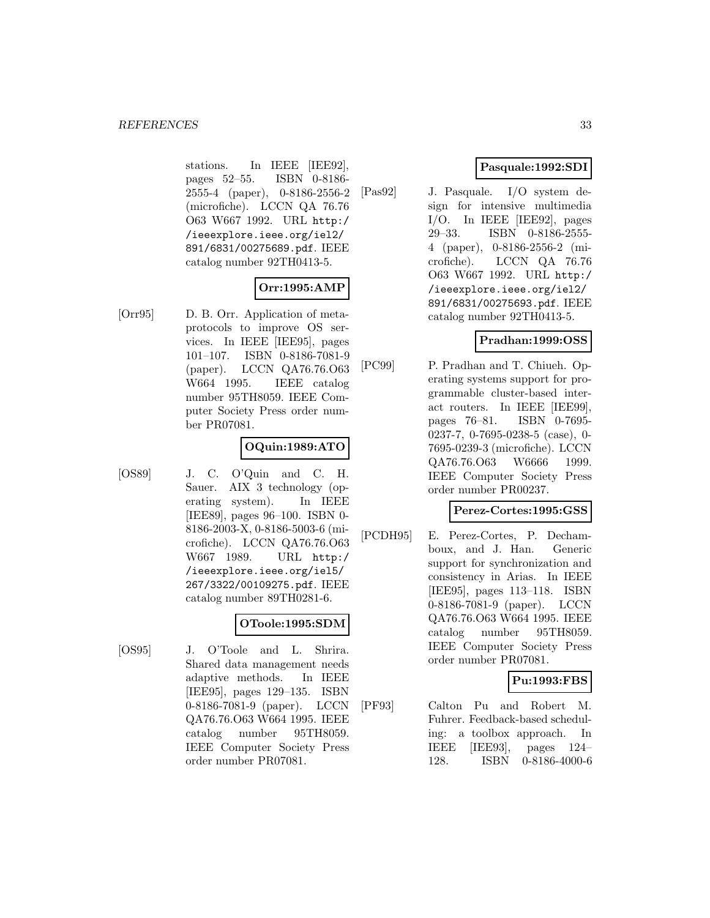stations. In IEEE [IEE92], pages 52–55. ISBN 0-8186- 2555-4 (paper), 0-8186-2556-2 (microfiche). LCCN QA 76.76 O63 W667 1992. URL http:/ /ieeexplore.ieee.org/iel2/ 891/6831/00275689.pdf. IEEE catalog number 92TH0413-5.

# **Orr:1995:AMP**

[Orr95] D. B. Orr. Application of metaprotocols to improve OS services. In IEEE [IEE95], pages 101–107. ISBN 0-8186-7081-9 (paper). LCCN QA76.76.O63 W664 1995. IEEE catalog number 95TH8059. IEEE Computer Society Press order number PR07081.

# **OQuin:1989:ATO**

- 
- [OS89] J. C. O'Quin and C. H. Sauer. AIX 3 technology (operating system). In IEEE [IEE89], pages 96–100. ISBN 0- 8186-2003-X, 0-8186-5003-6 (microfiche). LCCN QA76.76.O63 W667 1989. URL http:/ /ieeexplore.ieee.org/iel5/ 267/3322/00109275.pdf. IEEE catalog number 89TH0281-6.

# **OToole:1995:SDM**

[OS95] J. O'Toole and L. Shrira. Shared data management needs adaptive methods. In IEEE [IEE95], pages 129–135. ISBN 0-8186-7081-9 (paper). LCCN QA76.76.O63 W664 1995. IEEE catalog number 95TH8059. IEEE Computer Society Press order number PR07081.

# **Pasquale:1992:SDI**

[Pas92] J. Pasquale. I/O system design for intensive multimedia I/O. In IEEE [IEE92], pages 29–33. ISBN 0-8186-2555- 4 (paper), 0-8186-2556-2 (microfiche). LCCN QA 76.76 O63 W667 1992. URL http:/ /ieeexplore.ieee.org/iel2/ 891/6831/00275693.pdf. IEEE catalog number 92TH0413-5.

# **Pradhan:1999:OSS**

[PC99] P. Pradhan and T. Chiueh. Operating systems support for programmable cluster-based interact routers. In IEEE [IEE99], pages 76–81. ISBN 0-7695- 0237-7, 0-7695-0238-5 (case), 0- 7695-0239-3 (microfiche). LCCN QA76.76.O63 W6666 1999. IEEE Computer Society Press order number PR00237.

# **Perez-Cortes:1995:GSS**

[PCDH95] E. Perez-Cortes, P. Dechamboux, and J. Han. Generic support for synchronization and consistency in Arias. In IEEE [IEE95], pages 113–118. ISBN 0-8186-7081-9 (paper). LCCN QA76.76.O63 W664 1995. IEEE catalog number 95TH8059. IEEE Computer Society Press order number PR07081.

**Pu:1993:FBS**

[PF93] Calton Pu and Robert M. Fuhrer. Feedback-based scheduling: a toolbox approach. In IEEE [IEE93], pages 124– 128. ISBN 0-8186-4000-6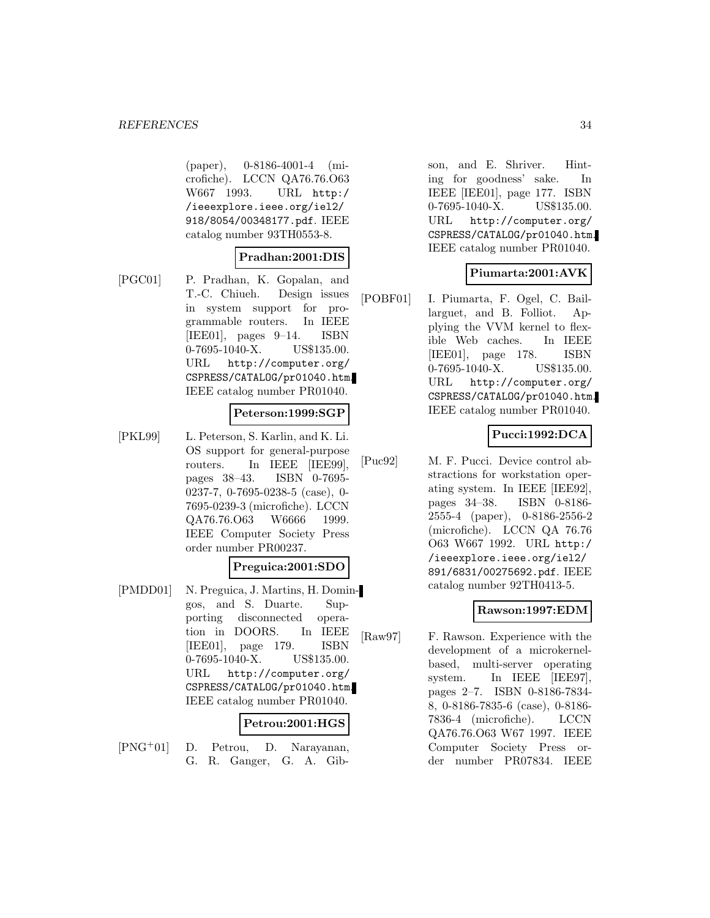(paper), 0-8186-4001-4 (microfiche). LCCN QA76.76.O63 W667 1993. URL http:/ /ieeexplore.ieee.org/iel2/ 918/8054/00348177.pdf. IEEE catalog number 93TH0553-8.

#### **Pradhan:2001:DIS**

[PGC01] P. Pradhan, K. Gopalan, and T.-C. Chiueh. Design issues in system support for programmable routers. In IEEE [IEE01], pages 9–14. ISBN 0-7695-1040-X. US\$135.00. URL http://computer.org/ CSPRESS/CATALOG/pr01040.htm. IEEE catalog number PR01040.

#### **Peterson:1999:SGP**

[PKL99] L. Peterson, S. Karlin, and K. Li. OS support for general-purpose routers. In IEEE [IEE99], pages 38–43. ISBN 0-7695- 0237-7, 0-7695-0238-5 (case), 0- 7695-0239-3 (microfiche). LCCN QA76.76.O63 W6666 1999. IEEE Computer Society Press order number PR00237.

#### **Preguica:2001:SDO**

[PMDD01] N. Preguica, J. Martins, H. Domingos, and S. Duarte. Supporting disconnected operation in DOORS. In IEEE [IEE01], page 179. ISBN 0-7695-1040-X. US\$135.00. URL http://computer.org/ CSPRESS/CATALOG/pr01040.htm. IEEE catalog number PR01040.

#### **Petrou:2001:HGS**

[PNG<sup>+</sup>01] D. Petrou, D. Narayanan, G. R. Ganger, G. A. Gibson, and E. Shriver. Hinting for goodness' sake. In IEEE [IEE01], page 177. ISBN 0-7695-1040-X. US\$135.00. URL http://computer.org/ CSPRESS/CATALOG/pr01040.htm. IEEE catalog number PR01040.

### **Piumarta:2001:AVK**

[POBF01] I. Piumarta, F. Ogel, C. Baillarguet, and B. Folliot. Applying the VVM kernel to flexible Web caches. In IEEE [IEE01], page 178. ISBN 0-7695-1040-X. US\$135.00. URL http://computer.org/ CSPRESS/CATALOG/pr01040.htm. IEEE catalog number PR01040.

### **Pucci:1992:DCA**

[Puc92] M. F. Pucci. Device control abstractions for workstation operating system. In IEEE [IEE92], pages 34–38. ISBN 0-8186- 2555-4 (paper), 0-8186-2556-2 (microfiche). LCCN QA 76.76 O63 W667 1992. URL http:/ /ieeexplore.ieee.org/iel2/ 891/6831/00275692.pdf. IEEE catalog number 92TH0413-5.

# **Rawson:1997:EDM**

[Raw97] F. Rawson. Experience with the development of a microkernelbased, multi-server operating system. In IEEE [IEE97], pages 2–7. ISBN 0-8186-7834- 8, 0-8186-7835-6 (case), 0-8186- 7836-4 (microfiche). LCCN QA76.76.O63 W67 1997. IEEE Computer Society Press order number PR07834. IEEE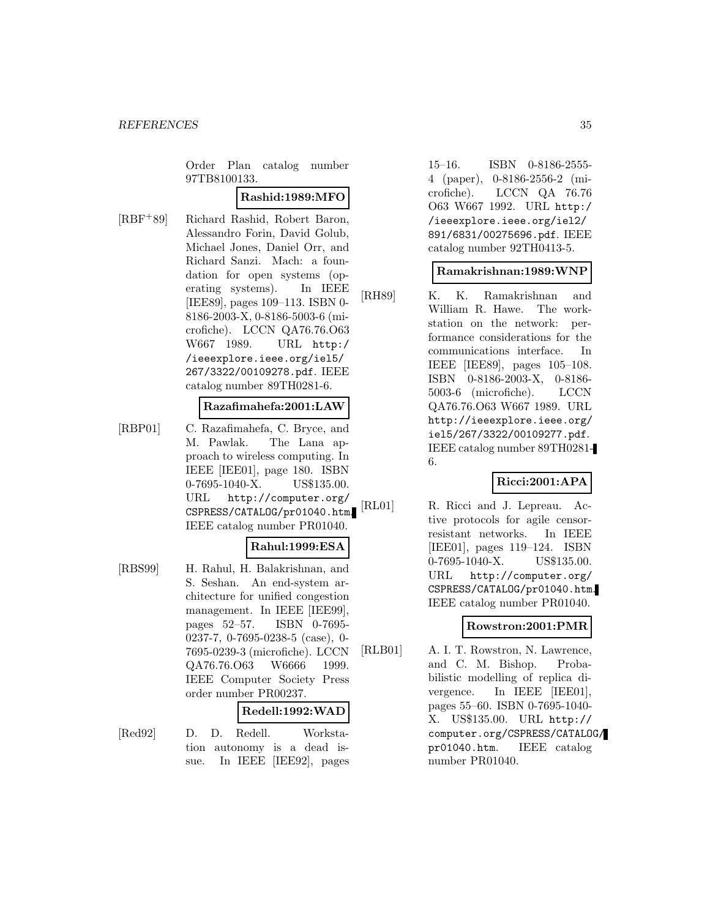Order Plan catalog number 97TB8100133.

#### **Rashid:1989:MFO**

[RBF<sup>+</sup>89] Richard Rashid, Robert Baron, Alessandro Forin, David Golub, Michael Jones, Daniel Orr, and Richard Sanzi. Mach: a foundation for open systems (operating systems). In IEEE [IEE89], pages 109–113. ISBN 0- 8186-2003-X, 0-8186-5003-6 (microfiche). LCCN QA76.76.O63 W667 1989. URL http:/ /ieeexplore.ieee.org/iel5/ 267/3322/00109278.pdf. IEEE catalog number 89TH0281-6.

#### **Razafimahefa:2001:LAW**

[RBP01] C. Razafimahefa, C. Bryce, and M. Pawlak. The Lana approach to wireless computing. In IEEE [IEE01], page 180. ISBN 0-7695-1040-X. US\$135.00. URL http://computer.org/ CSPRESS/CATALOG/pr01040.htm. IEEE catalog number PR01040.

#### **Rahul:1999:ESA**

[RBS99] H. Rahul, H. Balakrishnan, and S. Seshan. An end-system architecture for unified congestion management. In IEEE [IEE99], pages 52–57. ISBN 0-7695- 0237-7, 0-7695-0238-5 (case), 0- 7695-0239-3 (microfiche). LCCN QA76.76.O63 W6666 1999. IEEE Computer Society Press order number PR00237.

# **Redell:1992:WAD**

[Red92] D. D. Redell. Workstation autonomy is a dead issue. In IEEE [IEE92], pages 15–16. ISBN 0-8186-2555- 4 (paper), 0-8186-2556-2 (microfiche). LCCN QA 76.76 O63 W667 1992. URL http:/ /ieeexplore.ieee.org/iel2/ 891/6831/00275696.pdf. IEEE catalog number 92TH0413-5.

# **Ramakrishnan:1989:WNP**

[RH89] K. K. Ramakrishnan and William R. Hawe. The workstation on the network: performance considerations for the communications interface. In IEEE [IEE89], pages 105–108. ISBN 0-8186-2003-X, 0-8186- 5003-6 (microfiche). LCCN QA76.76.O63 W667 1989. URL http://ieeexplore.ieee.org/ iel5/267/3322/00109277.pdf. IEEE catalog number 89TH0281- 6.

# **Ricci:2001:APA**

[RL01] R. Ricci and J. Lepreau. Active protocols for agile censorresistant networks. In IEEE [IEE01], pages 119–124. ISBN 0-7695-1040-X. US\$135.00. URL http://computer.org/ CSPRESS/CATALOG/pr01040.htm. IEEE catalog number PR01040.

#### **Rowstron:2001:PMR**

[RLB01] A. I. T. Rowstron, N. Lawrence, and C. M. Bishop. Probabilistic modelling of replica divergence. In IEEE [IEE01], pages 55–60. ISBN 0-7695-1040- X. US\$135.00. URL http:// computer.org/CSPRESS/CATALOG/ pr01040.htm. IEEE catalog number PR01040.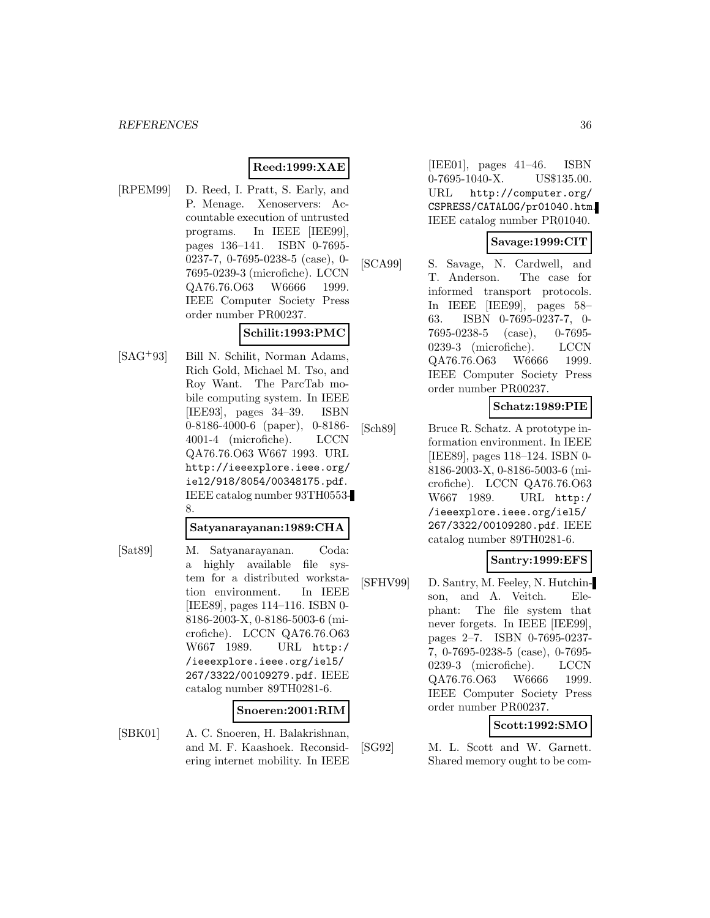#### **Reed:1999:XAE**

[RPEM99] D. Reed, I. Pratt, S. Early, and P. Menage. Xenoservers: Accountable execution of untrusted programs. In IEEE [IEE99], pages 136–141. ISBN 0-7695- 0237-7, 0-7695-0238-5 (case), 0- 7695-0239-3 (microfiche). LCCN QA76.76.O63 W6666 1999. IEEE Computer Society Press order number PR00237.

### **Schilit:1993:PMC**

[SAG<sup>+</sup>93] Bill N. Schilit, Norman Adams, Rich Gold, Michael M. Tso, and Roy Want. The ParcTab mobile computing system. In IEEE [IEE93], pages 34–39. ISBN 0-8186-4000-6 (paper), 0-8186- 4001-4 (microfiche). LCCN QA76.76.O63 W667 1993. URL http://ieeexplore.ieee.org/ iel2/918/8054/00348175.pdf. IEEE catalog number 93TH0553- 8.

#### **Satyanarayanan:1989:CHA**

[Sat89] M. Satyanarayanan. Coda:

a highly available file system for a distributed workstation environment. In IEEE [IEE89], pages 114–116. ISBN 0- 8186-2003-X, 0-8186-5003-6 (microfiche). LCCN QA76.76.O63 W667 1989. URL http:/ /ieeexplore.ieee.org/iel5/ 267/3322/00109279.pdf. IEEE catalog number 89TH0281-6.

#### **Snoeren:2001:RIM**

[SBK01] A. C. Snoeren, H. Balakrishnan, and M. F. Kaashoek. Reconsidering internet mobility. In IEEE [IEE01], pages 41–46. ISBN 0-7695-1040-X. US\$135.00. URL http://computer.org/ CSPRESS/CATALOG/pr01040.htm. IEEE catalog number PR01040.

#### **Savage:1999:CIT**

[SCA99] S. Savage, N. Cardwell, and T. Anderson. The case for informed transport protocols. In IEEE [IEE99], pages 58– 63. ISBN 0-7695-0237-7, 0- 7695-0238-5 (case), 0-7695- 0239-3 (microfiche). LCCN QA76.76.O63 W6666 1999. IEEE Computer Society Press order number PR00237.

# **Schatz:1989:PIE**

[Sch89] Bruce R. Schatz. A prototype information environment. In IEEE [IEE89], pages 118–124. ISBN 0- 8186-2003-X, 0-8186-5003-6 (microfiche). LCCN QA76.76.O63 W667 1989. URL http:/ /ieeexplore.ieee.org/iel5/ 267/3322/00109280.pdf. IEEE catalog number 89TH0281-6.

#### **Santry:1999:EFS**

[SFHV99] D. Santry, M. Feeley, N. Hutchinson, and A. Veitch. Elephant: The file system that never forgets. In IEEE [IEE99], pages 2–7. ISBN 0-7695-0237- 7, 0-7695-0238-5 (case), 0-7695- 0239-3 (microfiche). LCCN QA76.76.O63 W6666 1999. IEEE Computer Society Press order number PR00237.

#### **Scott:1992:SMO**

[SG92] M. L. Scott and W. Garnett. Shared memory ought to be com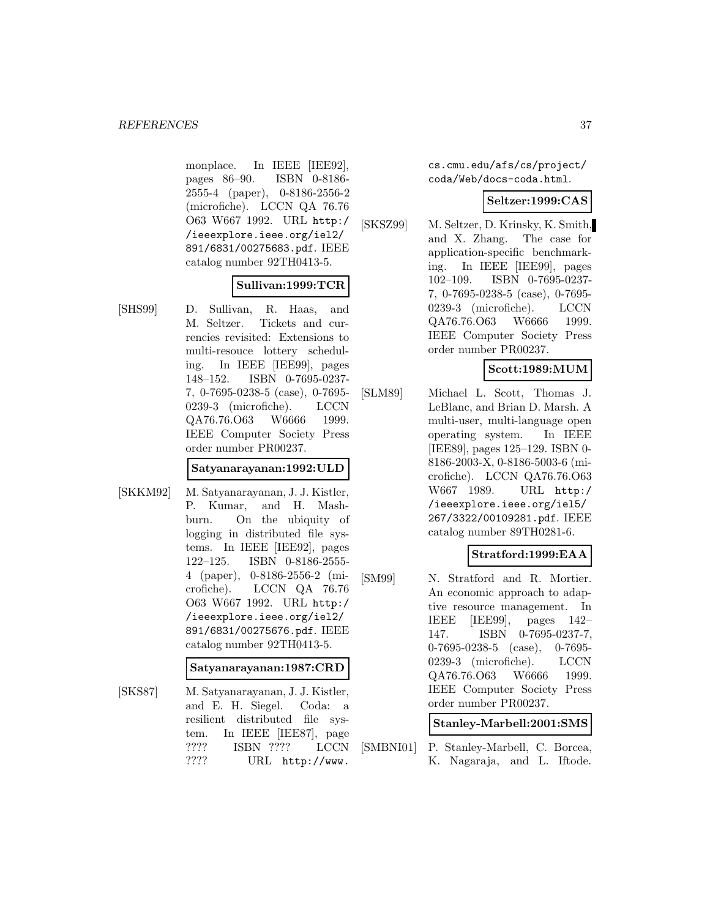monplace. In IEEE [IEE92], pages 86–90. ISBN 0-8186- 2555-4 (paper), 0-8186-2556-2 (microfiche). LCCN QA 76.76 O63 W667 1992. URL http:/ /ieeexplore.ieee.org/iel2/ 891/6831/00275683.pdf. IEEE catalog number 92TH0413-5.

### **Sullivan:1999:TCR**

[SHS99] D. Sullivan, R. Haas, and M. Seltzer. Tickets and currencies revisited: Extensions to multi-resouce lottery scheduling. In IEEE [IEE99], pages 148–152. ISBN 0-7695-0237- 7, 0-7695-0238-5 (case), 0-7695- 0239-3 (microfiche). LCCN QA76.76.O63 W6666 1999. IEEE Computer Society Press order number PR00237.

#### **Satyanarayanan:1992:ULD**

[SKKM92] M. Satyanarayanan, J. J. Kistler, P. Kumar, and H. Mashburn. On the ubiquity of logging in distributed file systems. In IEEE [IEE92], pages 122–125. ISBN 0-8186-2555- 4 (paper), 0-8186-2556-2 (microfiche). LCCN QA 76.76 O63 W667 1992. URL http:/ /ieeexplore.ieee.org/iel2/ 891/6831/00275676.pdf. IEEE catalog number 92TH0413-5.

**Satyanarayanan:1987:CRD**

[SKS87] M. Satyanarayanan, J. J. Kistler, and E. H. Siegel. Coda: a resilient distributed file system. In IEEE [IEE87], page ???? ISBN ???? LCCN ???? URL http://www.

cs.cmu.edu/afs/cs/project/ coda/Web/docs-coda.html.

#### **Seltzer:1999:CAS**

[SKSZ99] M. Seltzer, D. Krinsky, K. Smith, and X. Zhang. The case for application-specific benchmarking. In IEEE [IEE99], pages 102–109. ISBN 0-7695-0237- 7, 0-7695-0238-5 (case), 0-7695- 0239-3 (microfiche). LCCN QA76.76.O63 W6666 1999. IEEE Computer Society Press order number PR00237.

# **Scott:1989:MUM**

[SLM89] Michael L. Scott, Thomas J. LeBlanc, and Brian D. Marsh. A multi-user, multi-language open operating system. In IEEE [IEE89], pages 125–129. ISBN 0- 8186-2003-X, 0-8186-5003-6 (microfiche). LCCN QA76.76.O63 W667 1989. URL http:/ /ieeexplore.ieee.org/iel5/ 267/3322/00109281.pdf. IEEE catalog number 89TH0281-6.

# **Stratford:1999:EAA**

[SM99] N. Stratford and R. Mortier. An economic approach to adaptive resource management. In IEEE [IEE99], pages 142– 147. ISBN 0-7695-0237-7, 0-7695-0238-5 (case), 0-7695- 0239-3 (microfiche). LCCN QA76.76.O63 W6666 1999. IEEE Computer Society Press order number PR00237.

**Stanley-Marbell:2001:SMS**

[SMBNI01] P. Stanley-Marbell, C. Borcea, K. Nagaraja, and L. Iftode.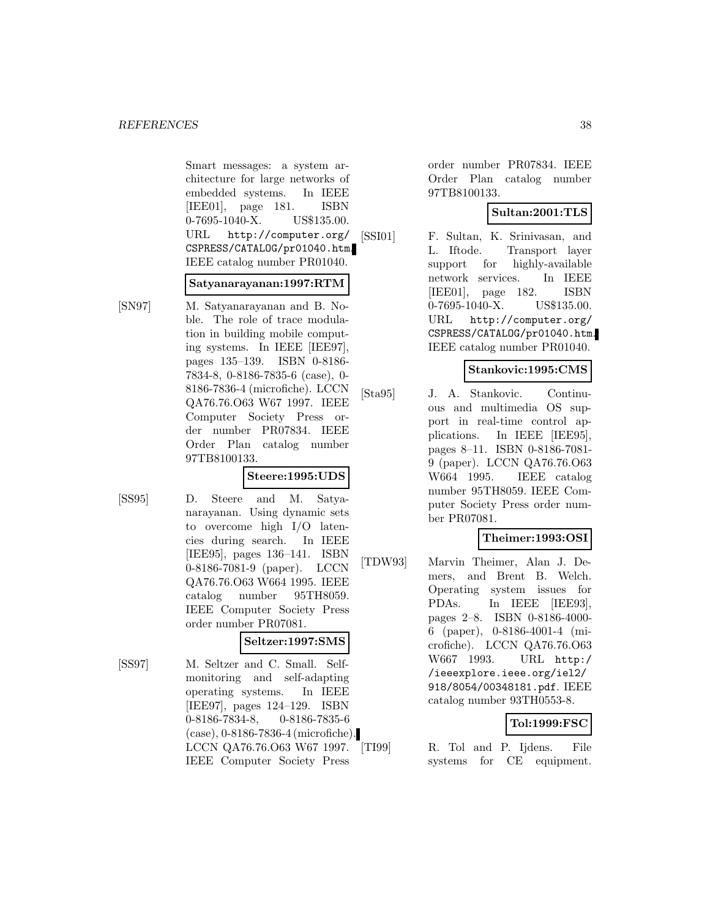Smart messages: a system architecture for large networks of embedded systems. In IEEE [IEE01], page 181. ISBN 0-7695-1040-X. US\$135.00. URL http://computer.org/ CSPRESS/CATALOG/pr01040.htm. IEEE catalog number PR01040.

#### **Satyanarayanan:1997:RTM**

[SN97] M. Satyanarayanan and B. Noble. The role of trace modulation in building mobile computing systems. In IEEE [IEE97], pages 135–139. ISBN 0-8186- 7834-8, 0-8186-7835-6 (case), 0- 8186-7836-4 (microfiche). LCCN QA76.76.O63 W67 1997. IEEE Computer Society Press order number PR07834. IEEE Order Plan catalog number 97TB8100133.

#### **Steere:1995:UDS**

[SS95] D. Steere and M. Satyanarayanan. Using dynamic sets to overcome high I/O latencies during search. In IEEE [IEE95], pages 136–141. ISBN 0-8186-7081-9 (paper). LCCN QA76.76.O63 W664 1995. IEEE catalog number 95TH8059. IEEE Computer Society Press order number PR07081.

# **Seltzer:1997:SMS**

[SS97] M. Seltzer and C. Small. Selfmonitoring and self-adapting operating systems. In IEEE [IEE97], pages 124–129. ISBN 0-8186-7834-8, 0-8186-7835-6 (case), 0-8186-7836-4 (microfiche). LCCN QA76.76.O63 W67 1997. IEEE Computer Society Press

order number PR07834. IEEE Order Plan catalog number 97TB8100133.

# **Sultan:2001:TLS**

[SSI01] F. Sultan, K. Srinivasan, and L. Iftode. Transport layer support for highly-available network services. In IEEE [IEE01], page 182. ISBN 0-7695-1040-X. US\$135.00. URL http://computer.org/ CSPRESS/CATALOG/pr01040.htm. IEEE catalog number PR01040.

### **Stankovic:1995:CMS**

[Sta95] J. A. Stankovic. Continuous and multimedia OS support in real-time control applications. In IEEE [IEE95], pages 8–11. ISBN 0-8186-7081- 9 (paper). LCCN QA76.76.O63 W664 1995. IEEE catalog number 95TH8059. IEEE Computer Society Press order number PR07081.

# **Theimer:1993:OSI**

[TDW93] Marvin Theimer, Alan J. Demers, and Brent B. Welch. Operating system issues for PDAs. In IEEE [IEE93], pages 2–8. ISBN 0-8186-4000- 6 (paper), 0-8186-4001-4 (microfiche). LCCN QA76.76.O63 W667 1993. URL http:/ /ieeexplore.ieee.org/iel2/ 918/8054/00348181.pdf. IEEE catalog number 93TH0553-8.

# **Tol:1999:FSC**

R. Tol and P. Ijdens. File systems for CE equipment.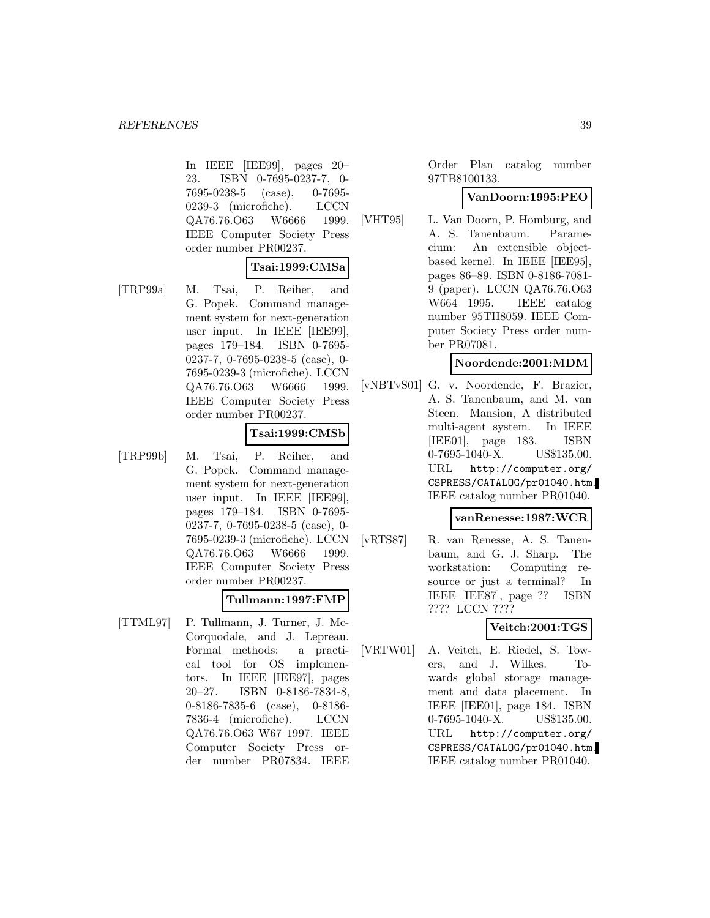In IEEE [IEE99], pages 20– 23. ISBN 0-7695-0237-7, 0- 7695-0238-5 (case), 0-7695- 0239-3 (microfiche). LCCN QA76.76.O63 W6666 1999. IEEE Computer Society Press order number PR00237.

### **Tsai:1999:CMSa**

[TRP99a] M. Tsai, P. Reiher, and G. Popek. Command management system for next-generation user input. In IEEE [IEE99], pages 179–184. ISBN 0-7695- 0237-7, 0-7695-0238-5 (case), 0- 7695-0239-3 (microfiche). LCCN QA76.76.O63 W6666 1999. IEEE Computer Society Press order number PR00237.

# **Tsai:1999:CMSb**

[TRP99b] M. Tsai, P. Reiher, and G. Popek. Command management system for next-generation user input. In IEEE [IEE99], pages 179–184. ISBN 0-7695- 0237-7, 0-7695-0238-5 (case), 0- 7695-0239-3 (microfiche). LCCN QA76.76.O63 W6666 1999. IEEE Computer Society Press order number PR00237.

#### **Tullmann:1997:FMP**

[TTML97] P. Tullmann, J. Turner, J. Mc-Corquodale, and J. Lepreau. Formal methods: a practical tool for OS implementors. In IEEE [IEE97], pages 20–27. ISBN 0-8186-7834-8, 0-8186-7835-6 (case), 0-8186- 7836-4 (microfiche). LCCN QA76.76.O63 W67 1997. IEEE Computer Society Press order number PR07834. IEEE

Order Plan catalog number 97TB8100133.

#### **VanDoorn:1995:PEO**

[VHT95] L. Van Doorn, P. Homburg, and A. S. Tanenbaum. Paramecium: An extensible objectbased kernel. In IEEE [IEE95], pages 86–89. ISBN 0-8186-7081- 9 (paper). LCCN QA76.76.O63 W664 1995. IEEE catalog number 95TH8059. IEEE Computer Society Press order number PR07081.

### **Noordende:2001:MDM**

[vNBTvS01] G. v. Noordende, F. Brazier, A. S. Tanenbaum, and M. van Steen. Mansion, A distributed multi-agent system. In IEEE [IEE01], page 183. ISBN 0-7695-1040-X. US\$135.00. URL http://computer.org/ CSPRESS/CATALOG/pr01040.htm. IEEE catalog number PR01040.

### **vanRenesse:1987:WCR**

[vRTS87] R. van Renesse, A. S. Tanenbaum, and G. J. Sharp. The workstation: Computing resource or just a terminal? In IEEE [IEE87], page ?? ISBN ???? LCCN ????

[VRTW01] A. Veitch, E. Riedel, S. Towers, and J. Wilkes. Towards global storage management and data placement. In IEEE [IEE01], page 184. ISBN 0-7695-1040-X. US\$135.00. URL http://computer.org/ CSPRESS/CATALOG/pr01040.htm. IEEE catalog number PR01040.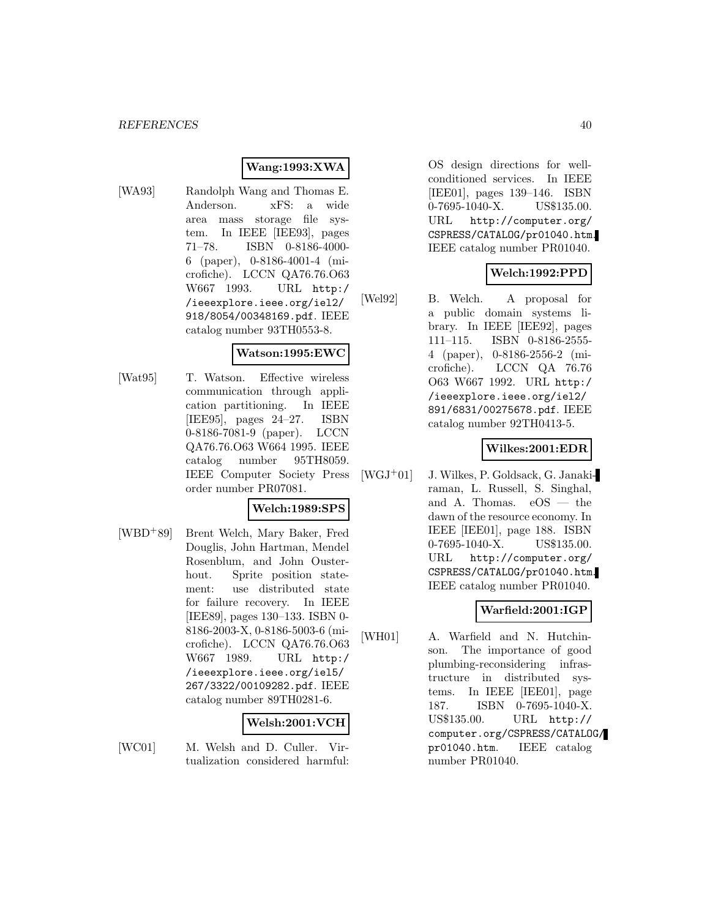# **Wang:1993:XWA**

[WA93] Randolph Wang and Thomas E. Anderson. xFS: a wide area mass storage file system. In IEEE [IEE93], pages 71–78. ISBN 0-8186-4000- 6 (paper), 0-8186-4001-4 (microfiche). LCCN QA76.76.O63 W667 1993. URL http:/ /ieeexplore.ieee.org/iel2/ 918/8054/00348169.pdf. IEEE catalog number 93TH0553-8.

#### **Watson:1995:EWC**

[Wat95] T. Watson. Effective wireless communication through application partitioning. In IEEE [IEE95], pages 24–27. ISBN 0-8186-7081-9 (paper). LCCN QA76.76.O63 W664 1995. IEEE catalog number 95TH8059. IEEE Computer Society Press order number PR07081.

#### **Welch:1989:SPS**

[WBD<sup>+</sup>89] Brent Welch, Mary Baker, Fred Douglis, John Hartman, Mendel Rosenblum, and John Ousterhout. Sprite position statement: use distributed state for failure recovery. In IEEE [IEE89], pages 130–133. ISBN 0- 8186-2003-X, 0-8186-5003-6 (microfiche). LCCN QA76.76.O63 W667 1989. URL http:/ /ieeexplore.ieee.org/iel5/ 267/3322/00109282.pdf. IEEE catalog number 89TH0281-6.

#### **Welsh:2001:VCH**

- 
- [WC01] M. Welsh and D. Culler. Virtualization considered harmful:

OS design directions for wellconditioned services. In IEEE [IEE01], pages 139–146. ISBN 0-7695-1040-X. US\$135.00. URL http://computer.org/ CSPRESS/CATALOG/pr01040.htm. IEEE catalog number PR01040.

### **Welch:1992:PPD**

[Wel92] B. Welch. A proposal for a public domain systems library. In IEEE [IEE92], pages 111–115. ISBN 0-8186-2555- 4 (paper), 0-8186-2556-2 (microfiche). LCCN QA 76.76 O63 W667 1992. URL http:/ /ieeexplore.ieee.org/iel2/ 891/6831/00275678.pdf. IEEE catalog number 92TH0413-5.

#### **Wilkes:2001:EDR**

[WGJ<sup>+</sup>01] J. Wilkes, P. Goldsack, G. Janakiraman, L. Russell, S. Singhal, and A. Thomas. eOS — the dawn of the resource economy. In IEEE [IEE01], page 188. ISBN 0-7695-1040-X. US\$135.00. URL http://computer.org/ CSPRESS/CATALOG/pr01040.htm. IEEE catalog number PR01040.

# **Warfield:2001:IGP**

[WH01] A. Warfield and N. Hutchinson. The importance of good plumbing-reconsidering infrastructure in distributed systems. In IEEE [IEE01], page 187. ISBN 0-7695-1040-X. US\$135.00. URL http:// computer.org/CSPRESS/CATALOG/ pr01040.htm. IEEE catalog number PR01040.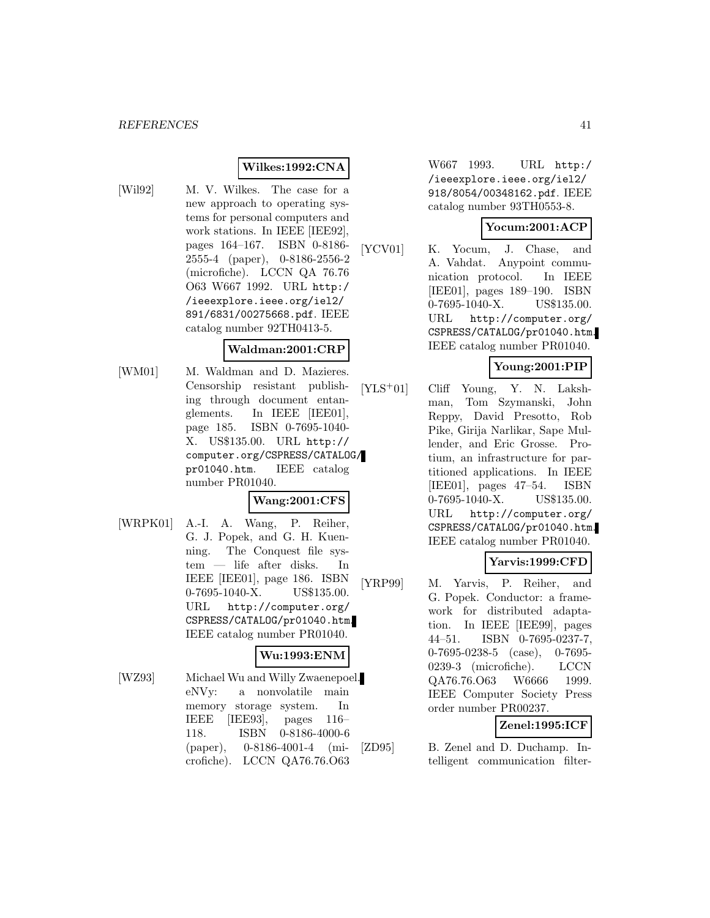# **Wilkes:1992:CNA**

- 
- [Wil92] M. V. Wilkes. The case for a new approach to operating systems for personal computers and work stations. In IEEE [IEE92], pages 164–167. ISBN 0-8186- 2555-4 (paper), 0-8186-2556-2 (microfiche). LCCN QA 76.76 O63 W667 1992. URL http:/ /ieeexplore.ieee.org/iel2/ 891/6831/00275668.pdf. IEEE catalog number 92TH0413-5.

#### **Waldman:2001:CRP**

[WM01] M. Waldman and D. Mazieres. Censorship resistant publishing through document entanglements. In IEEE [IEE01], page 185. ISBN 0-7695-1040- X. US\$135.00. URL http:// computer.org/CSPRESS/CATALOG/ pr01040.htm. IEEE catalog number PR01040.

#### **Wang:2001:CFS**

[WRPK01] A.-I. A. Wang, P. Reiher, G. J. Popek, and G. H. Kuenning. The Conquest file system — life after disks. In IEEE [IEE01], page 186. ISBN 0-7695-1040-X. US\$135.00. URL http://computer.org/ CSPRESS/CATALOG/pr01040.htm. IEEE catalog number PR01040.

# **Wu:1993:ENM**

[WZ93] Michael Wu and Willy Zwaenepoel. eNVy: a nonvolatile main memory storage system. In IEEE [IEE93], pages 116– 118. ISBN 0-8186-4000-6 (paper), 0-8186-4001-4 (microfiche). LCCN QA76.76.O63

W667 1993. URL http:/ /ieeexplore.ieee.org/iel2/ 918/8054/00348162.pdf. IEEE catalog number 93TH0553-8.

# **Yocum:2001:ACP**

[YCV01] K. Yocum, J. Chase, and A. Vahdat. Anypoint communication protocol. In IEEE [IEE01], pages 189–190. ISBN 0-7695-1040-X. US\$135.00. URL http://computer.org/ CSPRESS/CATALOG/pr01040.htm. IEEE catalog number PR01040.

# **Young:2001:PIP**

[YLS<sup>+</sup>01] Cliff Young, Y. N. Lakshman, Tom Szymanski, John Reppy, David Presotto, Rob Pike, Girija Narlikar, Sape Mullender, and Eric Grosse. Protium, an infrastructure for partitioned applications. In IEEE [IEE01], pages 47–54. ISBN 0-7695-1040-X. US\$135.00. URL http://computer.org/ CSPRESS/CATALOG/pr01040.htm. IEEE catalog number PR01040.

#### **Yarvis:1999:CFD**

[YRP99] M. Yarvis, P. Reiher, and G. Popek. Conductor: a framework for distributed adaptation. In IEEE [IEE99], pages 44–51. ISBN 0-7695-0237-7, 0-7695-0238-5 (case), 0-7695- 0239-3 (microfiche). LCCN QA76.76.O63 W6666 1999. IEEE Computer Society Press order number PR00237.

# **Zenel:1995:ICF**

[ZD95] B. Zenel and D. Duchamp. Intelligent communication filter-